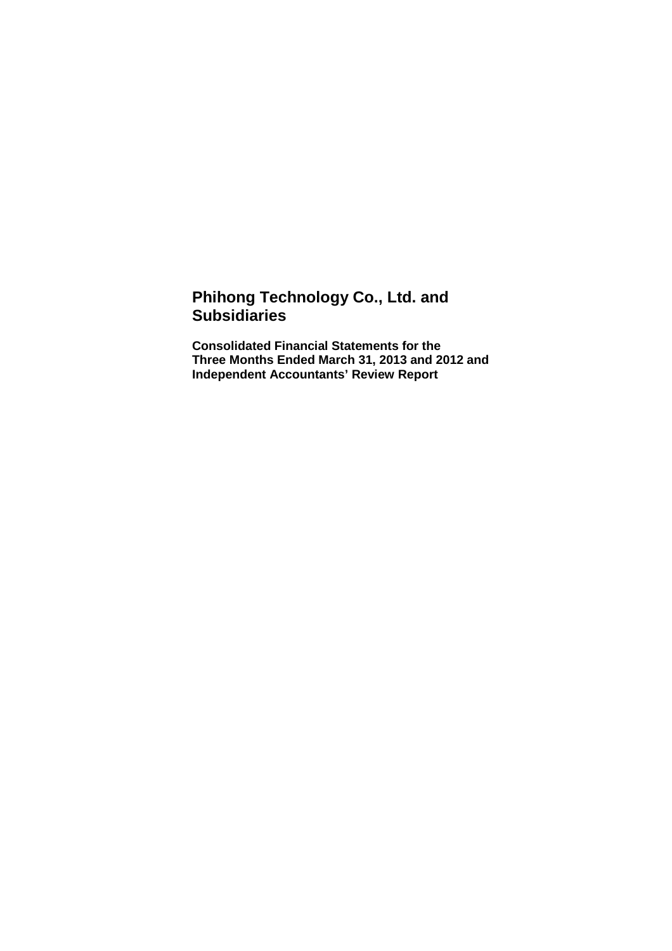# **Phihong Technology Co., Ltd. and Subsidiaries**

**Consolidated Financial Statements for the Three Months Ended March 31, 2013 and 2012 and Independent Accountants' Review Report**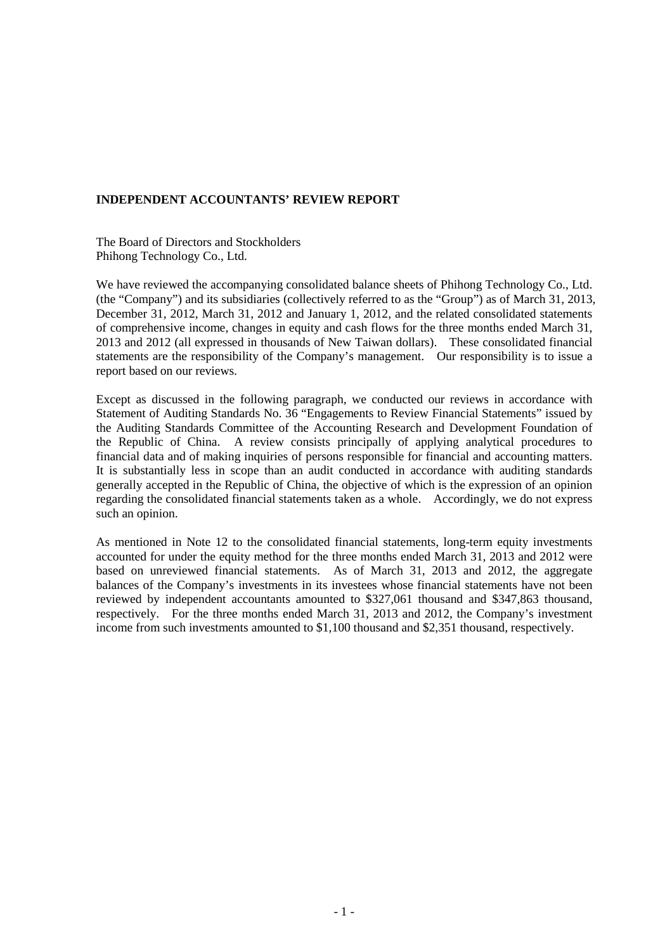#### **INDEPENDENT ACCOUNTANTS' REVIEW REPORT**

The Board of Directors and Stockholders Phihong Technology Co., Ltd.

We have reviewed the accompanying consolidated balance sheets of Phihong Technology Co., Ltd. (the "Company") and its subsidiaries (collectively referred to as the "Group") as of March 31, 2013, December 31, 2012, March 31, 2012 and January 1, 2012, and the related consolidated statements of comprehensive income, changes in equity and cash flows for the three months ended March 31, 2013 and 2012 (all expressed in thousands of New Taiwan dollars). These consolidated financial statements are the responsibility of the Company's management. Our responsibility is to issue a report based on our reviews.

Except as discussed in the following paragraph, we conducted our reviews in accordance with Statement of Auditing Standards No. 36 "Engagements to Review Financial Statements" issued by the Auditing Standards Committee of the Accounting Research and Development Foundation of the Republic of China. A review consists principally of applying analytical procedures to financial data and of making inquiries of persons responsible for financial and accounting matters. It is substantially less in scope than an audit conducted in accordance with auditing standards generally accepted in the Republic of China, the objective of which is the expression of an opinion regarding the consolidated financial statements taken as a whole. Accordingly, we do not express such an opinion.

As mentioned in Note 12 to the consolidated financial statements, long-term equity investments accounted for under the equity method for the three months ended March 31, 2013 and 2012 were based on unreviewed financial statements. As of March 31, 2013 and 2012, the aggregate balances of the Company's investments in its investees whose financial statements have not been reviewed by independent accountants amounted to \$327,061 thousand and \$347,863 thousand, respectively. For the three months ended March 31, 2013 and 2012, the Company's investment income from such investments amounted to \$1,100 thousand and \$2,351 thousand, respectively.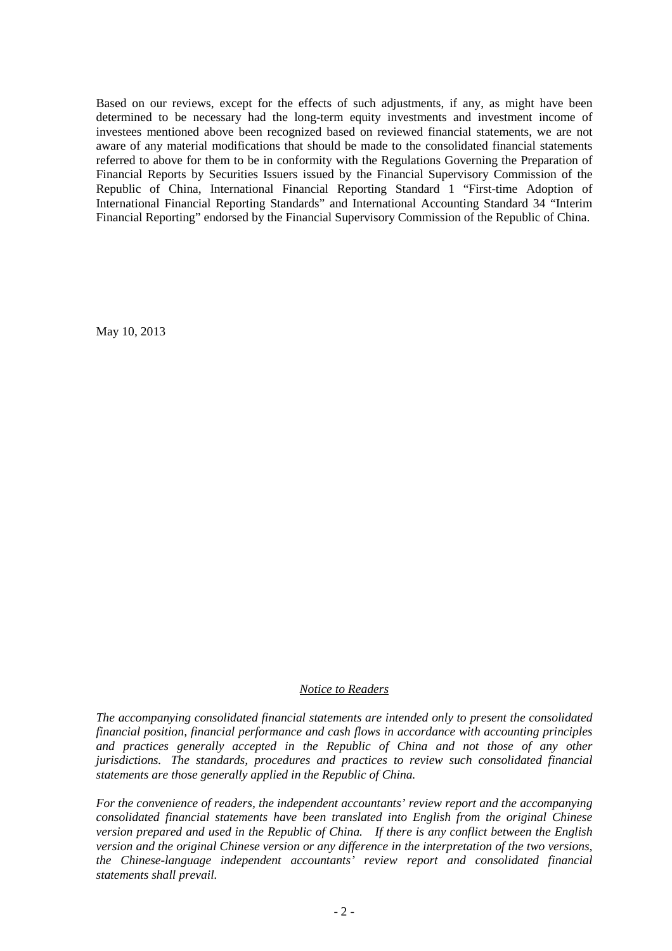Based on our reviews, except for the effects of such adjustments, if any, as might have been determined to be necessary had the long-term equity investments and investment income of investees mentioned above been recognized based on reviewed financial statements, we are not aware of any material modifications that should be made to the consolidated financial statements referred to above for them to be in conformity with the Regulations Governing the Preparation of Financial Reports by Securities Issuers issued by the Financial Supervisory Commission of the Republic of China, International Financial Reporting Standard 1 "First-time Adoption of International Financial Reporting Standards" and International Accounting Standard 34 "Interim Financial Reporting" endorsed by the Financial Supervisory Commission of the Republic of China.

May 10, 2013

#### *Notice to Readers*

*The accompanying consolidated financial statements are intended only to present the consolidated financial position, financial performance and cash flows in accordance with accounting principles*  and practices generally accepted in the Republic of China and not those of any other *jurisdictions. The standards, procedures and practices to review such consolidated financial statements are those generally applied in the Republic of China.* 

*For the convenience of readers, the independent accountants' review report and the accompanying consolidated financial statements have been translated into English from the original Chinese version prepared and used in the Republic of China. If there is any conflict between the English version and the original Chinese version or any difference in the interpretation of the two versions, the Chinese-language independent accountants' review report and consolidated financial statements shall prevail.*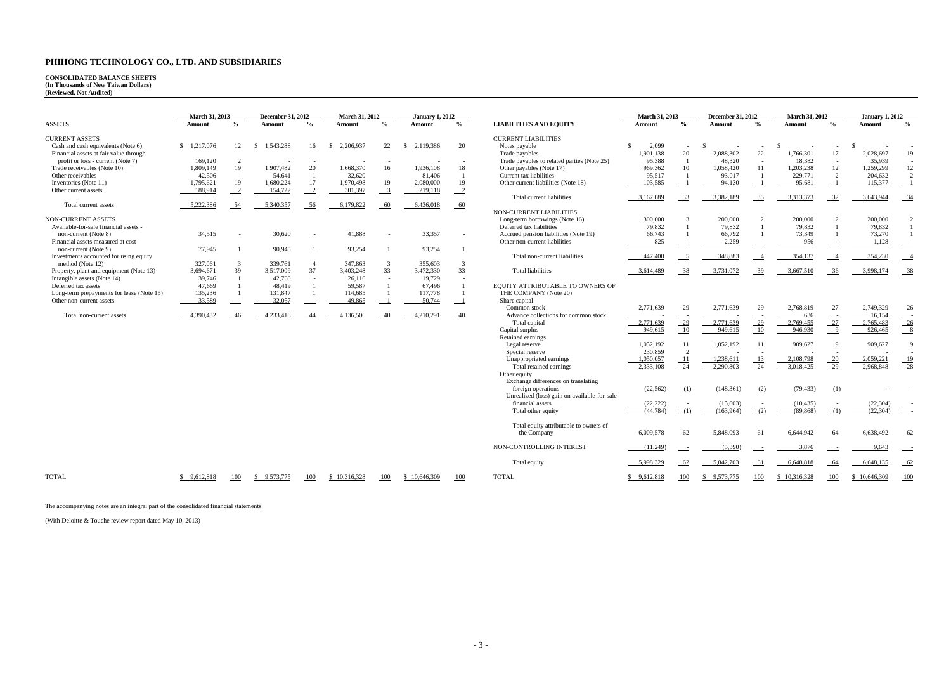# **CONSOLIDATED BALANCE SHEETS (In Thousands of New Taiwan Dollars) (Reviewed, Not Audited)**

|                                           | March 31, 2013 |                          | <b>December 31, 2012</b> |                |     | <b>March 31, 2012</b> |               | <b>January 1, 2012</b> |                            |                                             |
|-------------------------------------------|----------------|--------------------------|--------------------------|----------------|-----|-----------------------|---------------|------------------------|----------------------------|---------------------------------------------|
| <b>ASSETS</b>                             | Amount         | $\frac{0}{0}$            | Amount                   | $\frac{0}{0}$  |     | Amount                | $\frac{0}{0}$ | Amount                 | $\frac{0}{0}$              | <b>LIABILITIES AND EQUITY</b>               |
| <b>CURRENT ASSETS</b>                     |                |                          |                          |                |     |                       |               |                        |                            | <b>CURRENT LIABILITIES</b>                  |
| Cash and cash equivalents (Note 6)        | \$<br>,217,076 | 12                       | \$<br>1,543,288          | 16             | \$. | 2,206,937             | 22            | 2,119,386<br>\$.       | 20                         | Notes payable                               |
| Financial assets at fair value through    |                |                          |                          |                |     |                       |               |                        |                            | Trade payables                              |
| profit or loss - current (Note 7)         | 169,120        | $\overline{2}$           |                          |                |     |                       |               |                        |                            | Trade payables to related parties (Note 25) |
| Trade receivables (Note 10)               | .809,149       | 19                       | 1,907,482                | 20             |     | 1,668,370             | 16            | 1,936,108              | 18                         | Other payables (Note 17)                    |
| Other receivables                         | 42,506         | $\overline{\phantom{a}}$ | 54,641                   |                |     | 32,620                | ٠             | 81,406                 |                            | Current tax liabilities                     |
| Inventories (Note 11)                     | 1,795,621      | 19                       | 1.680.224                | 17             |     | 1.970.498             | 19            | 2,080,000              | 19                         | Other current liabilities (Note 18)         |
| Other current assets                      | 188,914        |                          | 154,722                  |                |     | 301,397               | 3             | 219,118                | $\overline{\phantom{0}}^2$ |                                             |
|                                           |                |                          |                          |                |     |                       |               |                        |                            | Total current liabilities                   |
| Total current assets                      | 5,222,386      | - 54                     | 5,340,357                | - 56           |     | 6,179,822             | 60            | 6,436,018              | - 60                       |                                             |
|                                           |                |                          |                          |                |     |                       |               |                        |                            | NON-CURRENT LIABILITIES                     |
| <b>NON-CURRENT ASSETS</b>                 |                |                          |                          |                |     |                       |               |                        |                            | Long-term borrowings (Note 16)              |
| Available-for-sale financial assets -     |                |                          |                          |                |     |                       |               |                        |                            | Deferred tax liabilities                    |
| non-current (Note 8)                      | 34,515         | ٠                        | 30,620                   |                |     | 41,888                |               | 33,357                 |                            | Accrued pension liabilities (Note 19)       |
| Financial assets measured at cost -       |                |                          |                          |                |     |                       |               |                        |                            | Other non-current liabilities               |
| non-current (Note 9)                      | 77,945         |                          | 90,945                   |                |     | 93,254                |               | 93,254                 |                            |                                             |
| Investments accounted for using equity    |                |                          |                          |                |     |                       |               |                        |                            | Total non-current liabilities               |
| method (Note 12)                          | 327,061        | 3                        | 339,761                  | $\overline{4}$ |     | 347,863               | 3             | 355,603                | 3                          |                                             |
| Property, plant and equipment (Note 13)   | 3,694,671      | 39                       | 3,517,009                | 37             |     | 3,403,248             | 33            | 3,472,330              | 33                         | <b>Total liabilities</b>                    |
| Intangible assets (Note 14)               | 39,746         |                          | 42,760                   |                |     | 26,116                |               | 19,729                 |                            |                                             |
| Deferred tax assets                       | 47,669         |                          | 48,419                   |                |     | 59,587                |               | 67,496                 |                            | EQUITY ATTRIBUTABLE TO OWNERS OF            |
| Long-term prepayments for lease (Note 15) | 135,236        |                          | 131,847                  |                |     | 114,685               |               | 117,778                |                            | THE COMPANY (Note 20)                       |
| Other non-current assets                  | 33,589         |                          | 32,057                   |                |     | 49,865                |               | 50,744                 |                            | Share capital                               |
|                                           |                |                          |                          |                |     |                       |               |                        |                            | Common stock                                |
| Total non-current assets                  | 4,390,432      | 46                       | 4,233,418                | 44             |     | 4,136,506             | 40            | 4,210,291              | 40                         | Advance collections for common stock        |

|                                           | <b>March 31, 2013</b><br><b>December 31, 2012</b><br><b>March 31, 2012</b><br><b>January 1, 2012</b><br>$\frac{0}{0}$<br>$\frac{6}{9}$<br>$\frac{6}{9}$<br><b>Amount</b><br>$\frac{0}{0}$<br>Amount<br>Amount<br>Amount |                |                               |               |                   |                |                           |                           |                                              | <b>March 31, 2013</b>  |                | <b>December 31, 2012</b> |                | <b>March 31, 2012</b> |                          | <b>January 1, 2012</b> |                |
|-------------------------------------------|-------------------------------------------------------------------------------------------------------------------------------------------------------------------------------------------------------------------------|----------------|-------------------------------|---------------|-------------------|----------------|---------------------------|---------------------------|----------------------------------------------|------------------------|----------------|--------------------------|----------------|-----------------------|--------------------------|------------------------|----------------|
| <b>ASSETS</b>                             |                                                                                                                                                                                                                         |                | <b>LIABILITIES AND EQUITY</b> | Amount        | $\frac{0}{0}$     | Amount         | $\frac{9}{0}$             | Amount                    | $\frac{0}{0}$                                | Amount                 | $\frac{0}{0}$  |                          |                |                       |                          |                        |                |
| <b>CURRENT ASSETS</b>                     |                                                                                                                                                                                                                         |                |                               |               |                   |                |                           |                           | <b>CURRENT LIABILITIES</b>                   |                        |                |                          |                |                       |                          |                        |                |
| Cash and cash equivalents (Note 6)        | \$1,217,076                                                                                                                                                                                                             | 12             | 1,543,288<br>S.               | 16            | 2,206,937<br>- SS | 22             | 2,119,386<br><sup>S</sup> | 20                        | Notes payable                                | 2,099<br>$\mathcal{L}$ |                |                          | $\sim$         | -\$                   | $\overline{\phantom{a}}$ | -\$                    |                |
| Financial assets at fair value through    |                                                                                                                                                                                                                         |                |                               |               |                   |                |                           |                           | Trade payables                               | 1,901,138              | 20             | 2,088,302                | 22             | 1,766,301             | 17                       | 2,028,697              | 19             |
| profit or loss - current (Note 7)         | 169,120                                                                                                                                                                                                                 | $\overline{2}$ |                               |               |                   |                |                           |                           | Trade payables to related parties (Note 25)  | 95,388                 |                | 48,320                   | $\sim$         | 18,382                |                          | 35,939                 |                |
| Trade receivables (Note 10)               | 1,809,149                                                                                                                                                                                                               | 19             | 1,907,482                     | 20            | 1,668,370         | 16             | 1,936,108                 | 18                        | Other payables (Note 17)                     | 969,362                | 10             | 1,058,420                | 11             | 1,203,238             | 12                       | 1,259,299              | 12             |
| Other receivables                         | 42,506                                                                                                                                                                                                                  | $\sim$         | 54,641                        |               | 32,620            | $\sim$         | 81,406                    | $\overline{1}$            | Current tax liabilities                      | 95.517                 |                | 93,017                   | $\overline{1}$ | 229,771               | 2                        | 204,632                | $\overline{2}$ |
| Inventories (Note 11)                     | 1,795,621                                                                                                                                                                                                               | 19             | 1,680,224                     | 17            | 1,970,498         | 19             | 2,080,000                 | 19                        | Other current liabilities (Note 18)          | 103,585                |                | 94,130                   |                | 95,681                |                          | 115,377                | $\_\_1$        |
| Other current assets                      | 188,914                                                                                                                                                                                                                 | $\overline{2}$ | 154,722                       | $\frac{2}{2}$ | 301,397           | $\overline{3}$ | 219,118                   | $\overline{\phantom{0}2}$ |                                              |                        |                |                          |                |                       |                          |                        |                |
|                                           |                                                                                                                                                                                                                         |                |                               |               |                   |                |                           |                           | Total current liabilities                    | 3,167,089              | 33             | 3,382,189                | 35             | 3,313,373             | 32                       | 3,643,944              | $-34$          |
| Total current assets                      | 5,222,386                                                                                                                                                                                                               | 54             | 5,340,357                     | 56            | 6,179,822         | -60            | 6,436,018                 | $-60$                     |                                              |                        |                |                          |                |                       |                          |                        |                |
|                                           |                                                                                                                                                                                                                         |                |                               |               |                   |                |                           |                           | NON-CURRENT LIABILITIES                      |                        |                |                          |                |                       |                          |                        |                |
| <b>NON-CURRENT ASSETS</b>                 |                                                                                                                                                                                                                         |                |                               |               |                   |                |                           |                           | Long-term borrowings (Note 16)               | 300,000                |                | 200,000                  |                | 200,000               |                          | 200,000                | 2              |
| Available-for-sale financial assets -     |                                                                                                                                                                                                                         |                |                               |               |                   |                |                           |                           | Deferred tax liabilities                     | 79,832                 |                | 79,832                   |                | 79,832                |                          | 79,832                 | $\overline{1}$ |
| non-current (Note 8)                      | 34,515                                                                                                                                                                                                                  |                | 30,620                        |               | 41,888            |                | 33,357                    |                           | Accrued pension liabilities (Note 19)        | 66,743                 |                | 66,792                   |                | 73,349                |                          | 73,270                 | -1             |
| Financial assets measured at cost         |                                                                                                                                                                                                                         |                |                               |               |                   |                |                           |                           | Other non-current liabilities                | 825                    |                | 2,259                    |                | 956                   |                          | 1,128                  |                |
| non-current (Note 9)                      | 77,945                                                                                                                                                                                                                  |                | 90,945                        |               | 93,254            | $\overline{1}$ | 93,254                    |                           |                                              |                        |                |                          |                |                       |                          |                        |                |
| Investments accounted for using equity    |                                                                                                                                                                                                                         |                |                               |               |                   |                |                           |                           | Total non-current liabilities                | 447,400                |                | 348,883                  |                | 354,137               |                          | 354,230                | $-4$           |
| method (Note 12)                          | 327,061                                                                                                                                                                                                                 | 3              | 339,761                       |               | 347,863           | 3              | 355,603                   | $\mathcal{E}$             |                                              |                        |                |                          |                |                       |                          |                        |                |
| Property, plant and equipment (Note 13)   | 3,694,671                                                                                                                                                                                                               | 39             | 3,517,009                     | 37            | 3,403,248         | 33             | 3,472,330                 | 33                        | <b>Total liabilities</b>                     | 3,614,489              | 38             | 3,731,072                | 39             | 3,667,510             | 36                       | 3,998,174              | $-38$          |
| Intangible assets (Note 14)               | 39,746                                                                                                                                                                                                                  | -1             | 42,760                        |               | 26,116            |                | 19,729                    |                           |                                              |                        |                |                          |                |                       |                          |                        |                |
| Deferred tax assets                       | 47,669                                                                                                                                                                                                                  |                | 48,419                        |               | 59,587            |                | 67,496                    |                           | EQUITY ATTRIBUTABLE TO OWNERS OF             |                        |                |                          |                |                       |                          |                        |                |
| Long-term prepayments for lease (Note 15) | 135,236                                                                                                                                                                                                                 |                | 131,847                       |               | 114,685           |                | 117,778                   |                           | THE COMPANY (Note 20)                        |                        |                |                          |                |                       |                          |                        |                |
| Other non-current assets                  | 33,589                                                                                                                                                                                                                  |                | 32,057                        |               | 49,865            |                | 50,744                    |                           | Share capital                                |                        |                |                          |                |                       |                          |                        |                |
|                                           |                                                                                                                                                                                                                         |                |                               |               |                   |                |                           |                           | Common stock                                 | 2,771,639              | 29             | 2,771,639                | 29             | 2,768,819             | 27                       | 2,749,329              | 26             |
| Total non-current assets                  | 4,390,432                                                                                                                                                                                                               | 46             | 4,233,418                     | -44           | 4,136,506         | 40             | 4,210,291                 | - 40                      | Advance collections for common stock         |                        |                |                          |                | 636                   |                          | 16,154                 |                |
|                                           |                                                                                                                                                                                                                         |                |                               |               |                   |                |                           |                           | Total capital                                | 2,771,639              | $\frac{1}{29}$ | 2,771,639                | $\frac{1}{29}$ | 2,769,455             | $\frac{1}{27}$           | 2,765,483              | $\frac{1}{26}$ |
|                                           |                                                                                                                                                                                                                         |                |                               |               |                   |                |                           |                           | Capital surplus                              | 949,615                | 10             | 949,615                  | 10             | 946.930               | - 9                      | 926,465                | $\frac{8}{1}$  |
|                                           |                                                                                                                                                                                                                         |                |                               |               |                   |                |                           |                           | Retained earnings                            |                        |                |                          |                |                       |                          |                        |                |
|                                           |                                                                                                                                                                                                                         |                |                               |               |                   |                |                           |                           | Legal reserve                                | 1,052,192              | <sup>11</sup>  | 1,052,192                | 11             | 909,627               | $\mathbf{Q}$             | 909,627                | 9              |
|                                           |                                                                                                                                                                                                                         |                |                               |               |                   |                |                           |                           | Special reserve                              | 230,859                | $\overline{2}$ |                          |                |                       |                          |                        |                |
|                                           |                                                                                                                                                                                                                         |                |                               |               |                   |                |                           |                           | Unappropriated earnings                      | 1,050,057              | 11             | 1,238,611                | 13             | 2,108,798             | $\overline{20}$          | 2,059,221              | 19             |
|                                           |                                                                                                                                                                                                                         |                |                               |               |                   |                |                           |                           | Total retained earnings                      | 2,333,108              | 24             | 2,290,803                | 24             | 3,018,425             | 29                       | 2,968,848              | $-28$          |
|                                           |                                                                                                                                                                                                                         |                |                               |               |                   |                |                           |                           | Other equity                                 |                        |                |                          |                |                       |                          |                        |                |
|                                           |                                                                                                                                                                                                                         |                |                               |               |                   |                |                           |                           | Exchange differences on translating          |                        |                |                          |                |                       |                          |                        |                |
|                                           |                                                                                                                                                                                                                         |                |                               |               |                   |                |                           |                           | foreign operations                           | (22, 562)              | (1)            | (148, 361)               | (2)            | (79, 433)             | (1)                      |                        |                |
|                                           |                                                                                                                                                                                                                         |                |                               |               |                   |                |                           |                           | Unrealized (loss) gain on available-for-sale |                        |                |                          |                |                       |                          |                        |                |
|                                           |                                                                                                                                                                                                                         |                |                               |               |                   |                |                           |                           | financial assets                             | (22, 222)              |                | (15,603)                 |                | (10, 435)             |                          | (22, 304)              |                |
|                                           |                                                                                                                                                                                                                         |                |                               |               |                   |                |                           |                           | Total other equity                           | (44, 784)              | (1)            | (163,964)                | (2)            | (89, 868)             | (1)                      | (22, 304)              | $\sim$ $-$     |
|                                           |                                                                                                                                                                                                                         |                |                               |               |                   |                |                           |                           |                                              |                        |                |                          |                |                       |                          |                        |                |
|                                           |                                                                                                                                                                                                                         |                |                               |               |                   |                |                           |                           | Total equity attributable to owners of       | 6,009,578              | 62             | 5,848,093                | 61             | 6,644,942             | 64                       | 6,638,492              | 62             |
|                                           |                                                                                                                                                                                                                         |                |                               |               |                   |                |                           |                           | the Company                                  |                        |                |                          |                |                       |                          |                        |                |
|                                           |                                                                                                                                                                                                                         |                |                               |               |                   |                |                           |                           | NON-CONTROLLING INTEREST                     | (11,249)               |                | (5.390)                  |                | 3,876                 |                          | 9.643                  |                |
|                                           |                                                                                                                                                                                                                         |                |                               |               |                   |                |                           |                           | Total equity                                 | 5,998,329              | 62             | 5,842,703                | - 61           | 6,648,818             | - 64                     | 6,648,135              | $-62$          |
| <b>TOTAL</b>                              | \$9,612,818                                                                                                                                                                                                             | <b>100</b>     | \$9,573,775                   | 100           | \$10,316,328      | 100            | \$10,646,309              | 100                       | <b>TOTAL</b>                                 | \$9,612,818            | 100            | \$9,573,775              | 100            | \$10,316,328          | 100                      | \$10,646,309           | 100            |

The accompanying notes are an integral part of the consolidated financial statements.

(With Deloitte & Touche review report dated May 10, 2013)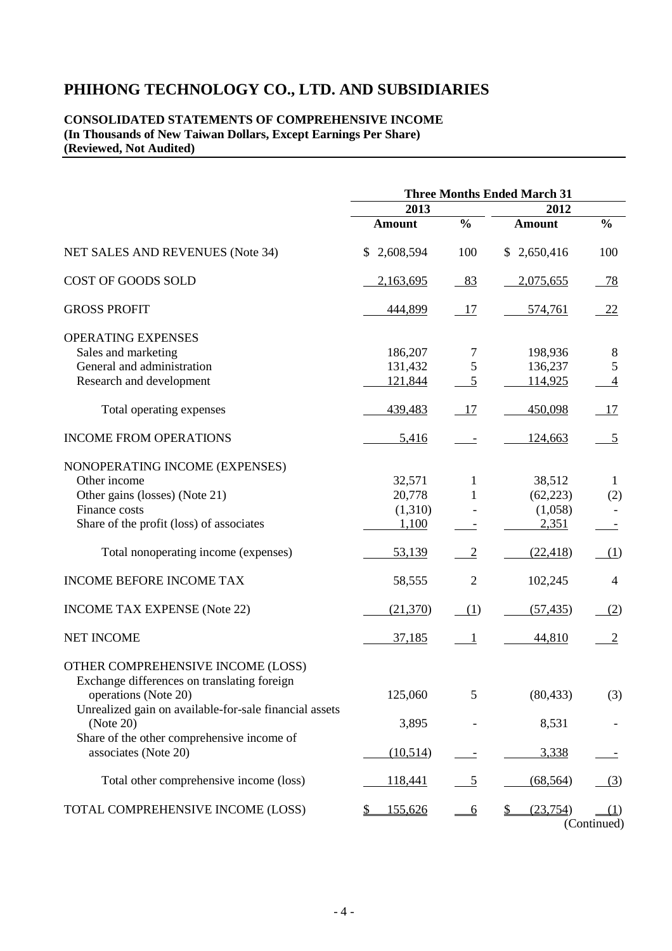#### **CONSOLIDATED STATEMENTS OF COMPREHENSIVE INCOME (In Thousands of New Taiwan Dollars, Except Earnings Per Share) (Reviewed, Not Audited)**

|                                                                     | <b>Three Months Ended March 31</b> |                 |                            |                    |  |  |
|---------------------------------------------------------------------|------------------------------------|-----------------|----------------------------|--------------------|--|--|
|                                                                     | 2013                               |                 | 2012                       |                    |  |  |
|                                                                     | <b>Amount</b>                      | $\frac{0}{0}$   | <b>Amount</b>              | $\frac{0}{0}$      |  |  |
| NET SALES AND REVENUES (Note 34)                                    | 2,608,594<br>\$                    | 100             | 2,650,416<br>\$            | 100                |  |  |
| COST OF GOODS SOLD                                                  | 2,163,695                          | 83              | 2,075,655                  | - 78               |  |  |
| <b>GROSS PROFIT</b>                                                 | 444,899                            | <u>17</u>       | 574,761                    | 22                 |  |  |
| <b>OPERATING EXPENSES</b>                                           |                                    |                 |                            |                    |  |  |
| Sales and marketing                                                 | 186,207                            | 7               | 198,936                    | 8                  |  |  |
| General and administration                                          | 131,432                            | $\mathfrak{S}$  | 136,237                    | $\mathfrak{S}$     |  |  |
| Research and development                                            | 121,844                            | 5               | 114,925                    | $\overline{4}$     |  |  |
| Total operating expenses                                            | 439,483                            | 17              | 450,098                    | <u>17</u>          |  |  |
| <b>INCOME FROM OPERATIONS</b>                                       | 5,416                              |                 | 124,663                    | $\overline{5}$     |  |  |
| NONOPERATING INCOME (EXPENSES)                                      |                                    |                 |                            |                    |  |  |
| Other income                                                        | 32,571                             | 1               | 38,512                     | $\mathbf{1}$       |  |  |
| Other gains (losses) (Note 21)                                      | 20,778                             | 1               | (62, 223)                  | (2)                |  |  |
| Finance costs                                                       | (1,310)                            |                 | (1,058)                    |                    |  |  |
| Share of the profit (loss) of associates                            | 1,100                              |                 | 2,351                      |                    |  |  |
| Total nonoperating income (expenses)                                | 53,139                             | $\overline{2}$  | (22, 418)                  | (1)                |  |  |
| <b>INCOME BEFORE INCOME TAX</b>                                     | 58,555                             | $\overline{2}$  | 102,245                    | 4                  |  |  |
| <b>INCOME TAX EXPENSE (Note 22)</b>                                 | (21,370)                           | (1)             | (57, 435)                  | (2)                |  |  |
| <b>NET INCOME</b>                                                   | 37,185                             | $\mathbf{1}$    | 44,810                     | $\overline{2}$     |  |  |
| OTHER COMPREHENSIVE INCOME (LOSS)                                   |                                    |                 |                            |                    |  |  |
| Exchange differences on translating foreign<br>operations (Note 20) | 125,060                            | 5               | (80, 433)                  | (3)                |  |  |
| Unrealized gain on available-for-sale financial assets<br>(Note 20) | 3,895                              |                 | 8,531                      |                    |  |  |
| Share of the other comprehensive income of<br>associates (Note 20)  | (10,514)                           |                 | 3,338                      |                    |  |  |
| Total other comprehensive income (loss)                             | 118,441                            | 5               | (68, 564)                  | (3)                |  |  |
| TOTAL COMPREHENSIVE INCOME (LOSS)                                   | \$<br>155,626                      | $\underline{6}$ | (23, 754)<br>$\frac{1}{2}$ | (1)<br>(Continued) |  |  |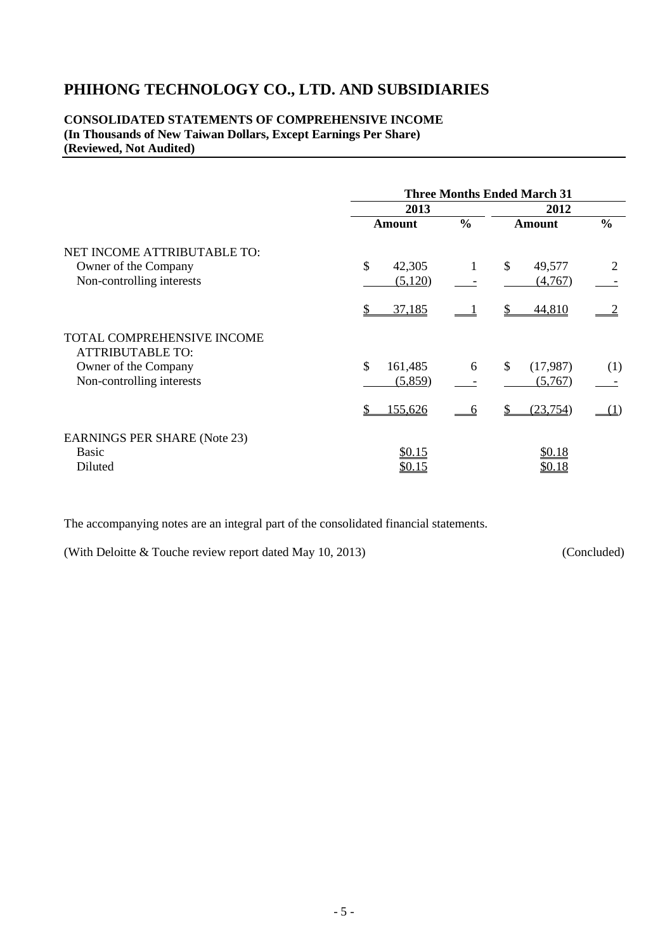#### **CONSOLIDATED STATEMENTS OF COMPREHENSIVE INCOME (In Thousands of New Taiwan Dollars, Except Earnings Per Share) (Reviewed, Not Audited)**

|                                                       | <b>Three Months Ended March 31</b> |               |                          |               |  |  |
|-------------------------------------------------------|------------------------------------|---------------|--------------------------|---------------|--|--|
|                                                       | 2013                               | 2012          |                          |               |  |  |
|                                                       | <b>Amount</b>                      | $\frac{0}{0}$ | <b>Amount</b>            | $\frac{0}{0}$ |  |  |
| NET INCOME ATTRIBUTABLE TO:                           |                                    |               |                          |               |  |  |
| Owner of the Company                                  | \$<br>42,305                       | $\mathbf{1}$  | \$<br>49,577             | 2             |  |  |
| Non-controlling interests                             | (5,120)                            |               | (4,767)                  |               |  |  |
|                                                       | 37,185                             |               | 44,810                   |               |  |  |
| TOTAL COMPREHENSIVE INCOME<br><b>ATTRIBUTABLE TO:</b> |                                    |               |                          |               |  |  |
| Owner of the Company                                  | \$<br>161,485                      | 6             | $\mathbb{S}$<br>(17,987) | (1)           |  |  |
| Non-controlling interests                             | (5,859)                            |               | (5,767)                  |               |  |  |
|                                                       | \$<br>155,626                      | 6             | (23, 754)                | (1)           |  |  |
| <b>EARNINGS PER SHARE (Note 23)</b>                   |                                    |               |                          |               |  |  |
| Basic                                                 | \$0.15                             |               | \$0.18                   |               |  |  |
| Diluted                                               | <u>\$0.15</u>                      |               | <u>\$0.18</u>            |               |  |  |

The accompanying notes are an integral part of the consolidated financial statements.

(With Deloitte & Touche review report dated May 10, 2013) (Concluded)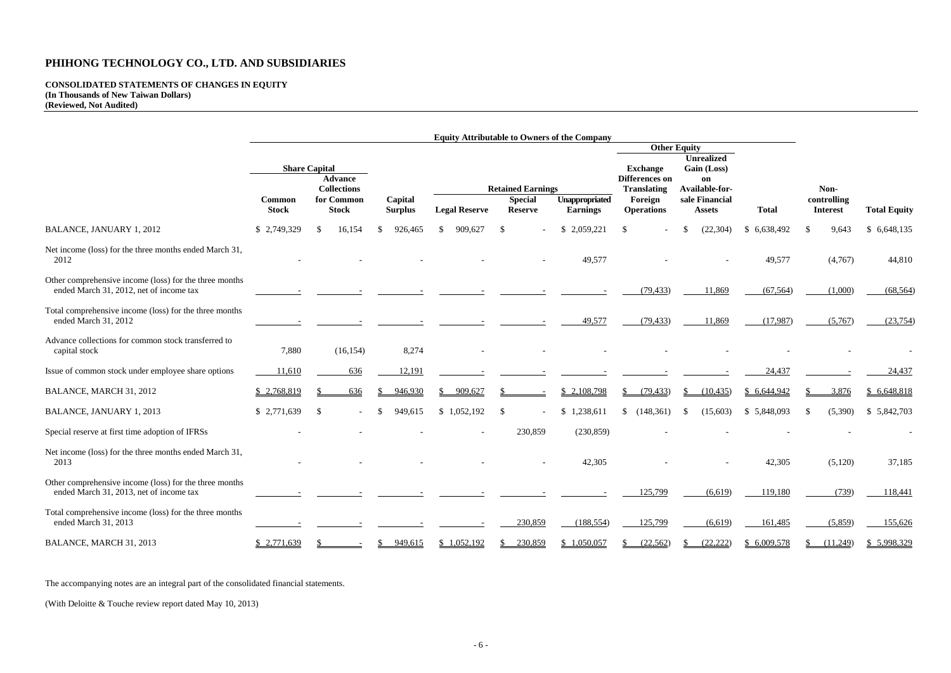# **CONSOLIDATED STATEMENTS OF CHANGES IN EQUITY (In Thousands of New Taiwan Dollars) (Reviewed, Not Audited)**

|                                                                                                   | <b>Equity Attributable to Owners of the Company</b> |                                           |                           |                          |                                  |                                   |                                             |                                 |              |                                |                     |
|---------------------------------------------------------------------------------------------------|-----------------------------------------------------|-------------------------------------------|---------------------------|--------------------------|----------------------------------|-----------------------------------|---------------------------------------------|---------------------------------|--------------|--------------------------------|---------------------|
|                                                                                                   |                                                     |                                           |                           |                          |                                  |                                   | <b>Other Equity</b><br><b>Unrealized</b>    |                                 |              |                                |                     |
|                                                                                                   |                                                     | <b>Share Capital</b>                      |                           |                          |                                  |                                   | <b>Exchange</b>                             | Gain (Loss)                     |              |                                |                     |
|                                                                                                   |                                                     | <b>Advance</b><br><b>Collections</b>      |                           | <b>Retained Earnings</b> |                                  |                                   | <b>Differences on</b><br><b>Translating</b> | on<br>Available-for-            |              | Non-                           |                     |
|                                                                                                   | Common<br><b>Stock</b>                              | for Common<br><b>Stock</b>                | Capital<br><b>Surplus</b> | <b>Legal Reserve</b>     | <b>Special</b><br><b>Reserve</b> | Unappropriated<br><b>Earnings</b> | Foreign<br><b>Operations</b>                | sale Financial<br><b>Assets</b> | <b>Total</b> | controlling<br><b>Interest</b> | <b>Total Equity</b> |
| <b>BALANCE, JANUARY 1, 2012</b>                                                                   | \$2,749,329                                         | 16,154<br>-S                              | 926,465                   | 909,627<br>-SS           |                                  | \$2,059,221                       | -S                                          | (22, 304)                       | \$6,638,492  | 9,643<br>-S                    | \$6,648,135         |
| Net income (loss) for the three months ended March 31,<br>2012                                    |                                                     |                                           |                           |                          |                                  | 49,577                            |                                             |                                 | 49,577       | (4,767)                        | 44,810              |
| Other comprehensive income (loss) for the three months<br>ended March 31, 2012, net of income tax |                                                     |                                           |                           |                          |                                  |                                   | (79, 433)                                   | 11,869                          | (67, 564)    | (1,000)                        | (68, 564)           |
| Total comprehensive income (loss) for the three months<br>ended March 31, 2012                    |                                                     |                                           |                           |                          |                                  | 49,577                            | (79, 433)                                   | 11,869                          | (17,987)     | (5,767)                        | (23,754)            |
| Advance collections for common stock transferred to<br>capital stock                              | 7,880                                               | (16, 154)                                 | 8,274                     |                          |                                  |                                   |                                             |                                 |              |                                |                     |
| Issue of common stock under employee share options                                                | 11,610                                              | 636                                       | 12,191                    |                          |                                  |                                   |                                             |                                 | 24,437       |                                | 24,437              |
| BALANCE, MARCH 31, 2012                                                                           | \$2,768,819                                         | 636                                       | 946,930                   | 909,627                  |                                  | \$2,108,798                       | (79, 433)                                   | (10, 435)                       | \$6,644,942  | 3,876                          | \$6,648,818         |
| <b>BALANCE, JANUARY 1, 2013</b>                                                                   | \$2,771,639                                         | $\mathcal{S}$<br>$\overline{\phantom{a}}$ | 949,615                   | \$1,052,192              | -S                               | \$1,238,611                       | \$(148,361)                                 | (15,603)<br>-S                  | \$5,848,093  | (5,390)                        | \$5,842,703         |
| Special reserve at first time adoption of IFRSs                                                   |                                                     |                                           |                           |                          | 230,859                          | (230, 859)                        |                                             |                                 |              |                                |                     |
| Net income (loss) for the three months ended March 31,<br>2013                                    |                                                     |                                           |                           |                          |                                  | 42,305                            |                                             |                                 | 42,305       | (5,120)                        | 37,185              |
| Other comprehensive income (loss) for the three months<br>ended March 31, 2013, net of income tax |                                                     |                                           |                           |                          |                                  |                                   | 125,799                                     | (6,619)                         | 119,180      | (739)                          | 118,441             |
| Total comprehensive income (loss) for the three months<br>ended March 31, 2013                    |                                                     |                                           |                           |                          | 230,859                          | (188, 554)                        | 125,799                                     | (6,619)                         | 161,485      | (5,859)                        | 155,626             |
| BALANCE, MARCH 31, 2013                                                                           | \$2,771,639                                         |                                           | 949,615                   | \$1,052,192              | 230,859                          | \$1,050,057                       | (22, 562)                                   | (22, 222)                       | \$6,009,578  | (11,249)                       | \$ 5,998,329        |

The accompanying notes are an integral part of the consolidated financial statements.

(With Deloitte & Touche review report dated May 10, 2013)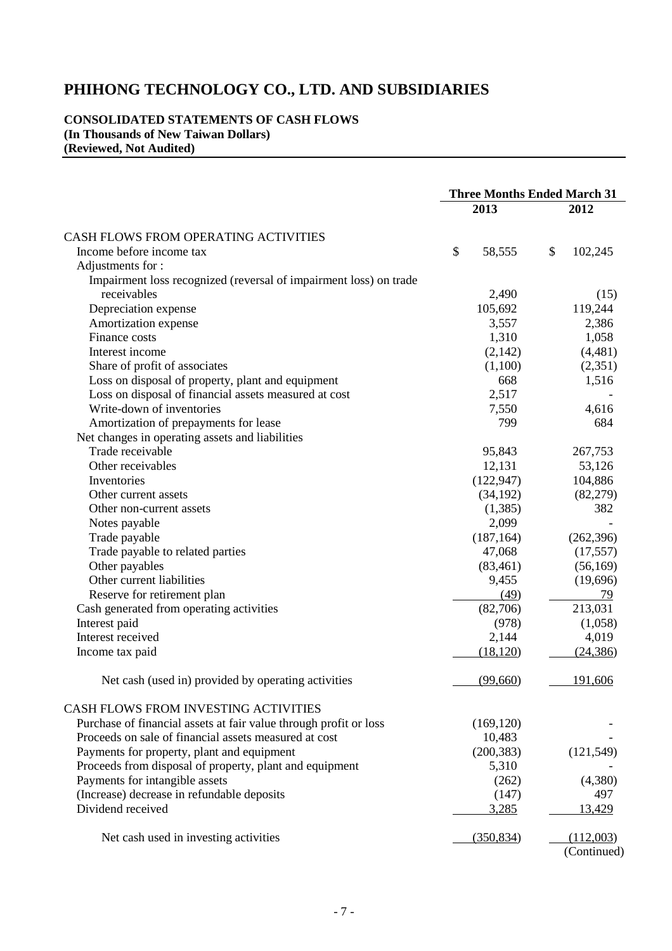**CONSOLIDATED STATEMENTS OF CASH FLOWS (In Thousands of New Taiwan Dollars) (Reviewed, Not Audited)** 

|                                                                   | <b>Three Months Ended March 31</b> |               |  |
|-------------------------------------------------------------------|------------------------------------|---------------|--|
|                                                                   | 2013                               | 2012          |  |
| CASH FLOWS FROM OPERATING ACTIVITIES                              |                                    |               |  |
| Income before income tax                                          | \$<br>58,555                       | \$<br>102,245 |  |
| Adjustments for:                                                  |                                    |               |  |
| Impairment loss recognized (reversal of impairment loss) on trade |                                    |               |  |
| receivables                                                       | 2,490                              | (15)          |  |
| Depreciation expense                                              | 105,692                            | 119,244       |  |
| Amortization expense                                              | 3,557                              | 2,386         |  |
| Finance costs                                                     | 1,310                              | 1,058         |  |
| Interest income                                                   | (2,142)                            | (4,481)       |  |
| Share of profit of associates                                     | (1,100)                            | (2,351)       |  |
| Loss on disposal of property, plant and equipment                 | 668                                | 1,516         |  |
| Loss on disposal of financial assets measured at cost             | 2,517                              |               |  |
| Write-down of inventories                                         | 7,550                              | 4,616         |  |
| Amortization of prepayments for lease                             | 799                                | 684           |  |
| Net changes in operating assets and liabilities                   |                                    |               |  |
| Trade receivable                                                  | 95,843                             | 267,753       |  |
| Other receivables                                                 | 12,131                             | 53,126        |  |
| Inventories                                                       | (122, 947)                         | 104,886       |  |
| Other current assets                                              | (34, 192)                          | (82,279)      |  |
| Other non-current assets                                          | (1,385)                            | 382           |  |
| Notes payable                                                     | 2,099                              |               |  |
| Trade payable                                                     | (187, 164)                         | (262, 396)    |  |
| Trade payable to related parties                                  | 47,068                             | (17, 557)     |  |
| Other payables                                                    | (83, 461)                          | (56, 169)     |  |
| Other current liabilities                                         | 9,455                              | (19,696)      |  |
| Reserve for retirement plan                                       | (49)                               | 79            |  |
| Cash generated from operating activities                          | (82,706)                           | 213,031       |  |
| Interest paid                                                     | (978)                              | (1,058)       |  |
| Interest received                                                 | 2,144                              | 4,019         |  |
| Income tax paid                                                   | (18, 120)                          | (24, 386)     |  |
| Net cash (used in) provided by operating activities               | (99,660)                           | 191,606       |  |
| CASH FLOWS FROM INVESTING ACTIVITIES                              |                                    |               |  |
| Purchase of financial assets at fair value through profit or loss | (169, 120)                         |               |  |
| Proceeds on sale of financial assets measured at cost             | 10,483                             |               |  |
| Payments for property, plant and equipment                        | (200, 383)                         | (121, 549)    |  |
| Proceeds from disposal of property, plant and equipment           | 5,310                              |               |  |
| Payments for intangible assets                                    | (262)                              | (4,380)       |  |
| (Increase) decrease in refundable deposits                        | (147)                              | 497           |  |
| Dividend received                                                 | 3,285                              | 13,429        |  |
| Net cash used in investing activities                             | (350, 834)                         | (112,003)     |  |

(Continued)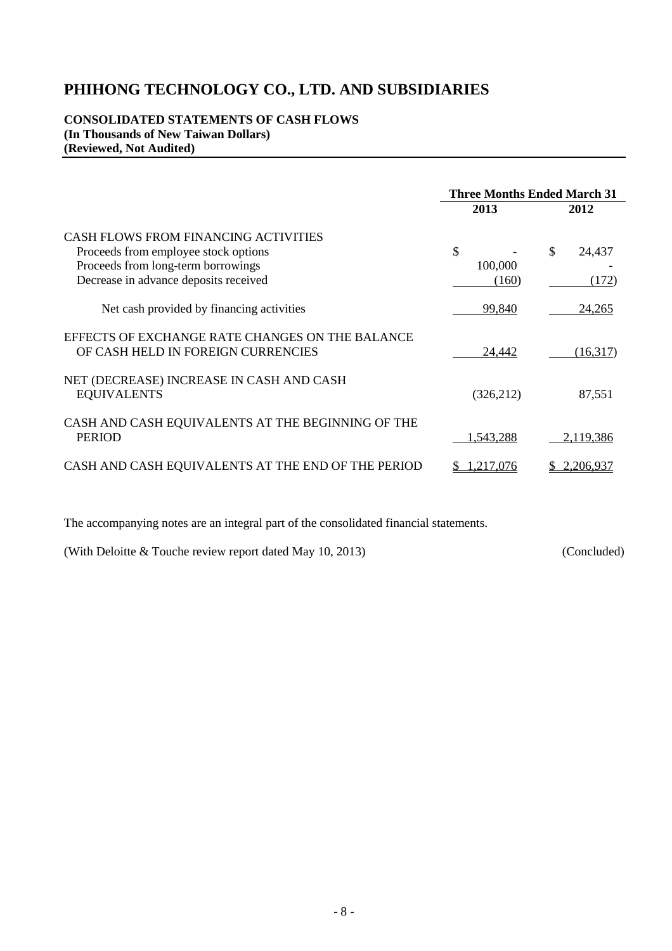#### **CONSOLIDATED STATEMENTS OF CASH FLOWS (In Thousands of New Taiwan Dollars) (Reviewed, Not Audited)**

|                                                                                                                                                             | <b>Three Months Ended March 31</b> |                       |  |  |
|-------------------------------------------------------------------------------------------------------------------------------------------------------------|------------------------------------|-----------------------|--|--|
|                                                                                                                                                             | 2013                               | 2012                  |  |  |
| CASH FLOWS FROM FINANCING ACTIVITIES<br>Proceeds from employee stock options<br>Proceeds from long-term borrowings<br>Decrease in advance deposits received | \$<br>100,000<br>(160)             | \$<br>24,437<br>(172) |  |  |
| Net cash provided by financing activities                                                                                                                   | 99,840                             | 24,265                |  |  |
| EFFECTS OF EXCHANGE RATE CHANGES ON THE BALANCE<br>OF CASH HELD IN FOREIGN CURRENCIES                                                                       | 24,442                             | (16,317)              |  |  |
| NET (DECREASE) INCREASE IN CASH AND CASH<br><b>EQUIVALENTS</b>                                                                                              | (326, 212)                         | 87,551                |  |  |
| CASH AND CASH EQUIVALENTS AT THE BEGINNING OF THE<br><b>PERIOD</b>                                                                                          | 1,543,288                          | 2,119,386             |  |  |
| CASH AND CASH EQUIVALENTS AT THE END OF THE PERIOD                                                                                                          | .217,076                           | 2,206,937             |  |  |

The accompanying notes are an integral part of the consolidated financial statements.

(With Deloitte & Touche review report dated May 10, 2013) (Concluded)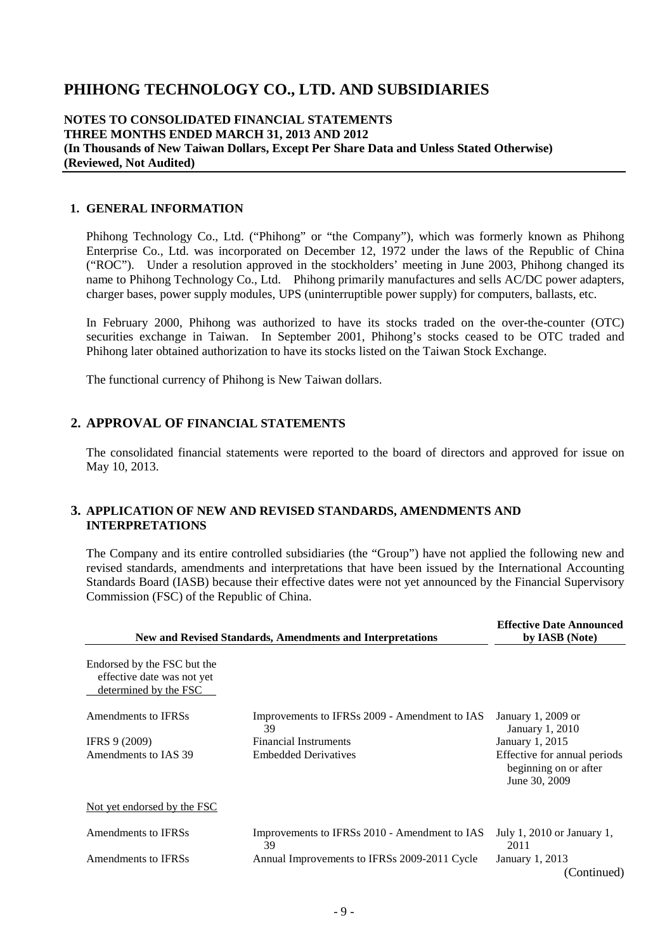#### **NOTES TO CONSOLIDATED FINANCIAL STATEMENTS THREE MONTHS ENDED MARCH 31, 2013 AND 2012 (In Thousands of New Taiwan Dollars, Except Per Share Data and Unless Stated Otherwise) (Reviewed, Not Audited)**

#### **1. GENERAL INFORMATION**

Phihong Technology Co., Ltd. ("Phihong" or "the Company"), which was formerly known as Phihong Enterprise Co., Ltd. was incorporated on December 12, 1972 under the laws of the Republic of China ("ROC"). Under a resolution approved in the stockholders' meeting in June 2003, Phihong changed its name to Phihong Technology Co., Ltd. Phihong primarily manufactures and sells AC/DC power adapters, charger bases, power supply modules, UPS (uninterruptible power supply) for computers, ballasts, etc.

In February 2000, Phihong was authorized to have its stocks traded on the over-the-counter (OTC) securities exchange in Taiwan. In September 2001, Phihong's stocks ceased to be OTC traded and Phihong later obtained authorization to have its stocks listed on the Taiwan Stock Exchange.

The functional currency of Phihong is New Taiwan dollars.

#### **2. APPROVAL OF FINANCIAL STATEMENTS**

The consolidated financial statements were reported to the board of directors and approved for issue on May 10, 2013.

#### **3. APPLICATION OF NEW AND REVISED STANDARDS, AMENDMENTS AND INTERPRETATIONS**

The Company and its entire controlled subsidiaries (the "Group") have not applied the following new and revised standards, amendments and interpretations that have been issued by the International Accounting Standards Board (IASB) because their effective dates were not yet announced by the Financial Supervisory Commission (FSC) of the Republic of China.

| New and Revised Standards, Amendments and Interpretations                          | <b>Effective Date Announced</b><br>by IASB (Note)   |                                                                        |  |
|------------------------------------------------------------------------------------|-----------------------------------------------------|------------------------------------------------------------------------|--|
| Endorsed by the FSC but the<br>effective date was not yet<br>determined by the FSC |                                                     |                                                                        |  |
| Amendments to IFRSs                                                                | Improvements to IFRSs 2009 - Amendment to IAS<br>39 | January 1, 2009 or<br>January 1, 2010                                  |  |
| IFRS 9 (2009)                                                                      | <b>Financial Instruments</b>                        | January 1, 2015                                                        |  |
| Amendments to IAS 39                                                               | <b>Embedded Derivatives</b>                         | Effective for annual periods<br>beginning on or after<br>June 30, 2009 |  |
| Not yet endorsed by the FSC                                                        |                                                     |                                                                        |  |
| Amendments to IFRSs                                                                | Improvements to IFRSs 2010 - Amendment to IAS<br>39 | July 1, $2010$ or January 1,<br>2011                                   |  |
| Amendments to IFRSs                                                                | Annual Improvements to IFRSs 2009-2011 Cycle        | January 1, 2013<br>(Continued)                                         |  |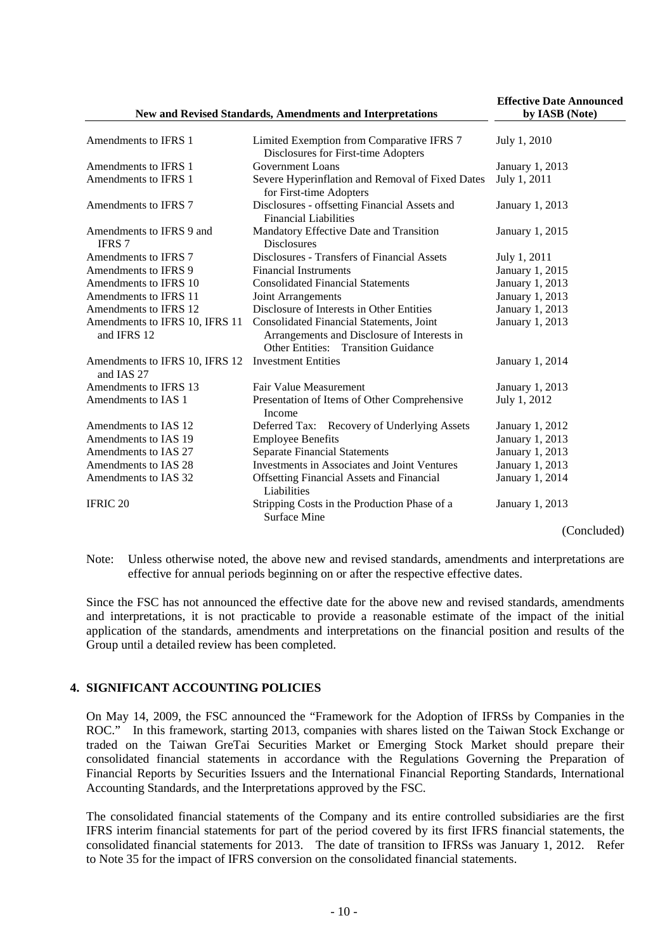#### **New and Revised Standards, Amendments and Interpretations**

**Effective Date Announced by IASB (Note)** 

| Amendments to IFRS 1                          | Limited Exemption from Comparative IFRS 7<br>Disclosures for First-time Adopters                                                      | July 1, 2010    |
|-----------------------------------------------|---------------------------------------------------------------------------------------------------------------------------------------|-----------------|
| Amendments to IFRS 1                          | <b>Government Loans</b>                                                                                                               | January 1, 2013 |
| Amendments to IFRS 1                          | Severe Hyperinflation and Removal of Fixed Dates<br>for First-time Adopters                                                           | July 1, 2011    |
| Amendments to IFRS 7                          | Disclosures - offsetting Financial Assets and<br><b>Financial Liabilities</b>                                                         | January 1, 2013 |
| Amendments to IFRS 9 and<br><b>IFRS 7</b>     | Mandatory Effective Date and Transition<br><b>Disclosures</b>                                                                         | January 1, 2015 |
| Amendments to IFRS 7                          | Disclosures - Transfers of Financial Assets                                                                                           | July 1, 2011    |
| Amendments to IFRS 9                          | <b>Financial Instruments</b>                                                                                                          | January 1, 2015 |
| Amendments to IFRS 10                         | <b>Consolidated Financial Statements</b>                                                                                              | January 1, 2013 |
| Amendments to IFRS 11                         | Joint Arrangements                                                                                                                    | January 1, 2013 |
| Amendments to IFRS 12                         | Disclosure of Interests in Other Entities                                                                                             | January 1, 2013 |
| Amendments to IFRS 10, IFRS 11<br>and IFRS 12 | Consolidated Financial Statements, Joint<br>Arrangements and Disclosure of Interests in<br><b>Other Entities: Transition Guidance</b> | January 1, 2013 |
| Amendments to IFRS 10, IFRS 12<br>and IAS 27  | <b>Investment Entities</b>                                                                                                            | January 1, 2014 |
| Amendments to IFRS 13                         | Fair Value Measurement                                                                                                                | January 1, 2013 |
| Amendments to IAS 1                           | Presentation of Items of Other Comprehensive<br>Income                                                                                | July 1, 2012    |
| Amendments to IAS 12                          | Deferred Tax: Recovery of Underlying Assets                                                                                           | January 1, 2012 |
| Amendments to IAS 19                          | <b>Employee Benefits</b>                                                                                                              | January 1, 2013 |
| Amendments to IAS 27                          | <b>Separate Financial Statements</b>                                                                                                  | January 1, 2013 |
| Amendments to IAS 28                          | Investments in Associates and Joint Ventures                                                                                          | January 1, 2013 |
| Amendments to IAS 32                          | <b>Offsetting Financial Assets and Financial</b><br>Liabilities                                                                       | January 1, 2014 |
| <b>IFRIC 20</b>                               | Stripping Costs in the Production Phase of a<br>Surface Mine                                                                          | January 1, 2013 |
|                                               |                                                                                                                                       | (Concluded)     |

Note: Unless otherwise noted, the above new and revised standards, amendments and interpretations are effective for annual periods beginning on or after the respective effective dates.

Since the FSC has not announced the effective date for the above new and revised standards, amendments and interpretations, it is not practicable to provide a reasonable estimate of the impact of the initial application of the standards, amendments and interpretations on the financial position and results of the Group until a detailed review has been completed.

#### **4. SIGNIFICANT ACCOUNTING POLICIES**

On May 14, 2009, the FSC announced the "Framework for the Adoption of IFRSs by Companies in the ROC." In this framework, starting 2013, companies with shares listed on the Taiwan Stock Exchange or traded on the Taiwan GreTai Securities Market or Emerging Stock Market should prepare their consolidated financial statements in accordance with the Regulations Governing the Preparation of Financial Reports by Securities Issuers and the International Financial Reporting Standards, International Accounting Standards, and the Interpretations approved by the FSC.

The consolidated financial statements of the Company and its entire controlled subsidiaries are the first IFRS interim financial statements for part of the period covered by its first IFRS financial statements, the consolidated financial statements for 2013. The date of transition to IFRSs was January 1, 2012. Refer to Note 35 for the impact of IFRS conversion on the consolidated financial statements.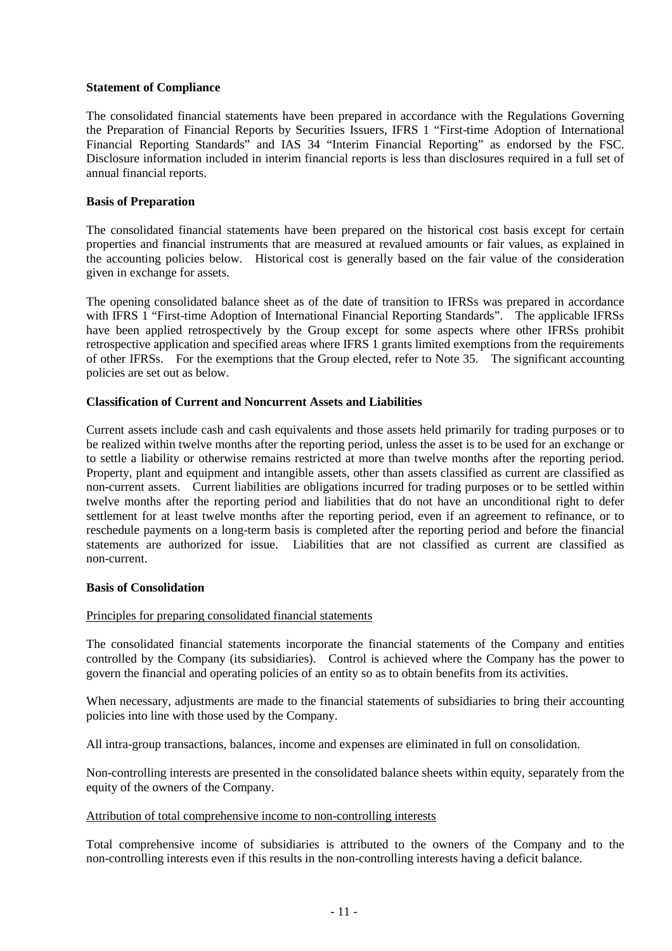#### **Statement of Compliance**

The consolidated financial statements have been prepared in accordance with the Regulations Governing the Preparation of Financial Reports by Securities Issuers, IFRS 1 "First-time Adoption of International Financial Reporting Standards" and IAS 34 "Interim Financial Reporting" as endorsed by the FSC. Disclosure information included in interim financial reports is less than disclosures required in a full set of annual financial reports.

#### **Basis of Preparation**

The consolidated financial statements have been prepared on the historical cost basis except for certain properties and financial instruments that are measured at revalued amounts or fair values, as explained in the accounting policies below. Historical cost is generally based on the fair value of the consideration given in exchange for assets.

The opening consolidated balance sheet as of the date of transition to IFRSs was prepared in accordance with IFRS 1 "First-time Adoption of International Financial Reporting Standards". The applicable IFRSs have been applied retrospectively by the Group except for some aspects where other IFRSs prohibit retrospective application and specified areas where IFRS 1 grants limited exemptions from the requirements of other IFRSs. For the exemptions that the Group elected, refer to Note 35. The significant accounting policies are set out as below.

#### **Classification of Current and Noncurrent Assets and Liabilities**

Current assets include cash and cash equivalents and those assets held primarily for trading purposes or to be realized within twelve months after the reporting period, unless the asset is to be used for an exchange or to settle a liability or otherwise remains restricted at more than twelve months after the reporting period. Property, plant and equipment and intangible assets, other than assets classified as current are classified as non-current assets. Current liabilities are obligations incurred for trading purposes or to be settled within twelve months after the reporting period and liabilities that do not have an unconditional right to defer settlement for at least twelve months after the reporting period, even if an agreement to refinance, or to reschedule payments on a long-term basis is completed after the reporting period and before the financial statements are authorized for issue. Liabilities that are not classified as current are classified as non-current.

#### **Basis of Consolidation**

#### Principles for preparing consolidated financial statements

The consolidated financial statements incorporate the financial statements of the Company and entities controlled by the Company (its subsidiaries). Control is achieved where the Company has the power to govern the financial and operating policies of an entity so as to obtain benefits from its activities.

When necessary, adjustments are made to the financial statements of subsidiaries to bring their accounting policies into line with those used by the Company.

All intra-group transactions, balances, income and expenses are eliminated in full on consolidation.

Non-controlling interests are presented in the consolidated balance sheets within equity, separately from the equity of the owners of the Company.

#### Attribution of total comprehensive income to non-controlling interests

Total comprehensive income of subsidiaries is attributed to the owners of the Company and to the non-controlling interests even if this results in the non-controlling interests having a deficit balance.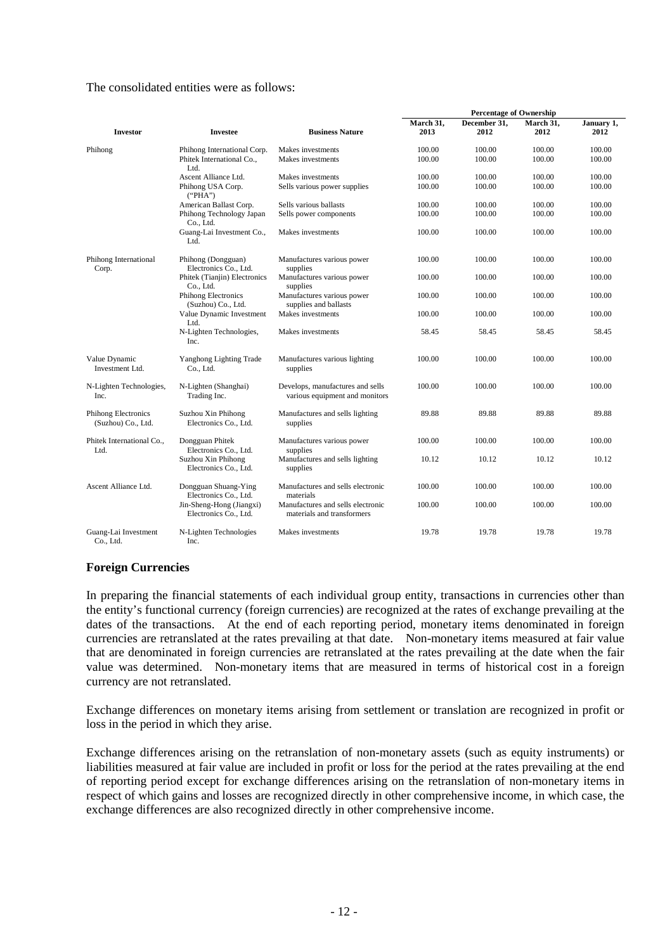#### The consolidated entities were as follows:

|                                           |                                                                  |                                                                    | <b>Percentage of Ownership</b> |                      |                   |                    |  |  |  |
|-------------------------------------------|------------------------------------------------------------------|--------------------------------------------------------------------|--------------------------------|----------------------|-------------------|--------------------|--|--|--|
| <b>Investor</b>                           | <b>Investee</b>                                                  | <b>Business Nature</b>                                             | March 31,<br>2013              | December 31,<br>2012 | March 31,<br>2012 | January 1,<br>2012 |  |  |  |
| Phihong                                   | Phihong International Corp.<br>Phitek International Co.,<br>Ltd. | Makes investments<br>Makes investments                             | 100.00<br>100.00               | 100.00<br>100.00     | 100.00<br>100.00  | 100.00<br>100.00   |  |  |  |
|                                           | Ascent Alliance Ltd.                                             | Makes investments                                                  | 100.00                         | 100.00               | 100.00            | 100.00             |  |  |  |
|                                           | Phihong USA Corp.<br>("PHA")                                     | Sells various power supplies                                       | 100.00                         | 100.00               | 100.00            | 100.00             |  |  |  |
|                                           | American Ballast Corp.                                           | Sells various ballasts                                             | 100.00                         | 100.00               | 100.00            | 100.00             |  |  |  |
|                                           | Phihong Technology Japan<br>Co., Ltd.                            | Sells power components                                             | 100.00                         | 100.00               | 100.00            | 100.00             |  |  |  |
|                                           | Guang-Lai Investment Co.,<br>Ltd.                                | Makes investments                                                  | 100.00                         | 100.00               | 100.00            | 100.00             |  |  |  |
| Phihong International<br>Corp.            | Phihong (Dongguan)<br>Electronics Co., Ltd.                      | Manufactures various power<br>supplies                             | 100.00                         | 100.00               | 100.00            | 100.00             |  |  |  |
|                                           | Phitek (Tianjin) Electronics<br>Co., Ltd.                        | Manufactures various power<br>supplies                             | 100.00                         | 100.00               | 100.00            | 100.00             |  |  |  |
|                                           | Phihong Electronics<br>(Suzhou) Co., Ltd.                        | Manufactures various power<br>supplies and ballasts                | 100.00                         | 100.00               | 100.00            | 100.00             |  |  |  |
|                                           | Value Dynamic Investment<br>Ltd.                                 | Makes investments                                                  | 100.00                         | 100.00               | 100.00            | 100.00             |  |  |  |
|                                           | N-Lighten Technologies,<br>Inc.                                  | Makes investments                                                  | 58.45                          | 58.45                | 58.45             | 58.45              |  |  |  |
| Value Dynamic<br>Investment Ltd.          | Yanghong Lighting Trade<br>Co., Ltd.                             | Manufactures various lighting<br>supplies                          | 100.00                         | 100.00               | 100.00            | 100.00             |  |  |  |
| N-Lighten Technologies,<br>Inc.           | N-Lighten (Shanghai)<br>Trading Inc.                             | Develops, manufactures and sells<br>various equipment and monitors | 100.00                         | 100.00               | 100.00            | 100.00             |  |  |  |
| Phihong Electronics<br>(Suzhou) Co., Ltd. | Suzhou Xin Phihong<br>Electronics Co., Ltd.                      | Manufactures and sells lighting<br>supplies                        | 89.88                          | 89.88                | 89.88             | 89.88              |  |  |  |
| Phitek International Co.,<br>Ltd.         | Dongguan Phitek<br>Electronics Co., Ltd.                         | Manufactures various power<br>supplies                             | 100.00                         | 100.00               | 100.00            | 100.00             |  |  |  |
|                                           | Suzhou Xin Phihong<br>Electronics Co., Ltd.                      | Manufactures and sells lighting<br>supplies                        | 10.12                          | 10.12                | 10.12             | 10.12              |  |  |  |
| Ascent Alliance Ltd.                      | Dongguan Shuang-Ying<br>Electronics Co., Ltd.                    | Manufactures and sells electronic<br>materials                     | 100.00                         | 100.00               | 100.00            | 100.00             |  |  |  |
|                                           | Jin-Sheng-Hong (Jiangxi)<br>Electronics Co., Ltd.                | Manufactures and sells electronic<br>materials and transformers    | 100.00                         | 100.00               | 100.00            | 100.00             |  |  |  |
| Guang-Lai Investment<br>Co., Ltd.         | N-Lighten Technologies<br>Inc.                                   | Makes investments                                                  | 19.78                          | 19.78                | 19.78             | 19.78              |  |  |  |

#### **Foreign Currencies**

In preparing the financial statements of each individual group entity, transactions in currencies other than the entity's functional currency (foreign currencies) are recognized at the rates of exchange prevailing at the dates of the transactions. At the end of each reporting period, monetary items denominated in foreign currencies are retranslated at the rates prevailing at that date. Non-monetary items measured at fair value that are denominated in foreign currencies are retranslated at the rates prevailing at the date when the fair value was determined. Non-monetary items that are measured in terms of historical cost in a foreign currency are not retranslated.

Exchange differences on monetary items arising from settlement or translation are recognized in profit or loss in the period in which they arise.

Exchange differences arising on the retranslation of non-monetary assets (such as equity instruments) or liabilities measured at fair value are included in profit or loss for the period at the rates prevailing at the end of reporting period except for exchange differences arising on the retranslation of non-monetary items in respect of which gains and losses are recognized directly in other comprehensive income, in which case, the exchange differences are also recognized directly in other comprehensive income.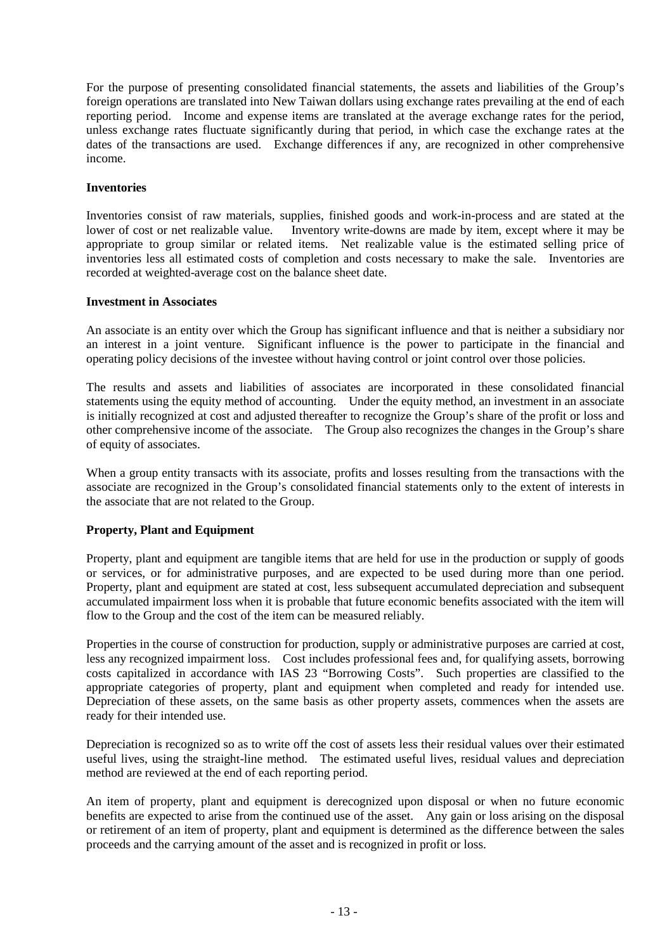For the purpose of presenting consolidated financial statements, the assets and liabilities of the Group's foreign operations are translated into New Taiwan dollars using exchange rates prevailing at the end of each reporting period. Income and expense items are translated at the average exchange rates for the period, unless exchange rates fluctuate significantly during that period, in which case the exchange rates at the dates of the transactions are used. Exchange differences if any, are recognized in other comprehensive income.

#### **Inventories**

Inventories consist of raw materials, supplies, finished goods and work-in-process and are stated at the lower of cost or net realizable value. Inventory write-downs are made by item, except where it may be appropriate to group similar or related items. Net realizable value is the estimated selling price of inventories less all estimated costs of completion and costs necessary to make the sale. Inventories are recorded at weighted-average cost on the balance sheet date.

#### **Investment in Associates**

An associate is an entity over which the Group has significant influence and that is neither a subsidiary nor an interest in a joint venture. Significant influence is the power to participate in the financial and operating policy decisions of the investee without having control or joint control over those policies.

The results and assets and liabilities of associates are incorporated in these consolidated financial statements using the equity method of accounting. Under the equity method, an investment in an associate is initially recognized at cost and adjusted thereafter to recognize the Group's share of the profit or loss and other comprehensive income of the associate. The Group also recognizes the changes in the Group's share of equity of associates.

When a group entity transacts with its associate, profits and losses resulting from the transactions with the associate are recognized in the Group's consolidated financial statements only to the extent of interests in the associate that are not related to the Group.

#### **Property, Plant and Equipment**

Property, plant and equipment are tangible items that are held for use in the production or supply of goods or services, or for administrative purposes, and are expected to be used during more than one period. Property, plant and equipment are stated at cost, less subsequent accumulated depreciation and subsequent accumulated impairment loss when it is probable that future economic benefits associated with the item will flow to the Group and the cost of the item can be measured reliably.

Properties in the course of construction for production, supply or administrative purposes are carried at cost, less any recognized impairment loss. Cost includes professional fees and, for qualifying assets, borrowing costs capitalized in accordance with IAS 23 "Borrowing Costs". Such properties are classified to the appropriate categories of property, plant and equipment when completed and ready for intended use. Depreciation of these assets, on the same basis as other property assets, commences when the assets are ready for their intended use.

Depreciation is recognized so as to write off the cost of assets less their residual values over their estimated useful lives, using the straight-line method. The estimated useful lives, residual values and depreciation method are reviewed at the end of each reporting period.

An item of property, plant and equipment is derecognized upon disposal or when no future economic benefits are expected to arise from the continued use of the asset. Any gain or loss arising on the disposal or retirement of an item of property, plant and equipment is determined as the difference between the sales proceeds and the carrying amount of the asset and is recognized in profit or loss.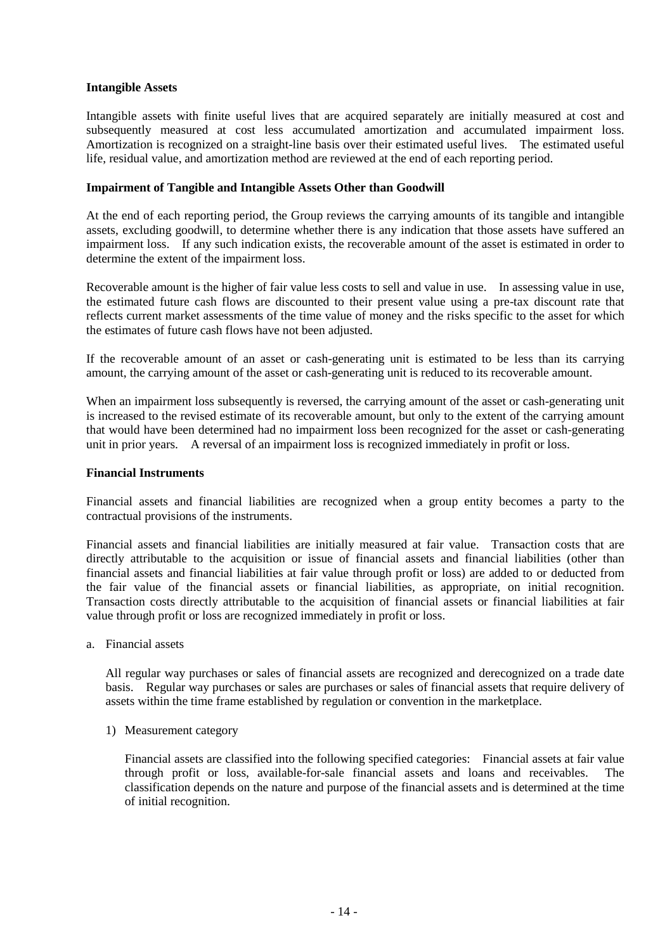#### **Intangible Assets**

Intangible assets with finite useful lives that are acquired separately are initially measured at cost and subsequently measured at cost less accumulated amortization and accumulated impairment loss. Amortization is recognized on a straight-line basis over their estimated useful lives. The estimated useful life, residual value, and amortization method are reviewed at the end of each reporting period.

#### **Impairment of Tangible and Intangible Assets Other than Goodwill**

At the end of each reporting period, the Group reviews the carrying amounts of its tangible and intangible assets, excluding goodwill, to determine whether there is any indication that those assets have suffered an impairment loss. If any such indication exists, the recoverable amount of the asset is estimated in order to determine the extent of the impairment loss.

Recoverable amount is the higher of fair value less costs to sell and value in use. In assessing value in use, the estimated future cash flows are discounted to their present value using a pre-tax discount rate that reflects current market assessments of the time value of money and the risks specific to the asset for which the estimates of future cash flows have not been adjusted.

If the recoverable amount of an asset or cash-generating unit is estimated to be less than its carrying amount, the carrying amount of the asset or cash-generating unit is reduced to its recoverable amount.

When an impairment loss subsequently is reversed, the carrying amount of the asset or cash-generating unit is increased to the revised estimate of its recoverable amount, but only to the extent of the carrying amount that would have been determined had no impairment loss been recognized for the asset or cash-generating unit in prior years. A reversal of an impairment loss is recognized immediately in profit or loss.

#### **Financial Instruments**

Financial assets and financial liabilities are recognized when a group entity becomes a party to the contractual provisions of the instruments.

Financial assets and financial liabilities are initially measured at fair value. Transaction costs that are directly attributable to the acquisition or issue of financial assets and financial liabilities (other than financial assets and financial liabilities at fair value through profit or loss) are added to or deducted from the fair value of the financial assets or financial liabilities, as appropriate, on initial recognition. Transaction costs directly attributable to the acquisition of financial assets or financial liabilities at fair value through profit or loss are recognized immediately in profit or loss.

a. Financial assets

All regular way purchases or sales of financial assets are recognized and derecognized on a trade date basis. Regular way purchases or sales are purchases or sales of financial assets that require delivery of assets within the time frame established by regulation or convention in the marketplace.

1) Measurement category

Financial assets are classified into the following specified categories: Financial assets at fair value through profit or loss, available-for-sale financial assets and loans and receivables. The classification depends on the nature and purpose of the financial assets and is determined at the time of initial recognition.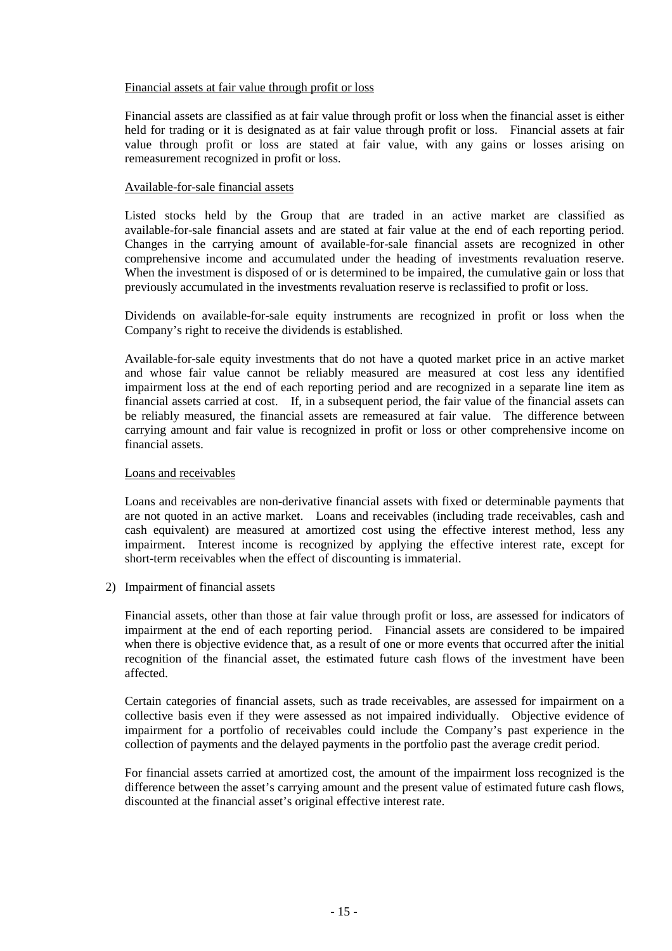#### Financial assets at fair value through profit or loss

Financial assets are classified as at fair value through profit or loss when the financial asset is either held for trading or it is designated as at fair value through profit or loss. Financial assets at fair value through profit or loss are stated at fair value, with any gains or losses arising on remeasurement recognized in profit or loss.

#### Available-for-sale financial assets

Listed stocks held by the Group that are traded in an active market are classified as available-for-sale financial assets and are stated at fair value at the end of each reporting period. Changes in the carrying amount of available-for-sale financial assets are recognized in other comprehensive income and accumulated under the heading of investments revaluation reserve. When the investment is disposed of or is determined to be impaired, the cumulative gain or loss that previously accumulated in the investments revaluation reserve is reclassified to profit or loss.

Dividends on available-for-sale equity instruments are recognized in profit or loss when the Company's right to receive the dividends is established.

Available-for-sale equity investments that do not have a quoted market price in an active market and whose fair value cannot be reliably measured are measured at cost less any identified impairment loss at the end of each reporting period and are recognized in a separate line item as financial assets carried at cost. If, in a subsequent period, the fair value of the financial assets can be reliably measured, the financial assets are remeasured at fair value. The difference between carrying amount and fair value is recognized in profit or loss or other comprehensive income on financial assets.

#### Loans and receivables

Loans and receivables are non-derivative financial assets with fixed or determinable payments that are not quoted in an active market. Loans and receivables (including trade receivables, cash and cash equivalent) are measured at amortized cost using the effective interest method, less any impairment. Interest income is recognized by applying the effective interest rate, except for short-term receivables when the effect of discounting is immaterial.

2) Impairment of financial assets

Financial assets, other than those at fair value through profit or loss, are assessed for indicators of impairment at the end of each reporting period. Financial assets are considered to be impaired when there is objective evidence that, as a result of one or more events that occurred after the initial recognition of the financial asset, the estimated future cash flows of the investment have been affected.

Certain categories of financial assets, such as trade receivables, are assessed for impairment on a collective basis even if they were assessed as not impaired individually. Objective evidence of impairment for a portfolio of receivables could include the Company's past experience in the collection of payments and the delayed payments in the portfolio past the average credit period.

For financial assets carried at amortized cost, the amount of the impairment loss recognized is the difference between the asset's carrying amount and the present value of estimated future cash flows, discounted at the financial asset's original effective interest rate.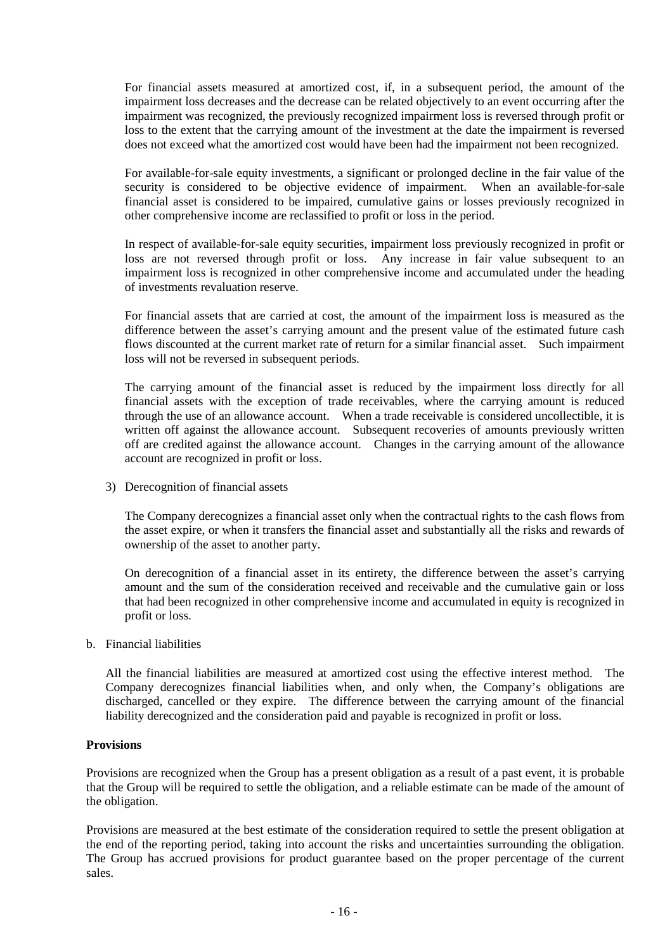For financial assets measured at amortized cost, if, in a subsequent period, the amount of the impairment loss decreases and the decrease can be related objectively to an event occurring after the impairment was recognized, the previously recognized impairment loss is reversed through profit or loss to the extent that the carrying amount of the investment at the date the impairment is reversed does not exceed what the amortized cost would have been had the impairment not been recognized.

For available-for-sale equity investments, a significant or prolonged decline in the fair value of the security is considered to be objective evidence of impairment. When an available-for-sale financial asset is considered to be impaired, cumulative gains or losses previously recognized in other comprehensive income are reclassified to profit or loss in the period.

In respect of available-for-sale equity securities, impairment loss previously recognized in profit or loss are not reversed through profit or loss. Any increase in fair value subsequent to an impairment loss is recognized in other comprehensive income and accumulated under the heading of investments revaluation reserve.

For financial assets that are carried at cost, the amount of the impairment loss is measured as the difference between the asset's carrying amount and the present value of the estimated future cash flows discounted at the current market rate of return for a similar financial asset. Such impairment loss will not be reversed in subsequent periods.

The carrying amount of the financial asset is reduced by the impairment loss directly for all financial assets with the exception of trade receivables, where the carrying amount is reduced through the use of an allowance account. When a trade receivable is considered uncollectible, it is written off against the allowance account. Subsequent recoveries of amounts previously written off are credited against the allowance account. Changes in the carrying amount of the allowance account are recognized in profit or loss.

3) Derecognition of financial assets

The Company derecognizes a financial asset only when the contractual rights to the cash flows from the asset expire, or when it transfers the financial asset and substantially all the risks and rewards of ownership of the asset to another party.

On derecognition of a financial asset in its entirety, the difference between the asset's carrying amount and the sum of the consideration received and receivable and the cumulative gain or loss that had been recognized in other comprehensive income and accumulated in equity is recognized in profit or loss.

b. Financial liabilities

All the financial liabilities are measured at amortized cost using the effective interest method. The Company derecognizes financial liabilities when, and only when, the Company's obligations are discharged, cancelled or they expire. The difference between the carrying amount of the financial liability derecognized and the consideration paid and payable is recognized in profit or loss.

#### **Provisions**

Provisions are recognized when the Group has a present obligation as a result of a past event, it is probable that the Group will be required to settle the obligation, and a reliable estimate can be made of the amount of the obligation.

Provisions are measured at the best estimate of the consideration required to settle the present obligation at the end of the reporting period, taking into account the risks and uncertainties surrounding the obligation. The Group has accrued provisions for product guarantee based on the proper percentage of the current sales.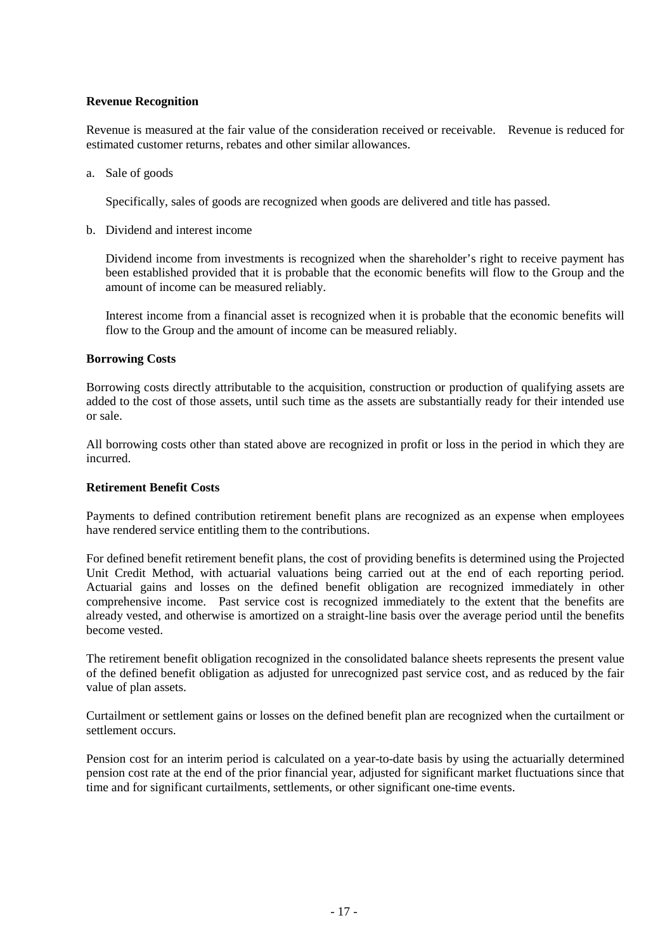#### **Revenue Recognition**

Revenue is measured at the fair value of the consideration received or receivable. Revenue is reduced for estimated customer returns, rebates and other similar allowances.

a. Sale of goods

Specifically, sales of goods are recognized when goods are delivered and title has passed.

b. Dividend and interest income

Dividend income from investments is recognized when the shareholder's right to receive payment has been established provided that it is probable that the economic benefits will flow to the Group and the amount of income can be measured reliably.

Interest income from a financial asset is recognized when it is probable that the economic benefits will flow to the Group and the amount of income can be measured reliably.

#### **Borrowing Costs**

Borrowing costs directly attributable to the acquisition, construction or production of qualifying assets are added to the cost of those assets, until such time as the assets are substantially ready for their intended use or sale.

All borrowing costs other than stated above are recognized in profit or loss in the period in which they are incurred.

#### **Retirement Benefit Costs**

Payments to defined contribution retirement benefit plans are recognized as an expense when employees have rendered service entitling them to the contributions.

For defined benefit retirement benefit plans, the cost of providing benefits is determined using the Projected Unit Credit Method, with actuarial valuations being carried out at the end of each reporting period. Actuarial gains and losses on the defined benefit obligation are recognized immediately in other comprehensive income. Past service cost is recognized immediately to the extent that the benefits are already vested, and otherwise is amortized on a straight-line basis over the average period until the benefits become vested.

The retirement benefit obligation recognized in the consolidated balance sheets represents the present value of the defined benefit obligation as adjusted for unrecognized past service cost, and as reduced by the fair value of plan assets.

Curtailment or settlement gains or losses on the defined benefit plan are recognized when the curtailment or settlement occurs.

Pension cost for an interim period is calculated on a year-to-date basis by using the actuarially determined pension cost rate at the end of the prior financial year, adjusted for significant market fluctuations since that time and for significant curtailments, settlements, or other significant one-time events.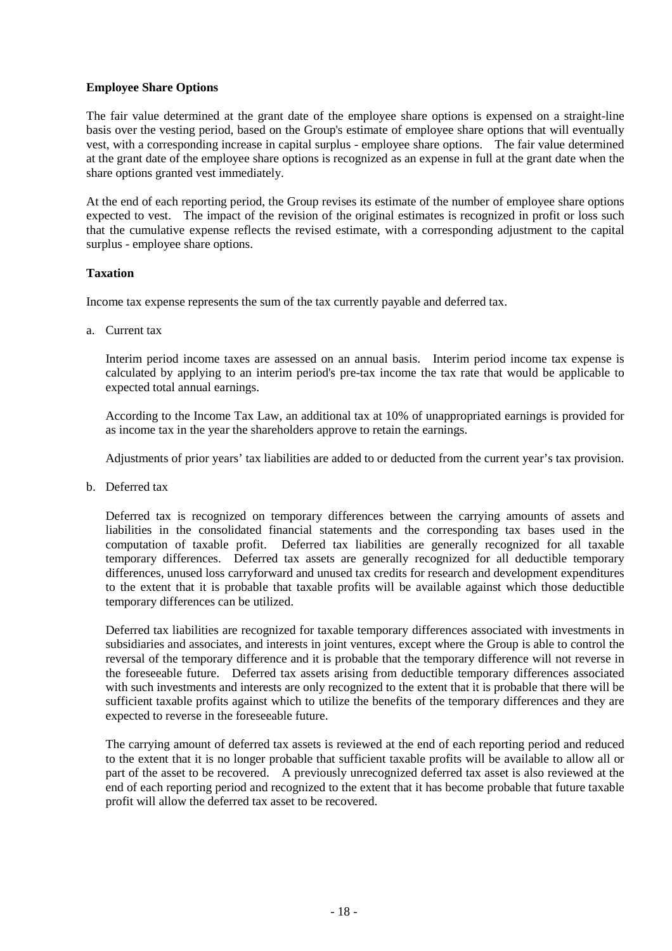#### **Employee Share Options**

The fair value determined at the grant date of the employee share options is expensed on a straight-line basis over the vesting period, based on the Group's estimate of employee share options that will eventually vest, with a corresponding increase in capital surplus - employee share options. The fair value determined at the grant date of the employee share options is recognized as an expense in full at the grant date when the share options granted vest immediately.

At the end of each reporting period, the Group revises its estimate of the number of employee share options expected to vest. The impact of the revision of the original estimates is recognized in profit or loss such that the cumulative expense reflects the revised estimate, with a corresponding adjustment to the capital surplus - employee share options.

#### **Taxation**

Income tax expense represents the sum of the tax currently payable and deferred tax.

a. Current tax

Interim period income taxes are assessed on an annual basis. Interim period income tax expense is calculated by applying to an interim period's pre-tax income the tax rate that would be applicable to expected total annual earnings.

According to the Income Tax Law, an additional tax at 10% of unappropriated earnings is provided for as income tax in the year the shareholders approve to retain the earnings.

Adjustments of prior years' tax liabilities are added to or deducted from the current year's tax provision.

b. Deferred tax

Deferred tax is recognized on temporary differences between the carrying amounts of assets and liabilities in the consolidated financial statements and the corresponding tax bases used in the computation of taxable profit. Deferred tax liabilities are generally recognized for all taxable temporary differences. Deferred tax assets are generally recognized for all deductible temporary differences, unused loss carryforward and unused tax credits for research and development expenditures to the extent that it is probable that taxable profits will be available against which those deductible temporary differences can be utilized.

Deferred tax liabilities are recognized for taxable temporary differences associated with investments in subsidiaries and associates, and interests in joint ventures, except where the Group is able to control the reversal of the temporary difference and it is probable that the temporary difference will not reverse in the foreseeable future. Deferred tax assets arising from deductible temporary differences associated with such investments and interests are only recognized to the extent that it is probable that there will be sufficient taxable profits against which to utilize the benefits of the temporary differences and they are expected to reverse in the foreseeable future.

The carrying amount of deferred tax assets is reviewed at the end of each reporting period and reduced to the extent that it is no longer probable that sufficient taxable profits will be available to allow all or part of the asset to be recovered. A previously unrecognized deferred tax asset is also reviewed at the end of each reporting period and recognized to the extent that it has become probable that future taxable profit will allow the deferred tax asset to be recovered.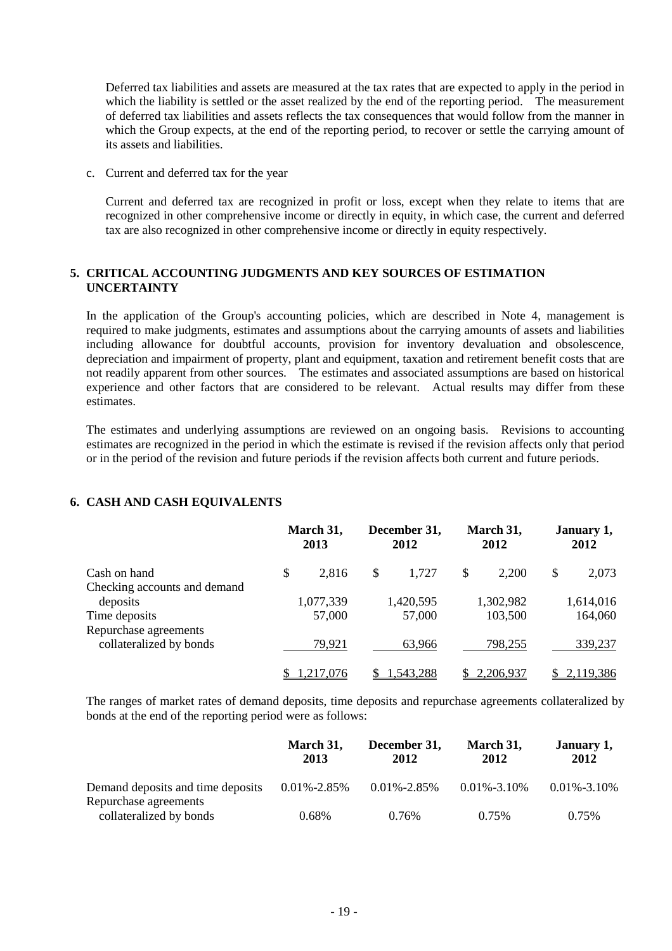Deferred tax liabilities and assets are measured at the tax rates that are expected to apply in the period in which the liability is settled or the asset realized by the end of the reporting period. The measurement of deferred tax liabilities and assets reflects the tax consequences that would follow from the manner in which the Group expects, at the end of the reporting period, to recover or settle the carrying amount of its assets and liabilities.

c. Current and deferred tax for the year

Current and deferred tax are recognized in profit or loss, except when they relate to items that are recognized in other comprehensive income or directly in equity, in which case, the current and deferred tax are also recognized in other comprehensive income or directly in equity respectively.

#### **5. CRITICAL ACCOUNTING JUDGMENTS AND KEY SOURCES OF ESTIMATION UNCERTAINTY**

In the application of the Group's accounting policies, which are described in Note 4, management is required to make judgments, estimates and assumptions about the carrying amounts of assets and liabilities including allowance for doubtful accounts, provision for inventory devaluation and obsolescence, depreciation and impairment of property, plant and equipment, taxation and retirement benefit costs that are not readily apparent from other sources. The estimates and associated assumptions are based on historical experience and other factors that are considered to be relevant. Actual results may differ from these estimates.

The estimates and underlying assumptions are reviewed on an ongoing basis. Revisions to accounting estimates are recognized in the period in which the estimate is revised if the revision affects only that period or in the period of the revision and future periods if the revision affects both current and future periods.

#### **6. CASH AND CASH EQUIVALENTS**

|                              | March 31,<br>2013 |           | December 31,<br>2012 |           | March 31,<br>2012 |           | January 1,<br>2012 |           |
|------------------------------|-------------------|-----------|----------------------|-----------|-------------------|-----------|--------------------|-----------|
| Cash on hand                 | \$                | 2,816     | S                    | 1,727     | \$                | 2,200     | \$                 | 2,073     |
| Checking accounts and demand |                   |           |                      |           |                   |           |                    |           |
| deposits                     |                   | 1,077,339 |                      | 1,420,595 |                   | 1,302,982 |                    | 1,614,016 |
| Time deposits                |                   | 57,000    |                      | 57,000    |                   | 103,500   |                    | 164,060   |
| Repurchase agreements        |                   |           |                      |           |                   |           |                    |           |
| collateralized by bonds      |                   | 79,921    |                      | 63.966    |                   | 798,255   |                    | 339,237   |
|                              |                   | ,217,076  |                      | 1,543,288 |                   | 2,206,937 |                    | 2,119,386 |

The ranges of market rates of demand deposits, time deposits and repurchase agreements collateralized by bonds at the end of the reporting period were as follows:

|                                   | March 31,<br>2013 | December 31,<br>2012 | March 31,<br>2012 | January 1,<br>2012 |
|-----------------------------------|-------------------|----------------------|-------------------|--------------------|
| Demand deposits and time deposits | $0.01\% - 2.85\%$ | $0.01\% - 2.85\%$    | $0.01\% - 3.10\%$ | $0.01\% - 3.10\%$  |
| Repurchase agreements             |                   |                      |                   |                    |
| collateralized by bonds           | 0.68%             | 0.76%                | 0.75%             | 0.75%              |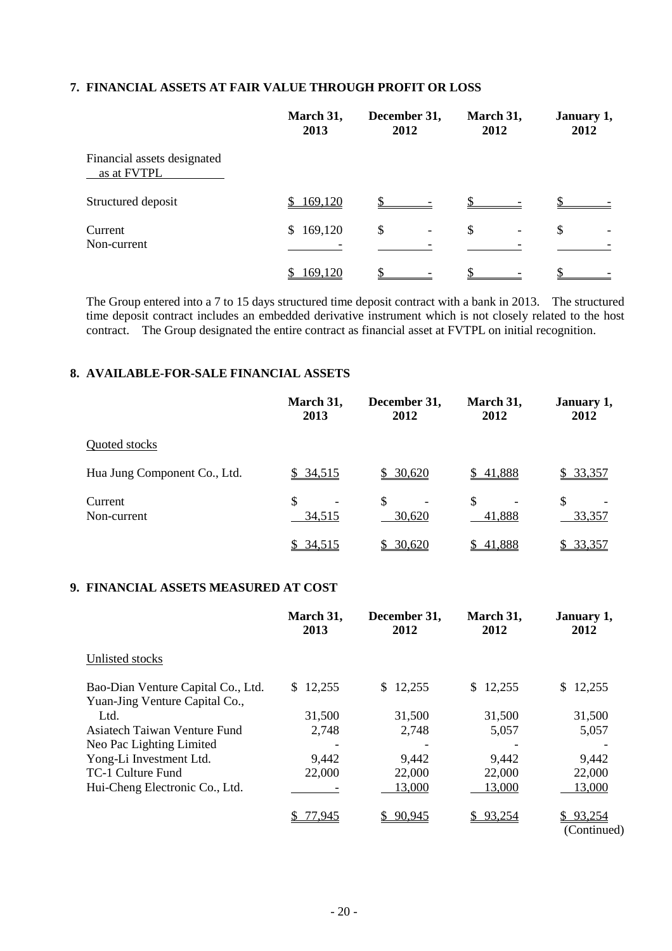#### **7. FINANCIAL ASSETS AT FAIR VALUE THROUGH PROFIT OR LOSS**

|                                            | March 31,<br>2013 | December 31,<br>2012           | March 31,<br>2012              | January 1,<br>2012 |
|--------------------------------------------|-------------------|--------------------------------|--------------------------------|--------------------|
| Financial assets designated<br>as at FVTPL |                   |                                |                                |                    |
| Structured deposit                         | 169,120           |                                |                                |                    |
| Current<br>Non-current                     | 169,120<br>S.     | \$<br>$\overline{\phantom{a}}$ | \$<br>$\overline{\phantom{0}}$ | \$                 |
|                                            | 169,120           |                                |                                |                    |

The Group entered into a 7 to 15 days structured time deposit contract with a bank in 2013. The structured time deposit contract includes an embedded derivative instrument which is not closely related to the host contract. The Group designated the entire contract as financial asset at FVTPL on initial recognition.

#### **8. AVAILABLE-FOR-SALE FINANCIAL ASSETS**

|                              | March 31,<br>2013 | December 31,<br>2012                     | March 31,<br>2012       | January 1,<br>2012 |
|------------------------------|-------------------|------------------------------------------|-------------------------|--------------------|
| Quoted stocks                |                   |                                          |                         |                    |
| Hua Jung Component Co., Ltd. | \$34,515          | \$30,620                                 | \$41,888                | \$33,357           |
| Current<br>Non-current       | \$<br>34,515      | \$<br>$\overline{\phantom{a}}$<br>30,620 | <sup>\$</sup><br>41,888 | \$<br>33,357       |
|                              | \$34,515          | 30,620                                   | 41,888                  | 33,357<br>S        |

#### **9. FINANCIAL ASSETS MEASURED AT COST**

|                                                                      | March 31,<br>2013        | December 31,<br>2012 | March 31,<br>2012 | January 1,<br>2012 |
|----------------------------------------------------------------------|--------------------------|----------------------|-------------------|--------------------|
| Unlisted stocks                                                      |                          |                      |                   |                    |
| Bao-Dian Venture Capital Co., Ltd.<br>Yuan-Jing Venture Capital Co., | \$12,255                 | \$12,255             | \$12,255          | 12,255<br>S.       |
| Ltd.                                                                 | 31,500                   | 31,500               | 31,500            | 31,500             |
| Asiatech Taiwan Venture Fund                                         | 2,748                    | 2,748                | 5,057             | 5,057              |
| Neo Pac Lighting Limited                                             | $\overline{\phantom{a}}$ |                      |                   |                    |
| Yong-Li Investment Ltd.                                              | 9,442                    | 9,442                | 9,442             | 9,442              |
| TC-1 Culture Fund                                                    | 22,000                   | 22,000               | 22,000            | 22,000             |
| Hui-Cheng Electronic Co., Ltd.                                       |                          | 13,000               | 13,000            | 13,000             |
|                                                                      | 7 <u>7,945</u>           | \$90,945             | \$93.254          | 93.254<br>$\alpha$ |

(Continued)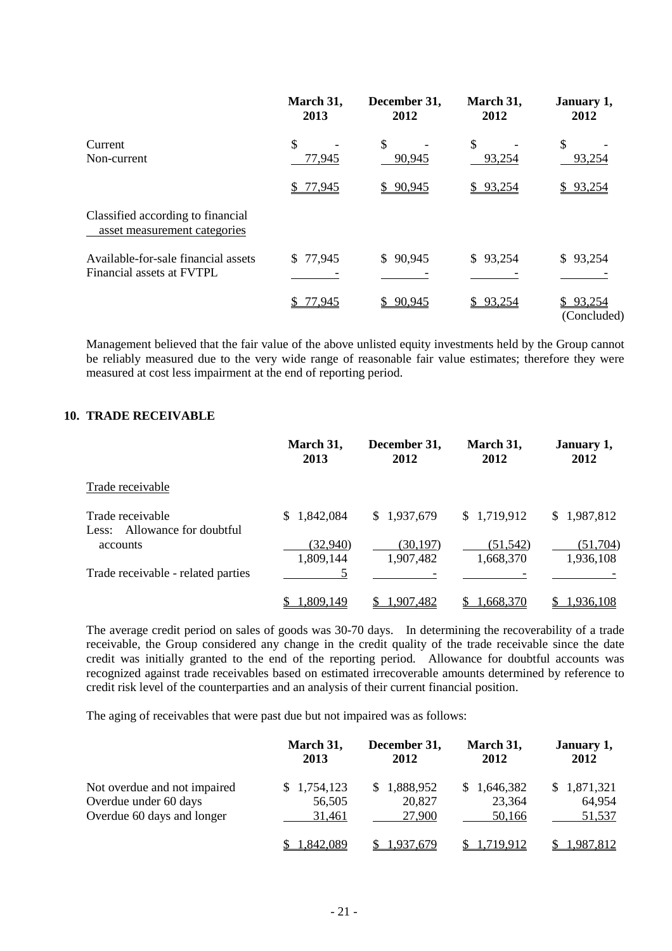|                                                                   | March 31,<br>2013 | December 31,<br>2012 | March 31,<br>2012       | January 1,<br>2012    |
|-------------------------------------------------------------------|-------------------|----------------------|-------------------------|-----------------------|
| Current<br>Non-current                                            | \$<br>77,945      | \$<br>90,945         | $\mathcal{S}$<br>93,254 | \$<br>93,254          |
|                                                                   | \$77,945          | \$90,945             | \$93,254                | \$93,254              |
| Classified according to financial<br>asset measurement categories |                   |                      |                         |                       |
| Available-for-sale financial assets<br>Financial assets at FVTPL  | \$77,945          | \$90,945             | \$93,254                | \$93,254              |
|                                                                   | \$77,945          | 90,945<br>SS.        | \$93,254                | 93,254<br>(Concluded) |

Management believed that the fair value of the above unlisted equity investments held by the Group cannot be reliably measured due to the very wide range of reasonable fair value estimates; therefore they were measured at cost less impairment at the end of reporting period.

#### **10. TRADE RECEIVABLE**

|                                                  | March 31,<br>2013     | December 31,<br>2012   | March 31,<br>2012      | January 1,<br>2012     |
|--------------------------------------------------|-----------------------|------------------------|------------------------|------------------------|
| Trade receivable                                 |                       |                        |                        |                        |
| Trade receivable<br>Less: Allowance for doubtful | \$1,842,084           | \$1,937,679            | \$1,719,912            | \$1,987,812            |
| accounts                                         | (32,940)<br>1,809,144 | (30, 197)<br>1,907,482 | (51, 542)<br>1,668,370 | (51, 704)<br>1,936,108 |
| Trade receivable - related parties               |                       |                        |                        |                        |
|                                                  | ,809,149              | 1.907.482              | 1,668,370              | 1,936,108              |

The average credit period on sales of goods was 30-70 days. In determining the recoverability of a trade receivable, the Group considered any change in the credit quality of the trade receivable since the date credit was initially granted to the end of the reporting period. Allowance for doubtful accounts was recognized against trade receivables based on estimated irrecoverable amounts determined by reference to credit risk level of the counterparties and an analysis of their current financial position.

The aging of receivables that were past due but not impaired was as follows:

|                              | March 31,<br>2013 | December 31,<br>2012 | March 31,<br>2012 | January 1,<br>2012 |
|------------------------------|-------------------|----------------------|-------------------|--------------------|
| Not overdue and not impaired | \$1,754,123       | \$1,888,952          | \$1,646,382       | \$1,871,321        |
| Overdue under 60 days        | 56,505            | 20,827               | 23,364            | 64,954             |
| Overdue 60 days and longer   | 31,461            | 27,900               | 50,166            | 51,537             |
|                              | .842.089          | 1.937.679            | 1.719.912         | <u>.987,812</u>    |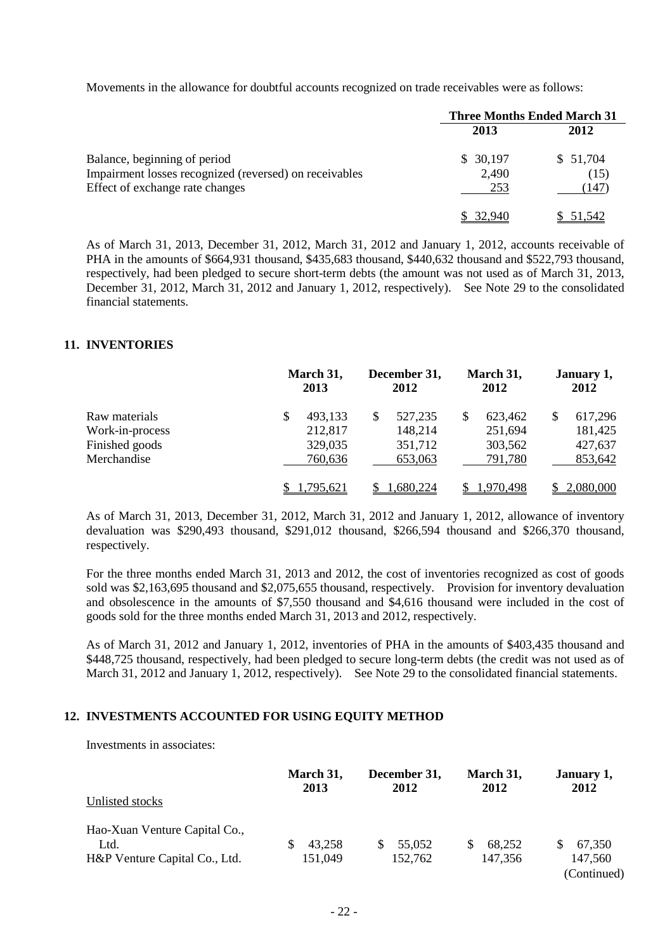Movements in the allowance for doubtful accounts recognized on trade receivables were as follows:

|                                                        |          | <b>Three Months Ended March 31</b> |  |  |
|--------------------------------------------------------|----------|------------------------------------|--|--|
|                                                        | 2013     | 2012                               |  |  |
| Balance, beginning of period                           | \$30,197 | \$51,704                           |  |  |
| Impairment losses recognized (reversed) on receivables | 2,490    | (15)                               |  |  |
| Effect of exchange rate changes                        | 253      | (147)                              |  |  |
|                                                        |          | 51,542                             |  |  |

As of March 31, 2013, December 31, 2012, March 31, 2012 and January 1, 2012, accounts receivable of PHA in the amounts of \$664,931 thousand, \$435,683 thousand, \$440,632 thousand and \$522,793 thousand, respectively, had been pledged to secure short-term debts (the amount was not used as of March 31, 2013, December 31, 2012, March 31, 2012 and January 1, 2012, respectively). See Note 29 to the consolidated financial statements.

#### **11. INVENTORIES**

|                 |   | March 31,<br>2013 | December 31,<br>2012 |          | March 31,<br>2012 |           | January 1,<br>2012 |           |
|-----------------|---|-------------------|----------------------|----------|-------------------|-----------|--------------------|-----------|
| Raw materials   | S | 493,133           | \$                   | 527,235  |                   | 623,462   | \$                 | 617,296   |
| Work-in-process |   | 212,817           |                      | 148,214  |                   | 251,694   |                    | 181,425   |
| Finished goods  |   | 329,035           |                      | 351,712  |                   | 303,562   |                    | 427,637   |
| Merchandise     |   | 760,636           |                      | 653,063  |                   | 791,780   |                    | 853,642   |
|                 |   | .795.621          |                      | .680,224 |                   | 1.970.498 |                    | 2,080,000 |

As of March 31, 2013, December 31, 2012, March 31, 2012 and January 1, 2012, allowance of inventory devaluation was \$290,493 thousand, \$291,012 thousand, \$266,594 thousand and \$266,370 thousand, respectively.

For the three months ended March 31, 2013 and 2012, the cost of inventories recognized as cost of goods sold was \$2,163,695 thousand and \$2,075,655 thousand, respectively. Provision for inventory devaluation and obsolescence in the amounts of \$7,550 thousand and \$4,616 thousand were included in the cost of goods sold for the three months ended March 31, 2013 and 2012, respectively.

As of March 31, 2012 and January 1, 2012, inventories of PHA in the amounts of \$403,435 thousand and \$448,725 thousand, respectively, had been pledged to secure long-term debts (the credit was not used as of March 31, 2012 and January 1, 2012, respectively). See Note 29 to the consolidated financial statements.

#### **12. INVESTMENTS ACCOUNTED FOR USING EQUITY METHOD**

Investments in associates:

|                               | March 31,<br>2013 | December 31,<br>2012 | March 31,<br>2012 | January 1,<br>2012 |
|-------------------------------|-------------------|----------------------|-------------------|--------------------|
| Unlisted stocks               |                   |                      |                   |                    |
| Hao-Xuan Venture Capital Co., |                   |                      |                   |                    |
| Ltd.                          | 43,258            | 55,052               | 68.252            | 67,350             |
| H&P Venture Capital Co., Ltd. | 151,049           | 152,762              | 147,356           | 147,560            |
|                               |                   |                      |                   | (Continued)        |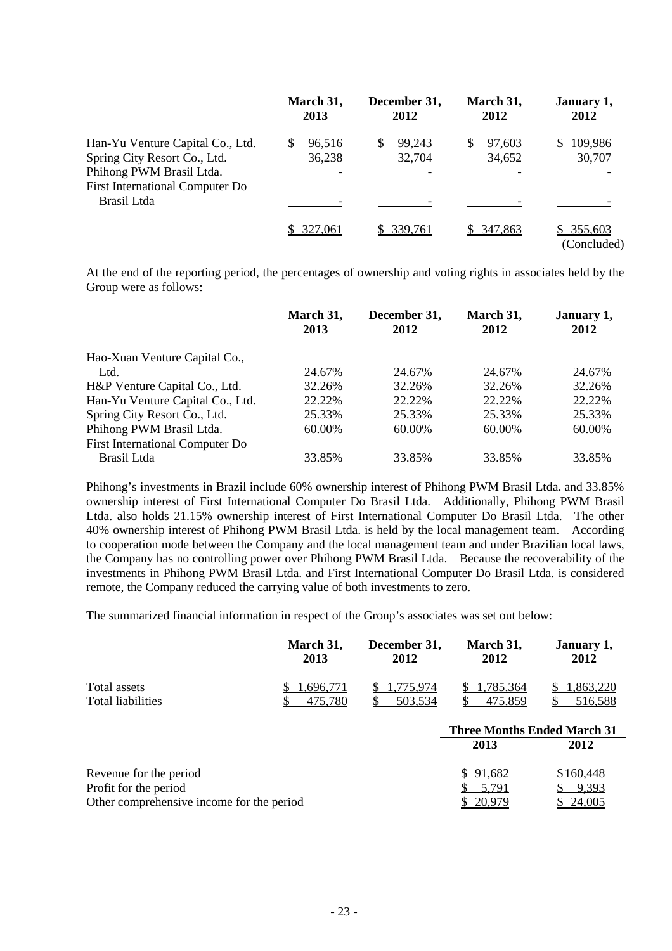|                                                                                                                                        | March 31,<br>2013      | December 31,<br>2012  | March 31,<br>2012     | January 1,<br>2012           |
|----------------------------------------------------------------------------------------------------------------------------------------|------------------------|-----------------------|-----------------------|------------------------------|
| Han-Yu Venture Capital Co., Ltd.<br>Spring City Resort Co., Ltd.<br>Phihong PWM Brasil Ltda.<br><b>First International Computer Do</b> | \$<br>96,516<br>36,238 | 99,243<br>S<br>32,704 | 97.603<br>S<br>34,652 | 109,986<br>S<br>30,707       |
| Brasil Ltda                                                                                                                            |                        |                       |                       |                              |
|                                                                                                                                        | 327,061                | \$339,761             | \$347,863             | 355,603<br>S.<br>(Concluded) |

At the end of the reporting period, the percentages of ownership and voting rights in associates held by the Group were as follows:

|                                  | March 31,<br>2013 | December 31,<br>2012 | March 31,<br>2012 | January 1,<br>2012 |
|----------------------------------|-------------------|----------------------|-------------------|--------------------|
|                                  |                   |                      |                   |                    |
| Hao-Xuan Venture Capital Co.,    |                   |                      |                   |                    |
| Ltd.                             | 24.67%            | 24.67%               | 24.67%            | 24.67%             |
| H&P Venture Capital Co., Ltd.    | 32.26%            | 32.26%               | 32.26%            | 32.26%             |
| Han-Yu Venture Capital Co., Ltd. | 22.22%            | 22.22%               | 22.22\%           | 22.22%             |
| Spring City Resort Co., Ltd.     | 25.33%            | 25.33%               | 25.33%            | 25.33%             |
| Phihong PWM Brasil Ltda.         | 60.00%            | 60.00%               | 60.00%            | 60.00%             |
| First International Computer Do  |                   |                      |                   |                    |
| Brasil Ltda                      | 33.85%            | 33.85%               | 33.85%            | 33.85%             |

Phihong's investments in Brazil include 60% ownership interest of Phihong PWM Brasil Ltda. and 33.85% ownership interest of First International Computer Do Brasil Ltda. Additionally, Phihong PWM Brasil Ltda. also holds 21.15% ownership interest of First International Computer Do Brasil Ltda. The other 40% ownership interest of Phihong PWM Brasil Ltda. is held by the local management team. According to cooperation mode between the Company and the local management team and under Brazilian local laws, the Company has no controlling power over Phihong PWM Brasil Ltda. Because the recoverability of the investments in Phihong PWM Brasil Ltda. and First International Computer Do Brasil Ltda. is considered remote, the Company reduced the carrying value of both investments to zero.

The summarized financial information in respect of the Group's associates was set out below:

|                                           | March 31,<br>2013 | December 31,<br>2012 | March 31,<br>2012                  | January 1,<br>2012 |
|-------------------------------------------|-------------------|----------------------|------------------------------------|--------------------|
| Total assets                              | .696.771          | .775.974             | .785,364                           | .863,220           |
| Total liabilities                         | 475,780           | 503,534              | 475,859                            | 516,588            |
|                                           |                   |                      | <b>Three Months Ended March 31</b> |                    |
|                                           |                   |                      | 2013                               | 2012               |
| Revenue for the period                    |                   |                      | 91.682                             | \$160,448          |
| Profit for the period                     |                   |                      | 5,791                              | 9,393              |
| Other comprehensive income for the period | 20,979            | 24,005               |                                    |                    |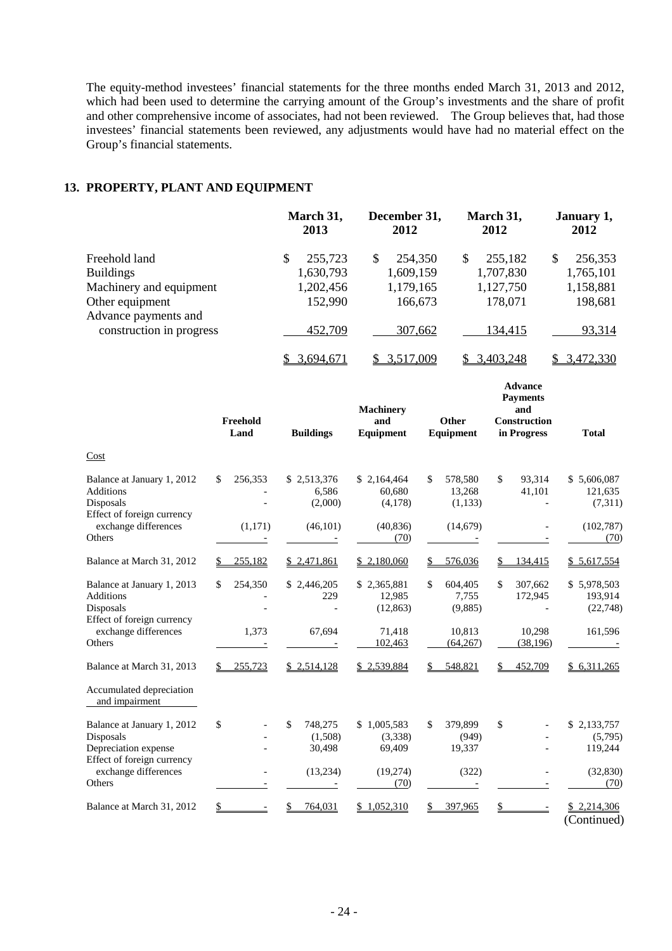The equity-method investees' financial statements for the three months ended March 31, 2013 and 2012, which had been used to determine the carrying amount of the Group's investments and the share of profit which had and other comprehensive income of associates, had not been reviewed. The Group believes that, had those investees' financial statements been reviewed, any adjustments would have had no material effect on the Group's financial statements.

#### **13. PROPERTY, PLANT AND EQUIPMENT**

|                                         | March 31,<br>2013 | December 31,<br>2012 | March 31,<br>2012 | January 1,<br>2012 |  |
|-----------------------------------------|-------------------|----------------------|-------------------|--------------------|--|
| Freehold land                           | 255,723<br>S      | 254,350<br>S         | 255,182<br>S      | 256,353<br>\$      |  |
| <b>Buildings</b>                        | 1,630,793         | 1,609,159            | 1,707,830         | 1,765,101          |  |
| Machinery and equipment                 | 1,202,456         | 1,179,165            | 1,127,750         | 1,158,881          |  |
| Other equipment<br>Advance payments and | 152,990           | 166,673              | 178,071           | 198,681            |  |
| construction in progress                | 452,709           | 307,662              | 134.415           | 93,314             |  |
|                                         | 3,694,671         | \$ 3,517,009         | 3,403,248         | \$ 3,472,330       |  |

|                                                                                           | Freehold<br>Land | <b>Buildings</b>                   | <b>Machinery</b><br>and<br><b>Equipment</b> | Other<br>Equipment                 | <b>Advance</b><br><b>Payments</b><br>and<br><b>Construction</b><br>in Progress | <b>Total</b>                       |
|-------------------------------------------------------------------------------------------|------------------|------------------------------------|---------------------------------------------|------------------------------------|--------------------------------------------------------------------------------|------------------------------------|
| Cost                                                                                      |                  |                                    |                                             |                                    |                                                                                |                                    |
| Balance at January 1, 2012<br><b>Additions</b><br>Disposals<br>Effect of foreign currency | \$<br>256,353    | \$2,513,376<br>6,586<br>(2,000)    | \$2,164,464<br>60,680<br>(4,178)            | \$<br>578,580<br>13,268<br>(1,133) | \$<br>93,314<br>41,101                                                         | \$5,606,087<br>121,635<br>(7,311)  |
| exchange differences<br>Others                                                            | (1,171)          | (46, 101)                          | (40, 836)<br>(70)                           | (14,679)                           |                                                                                | (102, 787)<br>(70)                 |
| Balance at March 31, 2012                                                                 | \$<br>255,182    | \$2,471,861                        | \$2,180,060                                 | 576,036                            | 134,415<br>\$                                                                  | \$5,617,554                        |
| Balance at January 1, 2013<br><b>Additions</b><br>Disposals<br>Effect of foreign currency | \$<br>254,350    | \$2,446,205<br>229                 | \$2,365,881<br>12,985<br>(12, 863)          | \$<br>604,405<br>7,755<br>(9,885)  | \$<br>307,662<br>172,945                                                       | \$5,978,503<br>193,914<br>(22,748) |
| exchange differences<br>Others                                                            | 1,373            | 67.694                             | 71,418<br>102,463                           | 10,813<br>(64,267)                 | 10,298<br>(38, 196)                                                            | 161,596                            |
| Balance at March 31, 2013                                                                 | 255,723<br>\$    | \$2,514,128                        | \$2,539,884                                 | 548,821                            | 452,709                                                                        | \$6,311,265                        |
| Accumulated depreciation<br>and impairment                                                |                  |                                    |                                             |                                    |                                                                                |                                    |
| Balance at January 1, 2012<br>Disposals<br>Depreciation expense                           | \$               | \$<br>748,275<br>(1,508)<br>30,498 | \$1,005,583<br>(3,338)<br>69,409            | \$<br>379,899<br>(949)<br>19,337   | \$                                                                             | \$2,133,757<br>(5,795)<br>119,244  |
| Effect of foreign currency<br>exchange differences<br>Others                              |                  | (13,234)                           | (19, 274)<br>(70)                           | (322)                              |                                                                                | (32, 830)<br>(70)                  |
| Balance at March 31, 2012                                                                 | \$               | 764,031                            | 1,052,310                                   | 397,965                            | S                                                                              | \$2,214,306<br>(Continued)         |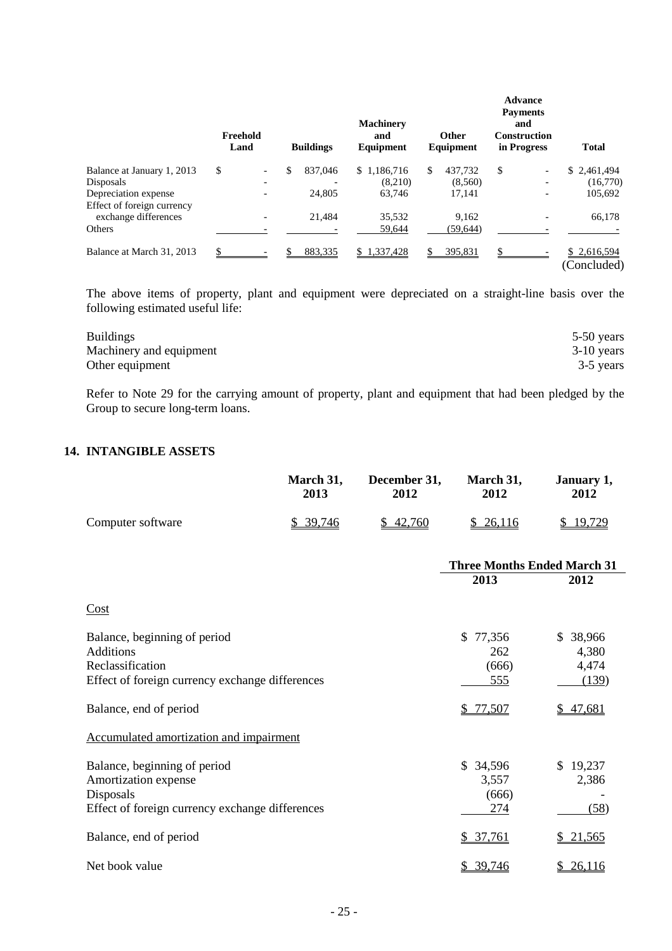|                            | Freehold<br>Land | <b>Buildings</b> | <b>Machinery</b><br>and<br>Equipment |     | <b>Other</b><br>Equipment | <b>Advance</b><br><b>Payments</b><br>and<br><b>Construction</b><br>in Progress | <b>Total</b>               |
|----------------------------|------------------|------------------|--------------------------------------|-----|---------------------------|--------------------------------------------------------------------------------|----------------------------|
| Balance at January 1, 2013 | \$               | \$<br>837,046    | \$1,186,716                          | \$. | 437.732                   | \$<br>Ξ.                                                                       | \$2,461,494                |
| Disposals                  |                  |                  | (8,210)                              |     | (8,560)                   |                                                                                | (16,770)                   |
| Depreciation expense       |                  | 24,805           | 63.746                               |     | 17,141                    |                                                                                | 105,692                    |
| Effect of foreign currency |                  |                  |                                      |     |                           |                                                                                |                            |
| exchange differences       |                  | 21.484           | 35,532                               |     | 9.162                     |                                                                                | 66,178                     |
| Others                     |                  |                  | 59,644                               |     | (59, 644)                 |                                                                                |                            |
| Balance at March 31, 2013  | \$               | 883,335          | \$1,337,428                          |     | 395,831                   |                                                                                | \$2,616,594<br>(Concluded) |

The above items of property, plant and equipment were depreciated on a straight-line basis over the following estimated useful life:

| <b>Buildings</b>        | 5-50 years   |
|-------------------------|--------------|
| Machinery and equipment | $3-10$ years |
| Other equipment         | 3-5 years    |

Refer to Note 29 for the carrying amount of property, plant and equipment that had been pledged by the Group to secure long-term loans.

#### **14. INTANGIBLE ASSETS**

|                                                                                                                         | March 31,<br>2013 | December 31,<br>2012 | March 31,<br>2012                          | January 1,<br>2012                   |
|-------------------------------------------------------------------------------------------------------------------------|-------------------|----------------------|--------------------------------------------|--------------------------------------|
| Computer software                                                                                                       | \$39,746          | \$42,760             | \$26,116                                   | \$19,729                             |
|                                                                                                                         |                   |                      | <b>Three Months Ended March 31</b><br>2013 | 2012                                 |
| Cost                                                                                                                    |                   |                      |                                            |                                      |
| Balance, beginning of period<br><b>Additions</b><br>Reclassification<br>Effect of foreign currency exchange differences |                   |                      | \$<br>77,356<br>262<br>(666)<br>555        | \$ 38,966<br>4,380<br>4,474<br>(139) |
| Balance, end of period                                                                                                  |                   |                      | \$77,507                                   | \$47,681                             |
| Accumulated amortization and impairment                                                                                 |                   |                      |                                            |                                      |
| Balance, beginning of period<br>Amortization expense<br>Disposals<br>Effect of foreign currency exchange differences    |                   |                      | \$34,596<br>3,557<br>(666)<br>274          | \$19,237<br>2,386<br>(58)            |
| Balance, end of period                                                                                                  |                   |                      | \$37,761                                   | 21,565<br>\$                         |
| Net book value                                                                                                          |                   |                      | \$ 39,746                                  | \$26,116                             |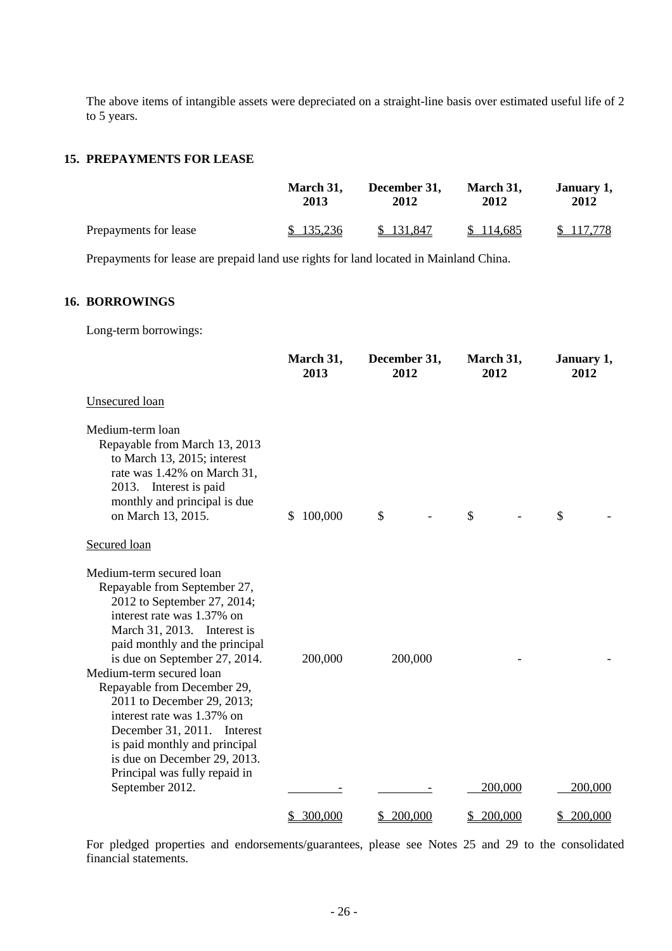The above items of intangible assets were depreciated on a straight-line basis over estimated useful life of 2 to 5 years.

#### **15. PREPAYMENTS FOR LEASE**

|                       | March 31, | December 31, | March 31, | January 1, |
|-----------------------|-----------|--------------|-----------|------------|
|                       | 2013      | 2012         | 2012      | 2012       |
| Prepayments for lease | \$135,236 | \$131.847    | \$114,685 | \$117,778  |

Prepayments for lease are prepaid land use rights for land located in Mainland China.

#### **16. BORROWINGS**

Long-term borrowings:

|                                                                                                                                                                                                                                                                                                                                                                                                                                                                                    | March 31,<br>2013 | December 31,<br>2012 | March 31,<br>2012 | January 1,<br>2012 |
|------------------------------------------------------------------------------------------------------------------------------------------------------------------------------------------------------------------------------------------------------------------------------------------------------------------------------------------------------------------------------------------------------------------------------------------------------------------------------------|-------------------|----------------------|-------------------|--------------------|
| Unsecured loan                                                                                                                                                                                                                                                                                                                                                                                                                                                                     |                   |                      |                   |                    |
| Medium-term loan<br>Repayable from March 13, 2013<br>to March 13, 2015; interest<br>rate was 1.42% on March 31,<br>2013. Interest is paid<br>monthly and principal is due<br>on March 13, 2015.                                                                                                                                                                                                                                                                                    | 100,000<br>S.     | \$                   | \$                | \$                 |
| Secured loan                                                                                                                                                                                                                                                                                                                                                                                                                                                                       |                   |                      |                   |                    |
| Medium-term secured loan<br>Repayable from September 27,<br>2012 to September 27, 2014;<br>interest rate was 1.37% on<br>March 31, 2013. Interest is<br>paid monthly and the principal<br>is due on September 27, 2014.<br>Medium-term secured loan<br>Repayable from December 29,<br>2011 to December 29, 2013;<br>interest rate was 1.37% on<br>December 31, 2011.<br>Interest<br>is paid monthly and principal<br>is due on December 29, 2013.<br>Principal was fully repaid in | 200,000           | 200,000              |                   |                    |
| September 2012.                                                                                                                                                                                                                                                                                                                                                                                                                                                                    |                   |                      | 200,000           | 200,000            |
|                                                                                                                                                                                                                                                                                                                                                                                                                                                                                    | 300,000<br>S.     | 200,000<br>S         | \$200,000         | 200,000<br>S.      |

For pledged properties and endorsements/guarantees, please see Notes 25 and 29 to the consolidated financial statements.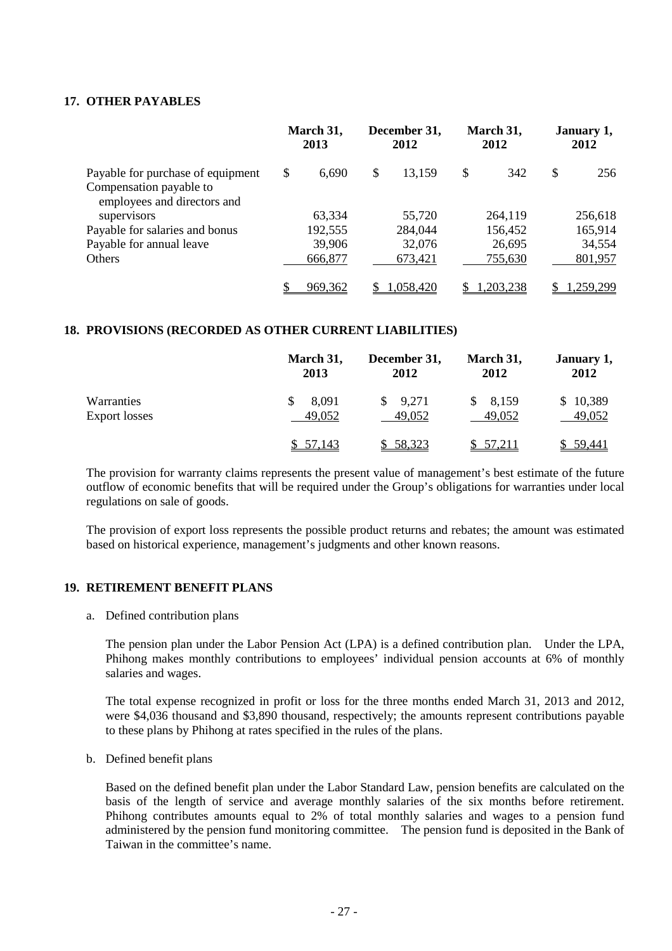#### **17. OTHER PAYABLES**

|                                   | March 31,<br>2013 |         | December 31,<br>2012 |           | March 31,<br>2012 |          | January 1,<br>2012 |           |
|-----------------------------------|-------------------|---------|----------------------|-----------|-------------------|----------|--------------------|-----------|
| Payable for purchase of equipment | \$                | 6,690   | \$                   | 13,159    | \$                | 342      | \$                 | 256       |
| Compensation payable to           |                   |         |                      |           |                   |          |                    |           |
| employees and directors and       |                   |         |                      |           |                   |          |                    |           |
| supervisors                       |                   | 63,334  |                      | 55,720    |                   | 264,119  |                    | 256,618   |
| Payable for salaries and bonus    |                   | 192,555 |                      | 284,044   |                   | 156,452  |                    | 165,914   |
| Payable for annual leave          |                   | 39,906  |                      | 32,076    |                   | 26,695   |                    | 34,554    |
| Others                            |                   | 666,877 |                      | 673,421   |                   | 755,630  |                    | 801,957   |
|                                   |                   |         |                      |           |                   |          |                    |           |
|                                   |                   | 969,362 |                      | 1,058,420 |                   | ,203,238 |                    | 1,259,299 |

#### **18. PROVISIONS (RECORDED AS OTHER CURRENT LIABILITIES)**

|                      | March 31, | December 31, | March 31, | January 1, |
|----------------------|-----------|--------------|-----------|------------|
|                      | 2013      | 2012         | 2012      | 2012       |
| Warranties           | 8,091     | 9,271        | 8,159     | \$10,389   |
| <b>Export losses</b> | 49,052    | 49,052       | 49,052    | 49,052     |
|                      | \$ 57,143 | \$58,323     | \$57,211  | \$ 59,441  |

The provision for warranty claims represents the present value of management's best estimate of the future outflow of economic benefits that will be required under the Group's obligations for warranties under local regulations on sale of goods.

The provision of export loss represents the possible product returns and rebates; the amount was estimated based on historical experience, management's judgments and other known reasons.

#### **19. RETIREMENT BENEFIT PLANS**

a. Defined contribution plans

The pension plan under the Labor Pension Act (LPA) is a defined contribution plan. Under the LPA, Phihong makes monthly contributions to employees' individual pension accounts at 6% of monthly salaries and wages.

The total expense recognized in profit or loss for the three months ended March 31, 2013 and 2012, were \$4,036 thousand and \$3,890 thousand, respectively; the amounts represent contributions payable to these plans by Phihong at rates specified in the rules of the plans.

b. Defined benefit plans

Based on the defined benefit plan under the Labor Standard Law, pension benefits are calculated on the basis of the length of service and average monthly salaries of the six months before retirement. Phihong contributes amounts equal to 2% of total monthly salaries and wages to a pension fund administered by the pension fund monitoring committee. The pension fund is deposited in the Bank of Taiwan in the committee's name.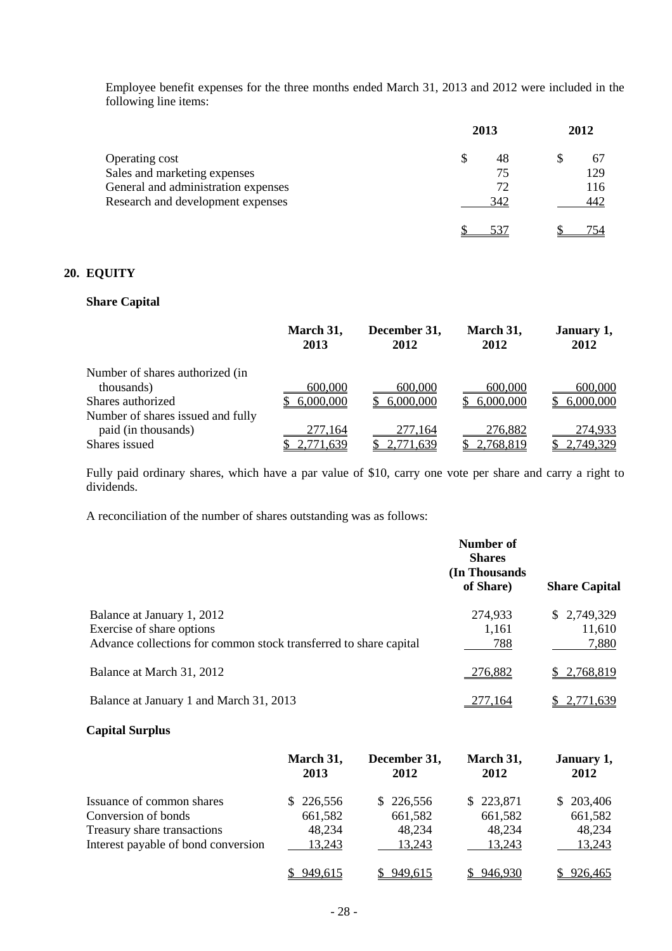Employee benefit expenses for the three months ended March 31, 2013 and 2012 were included in the following line items:

|                                     | 2013 | 2012 |  |     |
|-------------------------------------|------|------|--|-----|
| Operating cost                      | S    | 48   |  | 67  |
| Sales and marketing expenses        |      | 75   |  | 129 |
| General and administration expenses |      | 72   |  | 116 |
| Research and development expenses   |      | 342  |  | 442 |
|                                     |      | 537  |  |     |

### **20. EQUITY**

#### **Share Capital**

|                                   | March 31,<br>2013 | December 31,<br>2012 | March 31,<br>2012 | January 1,<br>2012 |
|-----------------------------------|-------------------|----------------------|-------------------|--------------------|
| Number of shares authorized (in   |                   |                      |                   |                    |
| thousands)                        | 600,000           | 600,000              | 600,000           | 600,000            |
| Shares authorized                 | 6,000,000         | 6,000,000            | 6,000,000         | 6,000,000          |
| Number of shares issued and fully |                   |                      |                   |                    |
| paid (in thousands)               | 277.164           | 277.164              | 276,882           | 274,933            |
| Shares issued                     | 2,771,639         | 2,771,639            | 2,768,819         | 2,749,329          |

Fully paid ordinary shares, which have a par value of \$10, carry one vote per share and carry a right to dividends.

A reconciliation of the number of shares outstanding was as follows:

|                                                                                                                              | Number of<br><b>Shares</b><br>(In Thousands)<br>of Share) | <b>Share Capital</b>           |
|------------------------------------------------------------------------------------------------------------------------------|-----------------------------------------------------------|--------------------------------|
| Balance at January 1, 2012<br>Exercise of share options<br>Advance collections for common stock transferred to share capital | 274,933<br>1,161<br>788                                   | \$2,749,329<br>11,610<br>7,880 |
| Balance at March 31, 2012                                                                                                    | 276,882                                                   | \$2,768,819                    |
| Balance at January 1 and March 31, 2013                                                                                      | :77,164                                                   | 2,771,639                      |

#### **Capital Surplus**

|                                     | March 31,<br>2013 | December 31,<br>2012 | March 31,<br>2012 | January 1,<br>2012 |
|-------------------------------------|-------------------|----------------------|-------------------|--------------------|
| Issuance of common shares           | \$226,556         | \$226,556            | \$223,871         | \$203,406          |
| Conversion of bonds                 | 661,582           | 661,582              | 661,582           | 661,582            |
| Treasury share transactions         | 48,234            | 48,234               | 48,234            | 48,234             |
| Interest payable of bond conversion | 13,243            | 13,243               | 13,243            | 13,243             |
|                                     | 949,615           | 949,615              | 946,930           | 926,465            |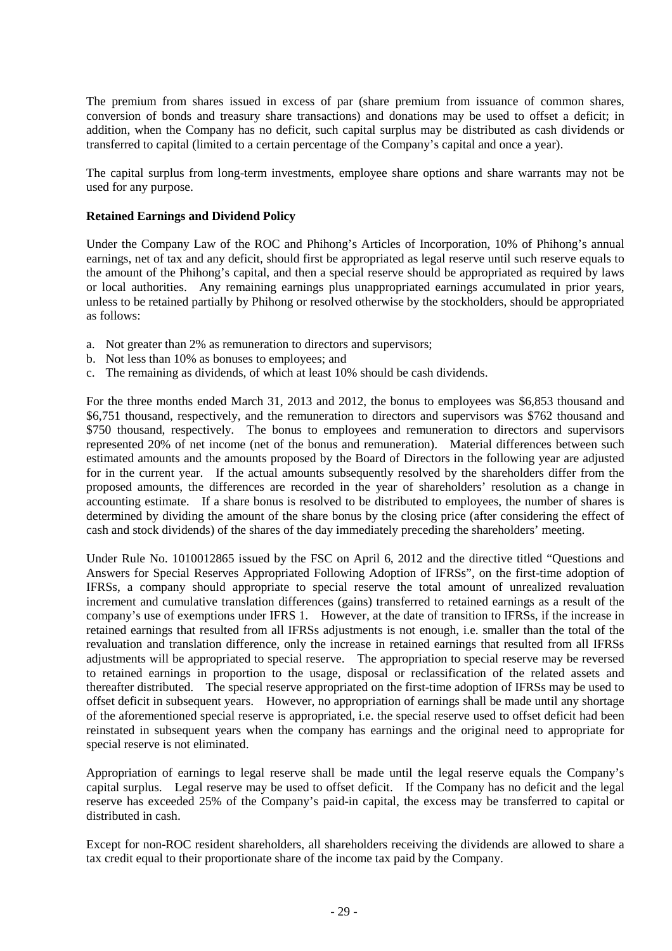The premium from shares issued in excess of par (share premium from issuance of common shares, conversion of bonds and treasury share transactions) and donations may be used to offset a deficit; in addition, when the Company has no deficit, such capital surplus may be distributed as cash dividends or transferred to capital (limited to a certain percentage of the Company's capital and once a year).

The capital surplus from long-term investments, employee share options and share warrants may not be used for any purpose.

#### **Retained Earnings and Dividend Policy**

Under the Company Law of the ROC and Phihong's Articles of Incorporation, 10% of Phihong's annual earnings, net of tax and any deficit, should first be appropriated as legal reserve until such reserve equals to the amount of the Phihong's capital, and then a special reserve should be appropriated as required by laws or local authorities. Any remaining earnings plus unappropriated earnings accumulated in prior years, unless to be retained partially by Phihong or resolved otherwise by the stockholders, should be appropriated as follows:

- a. Not greater than 2% as remuneration to directors and supervisors;
- b. Not less than 10% as bonuses to employees; and
- c. The remaining as dividends, of which at least 10% should be cash dividends.

For the three months ended March 31, 2013 and 2012, the bonus to employees was \$6,853 thousand and \$6,751 thousand, respectively, and the remuneration to directors and supervisors was \$762 thousand and \$750 thousand, respectively. The bonus to employees and remuneration to directors and supervisors represented 20% of net income (net of the bonus and remuneration). Material differences between such estimated amounts and the amounts proposed by the Board of Directors in the following year are adjusted for in the current year. If the actual amounts subsequently resolved by the shareholders differ from the proposed amounts, the differences are recorded in the year of shareholders' resolution as a change in accounting estimate. If a share bonus is resolved to be distributed to employees, the number of shares is determined by dividing the amount of the share bonus by the closing price (after considering the effect of cash and stock dividends) of the shares of the day immediately preceding the shareholders' meeting.

Under Rule No. 1010012865 issued by the FSC on April 6, 2012 and the directive titled "Questions and Answers for Special Reserves Appropriated Following Adoption of IFRSs", on the first-time adoption of IFRSs, a company should appropriate to special reserve the total amount of unrealized revaluation increment and cumulative translation differences (gains) transferred to retained earnings as a result of the company's use of exemptions under IFRS 1. However, at the date of transition to IFRSs, if the increase in retained earnings that resulted from all IFRSs adjustments is not enough, i.e. smaller than the total of the revaluation and translation difference, only the increase in retained earnings that resulted from all IFRSs adjustments will be appropriated to special reserve. The appropriation to special reserve may be reversed to retained earnings in proportion to the usage, disposal or reclassification of the related assets and thereafter distributed. The special reserve appropriated on the first-time adoption of IFRSs may be used to offset deficit in subsequent years. However, no appropriation of earnings shall be made until any shortage of the aforementioned special reserve is appropriated, i.e. the special reserve used to offset deficit had been reinstated in subsequent years when the company has earnings and the original need to appropriate for special reserve is not eliminated.

Appropriation of earnings to legal reserve shall be made until the legal reserve equals the Company's capital surplus. Legal reserve may be used to offset deficit. If the Company has no deficit and the legal reserve has exceeded 25% of the Company's paid-in capital, the excess may be transferred to capital or distributed in cash.

Except for non-ROC resident shareholders, all shareholders receiving the dividends are allowed to share a tax credit equal to their proportionate share of the income tax paid by the Company.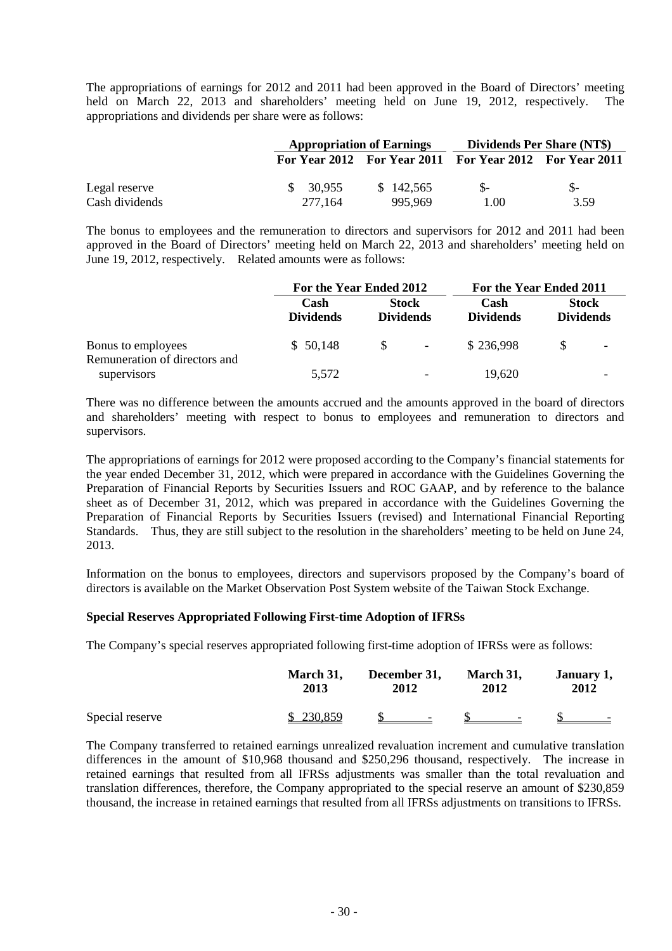The appropriations of earnings for 2012 and 2011 had been approved in the Board of Directors' meeting held on March 22, 2013 and shareholders' meeting held on June 19, 2012, respectively. The appropriations and dividends per share were as follows:

|                |           | <b>Appropriation of Earnings</b> |                                                         | <b>Dividends Per Share (NT\$)</b> |  |
|----------------|-----------|----------------------------------|---------------------------------------------------------|-----------------------------------|--|
|                |           |                                  | For Year 2012 For Year 2011 For Year 2012 For Year 2011 |                                   |  |
| Legal reserve  | \$ 30.955 | \$142,565                        |                                                         | $S-$                              |  |
| Cash dividends | 277.164   | 995.969                          | 1.00                                                    | 3.59                              |  |

The bonus to employees and the remuneration to directors and supervisors for 2012 and 2011 had been approved in the Board of Directors' meeting held on March 22, 2013 and shareholders' meeting held on June 19, 2012, respectively. Related amounts were as follows:

|                                                     | For the Year Ended 2012  |                                  | For the Year Ended 2011  |                          |                                  |                          |
|-----------------------------------------------------|--------------------------|----------------------------------|--------------------------|--------------------------|----------------------------------|--------------------------|
|                                                     | Cash<br><b>Dividends</b> | <b>Stock</b><br><b>Dividends</b> |                          | Cash<br><b>Dividends</b> | <b>Stock</b><br><b>Dividends</b> |                          |
| Bonus to employees<br>Remuneration of directors and | \$50,148                 | -SS                              | $\blacksquare$           | \$236,998                |                                  | $\overline{\phantom{0}}$ |
| supervisors                                         | 5,572                    |                                  | $\overline{\phantom{0}}$ | 19,620                   |                                  |                          |

There was no difference between the amounts accrued and the amounts approved in the board of directors and shareholders' meeting with respect to bonus to employees and remuneration to directors and supervisors.

The appropriations of earnings for 2012 were proposed according to the Company's financial statements for the year ended December 31, 2012, which were prepared in accordance with the Guidelines Governing the Preparation of Financial Reports by Securities Issuers and ROC GAAP, and by reference to the balance sheet as of December 31, 2012, which was prepared in accordance with the Guidelines Governing the Preparation of Financial Reports by Securities Issuers (revised) and International Financial Reporting Standards. Thus, they are still subject to the resolution in the shareholders' meeting to be held on June 24, 2013.

Information on the bonus to employees, directors and supervisors proposed by the Company's board of directors is available on the Market Observation Post System website of the Taiwan Stock Exchange.

#### **Special Reserves Appropriated Following First-time Adoption of IFRSs**

The Company's special reserves appropriated following first-time adoption of IFRSs were as follows:

|                 | March 31, | December 31,             | March 31,         | January 1,               |
|-----------------|-----------|--------------------------|-------------------|--------------------------|
|                 | 2013      | 2012                     | 2012              | 2012                     |
| Special reserve | \$230,859 | $\overline{\phantom{a}}$ | $\qquad \qquad -$ | $\overline{\phantom{0}}$ |

The Company transferred to retained earnings unrealized revaluation increment and cumulative translation differences in the amount of \$10,968 thousand and \$250,296 thousand, respectively. The increase in retained earnings that resulted from all IFRSs adjustments was smaller than the total revaluation and translation differences, therefore, the Company appropriated to the special reserve an amount of \$230,859 thousand, the increase in retained earnings that resulted from all IFRSs adjustments on transitions to IFRSs.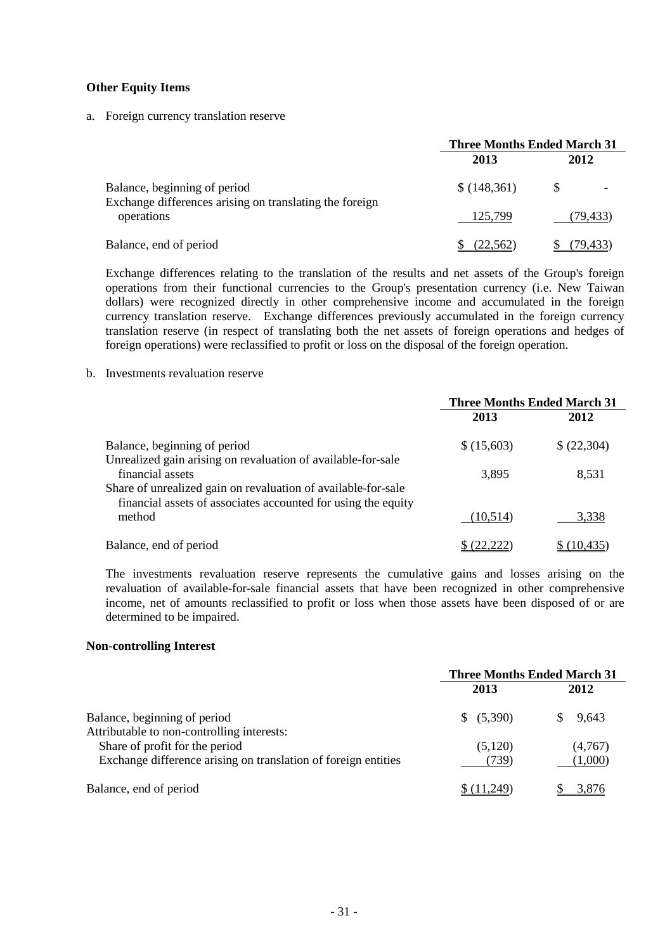#### **Other Equity Items**

a. Foreign currency translation reserve

|                                                                                         | <b>Three Months Ended March 31</b> |           |  |
|-----------------------------------------------------------------------------------------|------------------------------------|-----------|--|
|                                                                                         | 2013                               | 2012      |  |
| Balance, beginning of period<br>Exchange differences arising on translating the foreign | \$(148,361)                        |           |  |
| operations                                                                              | 125,799                            | (79, 433) |  |
| Balance, end of period                                                                  | (22,562)                           | (79.433)  |  |

Exchange differences relating to the translation of the results and net assets of the Group's foreign operations from their functional currencies to the Group's presentation currency (i.e. New Taiwan dollars) were recognized directly in other comprehensive income and accumulated in the foreign currency translation reserve. Exchange differences previously accumulated in the foreign currency translation reserve (in respect of translating both the net assets of foreign operations and hedges of foreign operations) were reclassified to profit or loss on the disposal of the foreign operation.

#### b. Investments revaluation reserve

|                                                                                                                                | <b>Three Months Ended March 31</b> |             |
|--------------------------------------------------------------------------------------------------------------------------------|------------------------------------|-------------|
|                                                                                                                                | 2013                               | 2012        |
| Balance, beginning of period                                                                                                   | \$(15,603)                         | \$ (22,304) |
| Unrealized gain arising on revaluation of available-for-sale<br>financial assets                                               | 3,895                              | 8,531       |
| Share of unrealized gain on revaluation of available-for-sale<br>financial assets of associates accounted for using the equity |                                    |             |
| method                                                                                                                         | (10,514)                           | 3,338       |
| Balance, end of period                                                                                                         | (22, 222)                          | (10,435     |

The investments revaluation reserve represents the cumulative gains and losses arising on the revaluation of available-for-sale financial assets that have been recognized in other comprehensive income, net of amounts reclassified to profit or loss when those assets have been disposed of or are determined to be impaired.

#### **Non-controlling Interest**

|                                                                                                  | <b>Three Months Ended March 31</b> |                    |
|--------------------------------------------------------------------------------------------------|------------------------------------|--------------------|
|                                                                                                  | 2013                               | 2012               |
| Balance, beginning of period<br>Attributable to non-controlling interests:                       | \$ (5,390)                         | 9.643              |
| Share of profit for the period<br>Exchange difference arising on translation of foreign entities | (5,120)<br>(739)                   | (4,767)<br>(1,000) |
| Balance, end of period                                                                           |                                    |                    |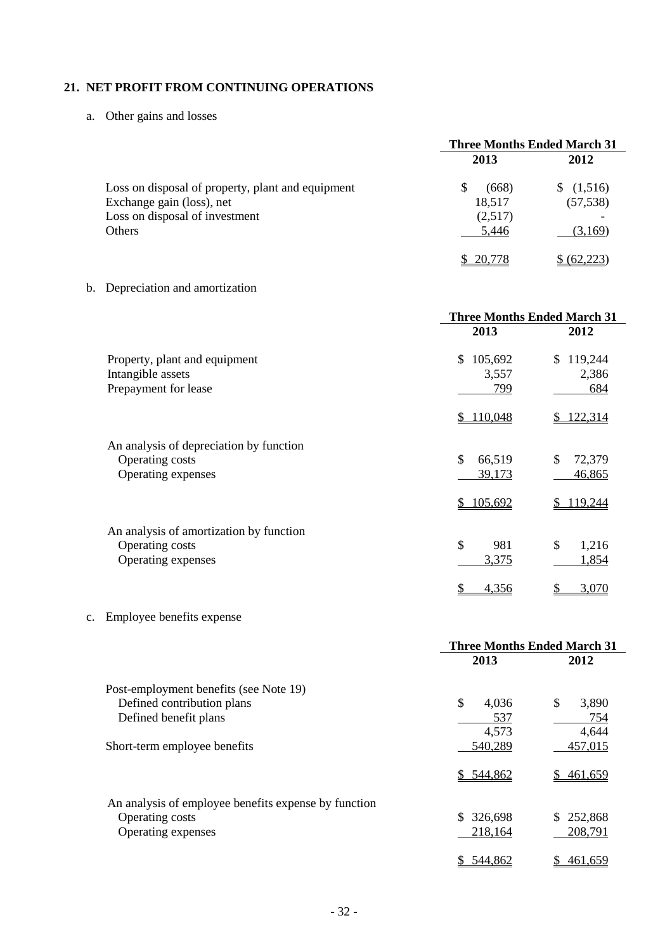### **21. NET PROFIT FROM CONTINUING OPERATIONS**

a. Other gains and losses

|                                                                                                                            | <b>Three Months Ended March 31</b>       |                                 |
|----------------------------------------------------------------------------------------------------------------------------|------------------------------------------|---------------------------------|
|                                                                                                                            | 2013                                     | 2012                            |
| Loss on disposal of property, plant and equipment<br>Exchange gain (loss), net<br>Loss on disposal of investment<br>Others | (668)<br>S<br>18,517<br>(2,517)<br>5,446 | (1,516)<br>(57, 538)<br>(3,169) |
|                                                                                                                            | 20,778                                   | (62.223)                        |

### b. Depreciation and amortization

|                                                                                  | <b>Three Months Ended March 31</b> |                        |  |
|----------------------------------------------------------------------------------|------------------------------------|------------------------|--|
|                                                                                  | 2013                               | 2012                   |  |
| Property, plant and equipment                                                    | \$<br>105,692<br>3,557             | 119,244<br>\$<br>2,386 |  |
| Intangible assets<br>Prepayment for lease                                        | 799                                | 684                    |  |
|                                                                                  | 110,048<br>S                       | 122,314                |  |
| An analysis of depreciation by function<br>Operating costs<br>Operating expenses | \$<br>66,519<br>39,173             | \$<br>72,379<br>46,865 |  |
|                                                                                  | \$105,692                          | 119,244                |  |
| An analysis of amortization by function<br>Operating costs<br>Operating expenses | \$<br>981<br>3,375                 | \$<br>1,216<br>1,854   |  |
|                                                                                  | 4,356<br>\$                        | 3,070<br>\$            |  |

# c. Employee benefits expense

|                                                      |             | <b>Three Months Ended March 31</b> |
|------------------------------------------------------|-------------|------------------------------------|
|                                                      | 2013        | 2012                               |
| Post-employment benefits (see Note 19)               |             |                                    |
| Defined contribution plans                           | \$<br>4,036 | \$<br>3,890                        |
| Defined benefit plans                                | 537         | 754                                |
|                                                      | 4,573       | 4,644                              |
| Short-term employee benefits                         | 540,289     | 457,015                            |
|                                                      | \$544,862   | S.<br>461,659                      |
| An analysis of employee benefits expense by function |             |                                    |
| Operating costs                                      | 326,698     | 252,868<br>\$.                     |
| Operating expenses                                   | 218,164     | 208,791                            |
|                                                      | 544,862     | \$<br>461,659                      |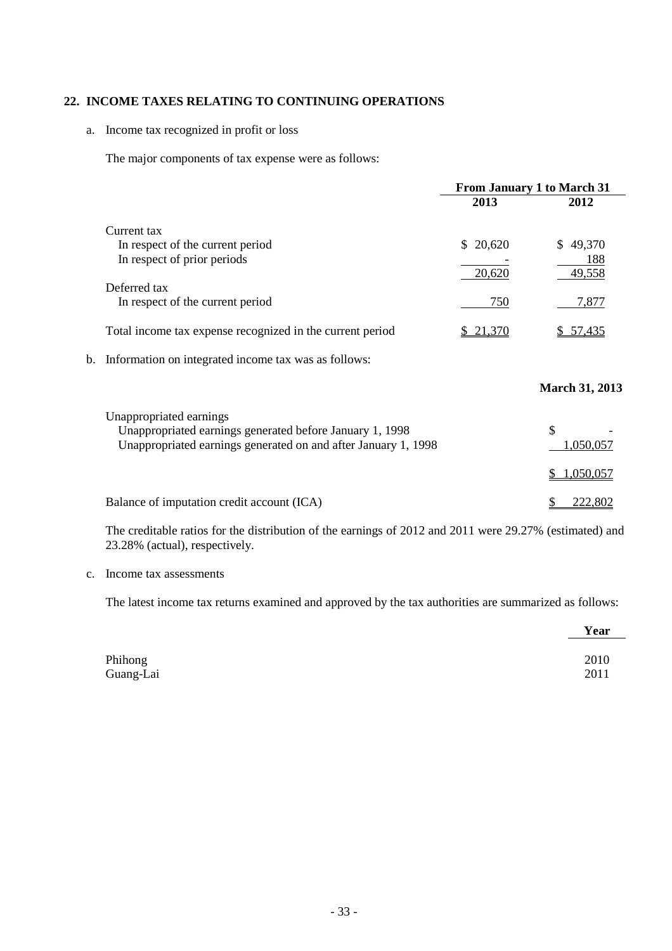#### **22. INCOME TAXES RELATING TO CONTINUING OPERATIONS**

#### a. Income tax recognized in profit or loss

The major components of tax expense were as follows:

|    |                                                                | From January 1 to March 31 |                       |
|----|----------------------------------------------------------------|----------------------------|-----------------------|
|    |                                                                | 2013                       | 2012                  |
|    | Current tax                                                    |                            |                       |
|    | In respect of the current period                               | \$20,620                   | 49,370<br>S.          |
|    | In respect of prior periods                                    |                            | 188                   |
|    |                                                                | 20,620                     | 49,558                |
|    | Deferred tax                                                   |                            |                       |
|    | In respect of the current period                               | 750                        | 7,877                 |
|    | Total income tax expense recognized in the current period      | \$21,370                   | <u>\$57,435</u>       |
| b. | Information on integrated income tax was as follows:           |                            |                       |
|    |                                                                |                            | <b>March 31, 2013</b> |
|    | Unappropriated earnings                                        |                            |                       |
|    | Unappropriated earnings generated before January 1, 1998       |                            | \$                    |
|    | Unappropriated earnings generated on and after January 1, 1998 |                            | 1,050,057             |
|    |                                                                |                            | 1,050,057             |
|    |                                                                |                            |                       |
|    | Balance of imputation credit account (ICA)                     |                            | 222.802               |

The creditable ratios for the distribution of the earnings of 2012 and 2011 were 29.27% (estimated) and 23.28% (actual), respectively.

#### c. Income tax assessments

The latest income tax returns examined and approved by the tax authorities are summarized as follows:

|           | Year |
|-----------|------|
| Phihong   | 2010 |
| Guang-Lai | 2011 |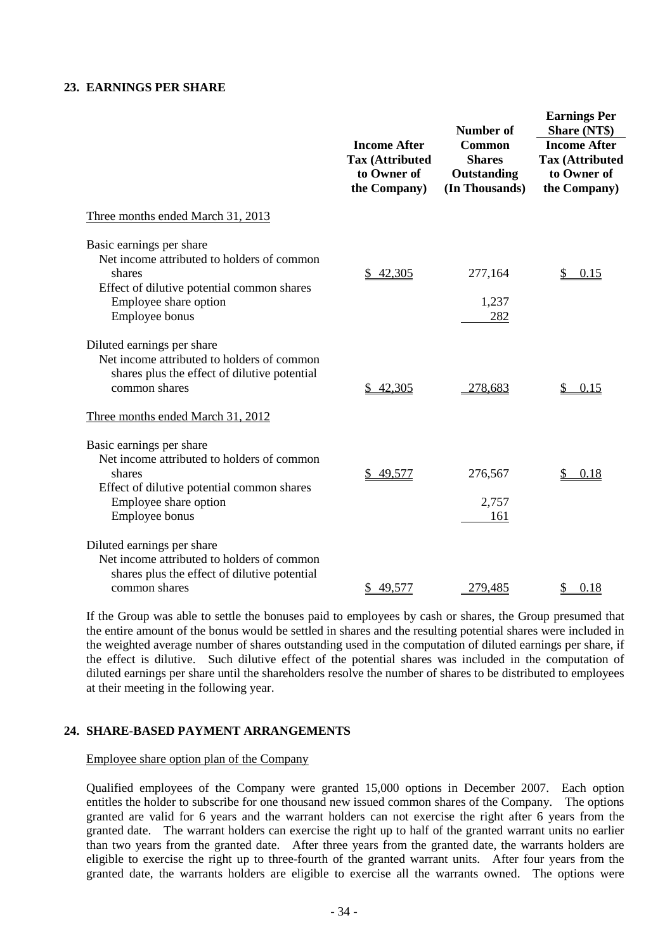#### **23. EARNINGS PER SHARE**

|                                                                                                                                                                                | <b>Income After</b><br><b>Tax (Attributed</b><br>to Owner of<br>the Company) | <b>Number of</b><br><b>Common</b><br><b>Shares</b><br>Outstanding<br>(In Thousands) | <b>Earnings Per</b><br>Share (NT\$)<br><b>Income After</b><br><b>Tax (Attributed</b><br>to Owner of<br>the Company) |
|--------------------------------------------------------------------------------------------------------------------------------------------------------------------------------|------------------------------------------------------------------------------|-------------------------------------------------------------------------------------|---------------------------------------------------------------------------------------------------------------------|
| Three months ended March 31, 2013                                                                                                                                              |                                                                              |                                                                                     |                                                                                                                     |
| Basic earnings per share<br>Net income attributed to holders of common<br>shares<br>Effect of dilutive potential common shares<br>Employee share option<br>Employee bonus      | \$42,305                                                                     | 277,164<br>1,237<br>282                                                             | \$<br>0.15                                                                                                          |
| Diluted earnings per share<br>Net income attributed to holders of common<br>shares plus the effect of dilutive potential<br>common shares<br>Three months ended March 31, 2012 | 42,305                                                                       | 278,683                                                                             | 0.15                                                                                                                |
| Basic earnings per share<br>Net income attributed to holders of common<br>shares<br>Effect of dilutive potential common shares<br>Employee share option<br>Employee bonus      | 49,577                                                                       | 276,567<br>2,757<br>161                                                             | 0.18                                                                                                                |
| Diluted earnings per share<br>Net income attributed to holders of common<br>shares plus the effect of dilutive potential<br>common shares                                      | \$49,577                                                                     | 279,485                                                                             | 0.18<br>\$                                                                                                          |

If the Group was able to settle the bonuses paid to employees by cash or shares, the Group presumed that the entire amount of the bonus would be settled in shares and the resulting potential shares were included in the weighted average number of shares outstanding used in the computation of diluted earnings per share, if the effect is dilutive. Such dilutive effect of the potential shares was included in the computation of diluted earnings per share until the shareholders resolve the number of shares to be distributed to employees at their meeting in the following year.

#### **24. SHARE-BASED PAYMENT ARRANGEMENTS**

Employee share option plan of the Company

Qualified employees of the Company were granted 15,000 options in December 2007. Each option entitles the holder to subscribe for one thousand new issued common shares of the Company. The options granted are valid for 6 years and the warrant holders can not exercise the right after 6 years from the granted date. The warrant holders can exercise the right up to half of the granted warrant units no earlier than two years from the granted date. After three years from the granted date, the warrants holders are eligible to exercise the right up to three-fourth of the granted warrant units. After four years from the granted date, the warrants holders are eligible to exercise all the warrants owned. The options were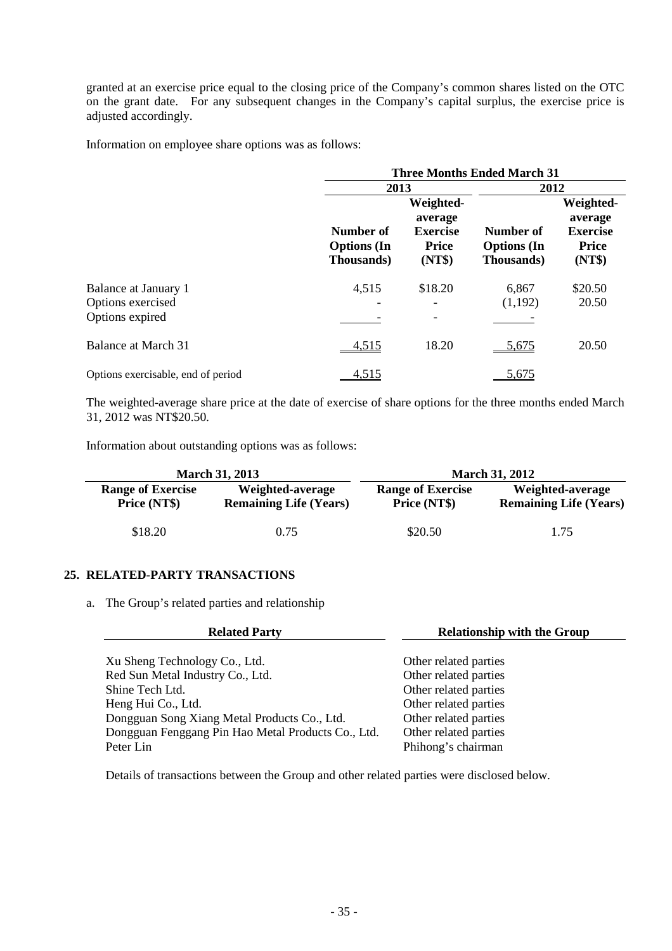granted at an exercise price equal to the closing price of the Company's common shares listed on the OTC on the grant date. For any subsequent changes in the Company's capital surplus, the exercise price is adjusted accordingly.

Information on employee share options was as follows:

|                                                              | <b>Three Months Ended March 31</b>            |                                                                   |                                               |                                                                   |  |
|--------------------------------------------------------------|-----------------------------------------------|-------------------------------------------------------------------|-----------------------------------------------|-------------------------------------------------------------------|--|
|                                                              | 2013                                          |                                                                   |                                               | 2012                                                              |  |
|                                                              | Number of<br><b>Options</b> (In<br>Thousands) | Weighted-<br>average<br><b>Exercise</b><br><b>Price</b><br>(NT\$) | Number of<br><b>Options</b> (In<br>Thousands) | Weighted-<br>average<br><b>Exercise</b><br><b>Price</b><br>(NT\$) |  |
| Balance at January 1<br>Options exercised<br>Options expired | 4,515<br>۰                                    | \$18.20                                                           | 6,867<br>(1,192)                              | \$20.50<br>20.50                                                  |  |
| <b>Balance at March 31</b>                                   | 4,515                                         | 18.20                                                             | <u>5,675</u>                                  | 20.50                                                             |  |
| Options exercisable, end of period                           | <u>4,515</u>                                  |                                                                   | <u>5,675</u>                                  |                                                                   |  |

The weighted-average share price at the date of exercise of share options for the three months ended March 31, 2012 was NT\$20.50.

Information about outstanding options was as follows:

| <b>March 31, 2013</b>                    |                                                   | <b>March 31, 2012</b>                    |                                                   |  |
|------------------------------------------|---------------------------------------------------|------------------------------------------|---------------------------------------------------|--|
| <b>Range of Exercise</b><br>Price (NT\$) | Weighted-average<br><b>Remaining Life (Years)</b> | <b>Range of Exercise</b><br>Price (NT\$) | Weighted-average<br><b>Remaining Life (Years)</b> |  |
| \$18.20                                  | 0.75                                              | \$20.50                                  | 1.75                                              |  |

#### **25. RELATED-PARTY TRANSACTIONS**

a. The Group's related parties and relationship

| <b>Related Party</b>                               | <b>Relationship with the Group</b> |
|----------------------------------------------------|------------------------------------|
| Xu Sheng Technology Co., Ltd.                      | Other related parties              |
| Red Sun Metal Industry Co., Ltd.                   | Other related parties              |
| Shine Tech Ltd.                                    | Other related parties              |
| Heng Hui Co., Ltd.                                 | Other related parties              |
| Dongguan Song Xiang Metal Products Co., Ltd.       | Other related parties              |
| Dongguan Fenggang Pin Hao Metal Products Co., Ltd. | Other related parties              |
| Peter Lin                                          | Phihong's chairman                 |

Details of transactions between the Group and other related parties were disclosed below.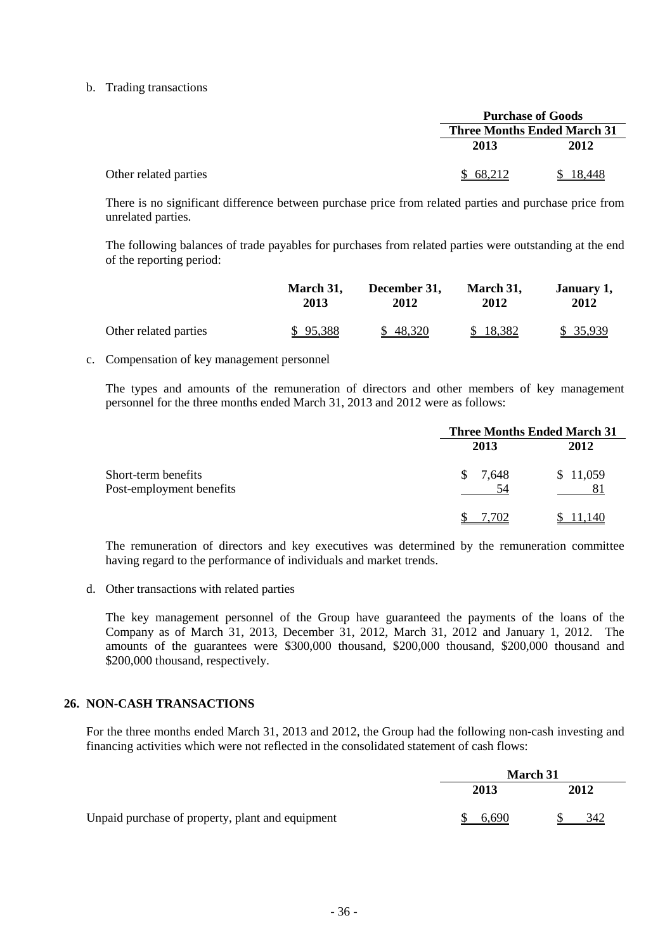#### b. Trading transactions

|        | <b>Purchase of Goods</b>           |  |  |
|--------|------------------------------------|--|--|
|        | <b>Three Months Ended March 31</b> |  |  |
| 2013   | 2012                               |  |  |
| 68.212 |                                    |  |  |

There is no significant difference between purchase price from related parties and purchase price from unrelated parties.

The following balances of trade payables for purchases from related parties were outstanding at the end of the reporting period:

|                       | March 31. | December 31, | March 31, | January 1, |
|-----------------------|-----------|--------------|-----------|------------|
|                       | 2013      | 2012         | 2012      | 2012       |
| Other related parties | \$95,388  | \$48,320     | \$18,382  | \$ 35,939  |

#### c. Compensation of key management personnel

The types and amounts of the remuneration of directors and other members of key management personnel for the three months ended March 31, 2013 and 2012 were as follows:

|                                                 | <b>Three Months Ended March 31</b> |                |  |
|-------------------------------------------------|------------------------------------|----------------|--|
|                                                 | 2013                               | 2012           |  |
| Short-term benefits<br>Post-employment benefits | S.<br>7.648<br>54                  | \$11,059<br>81 |  |
|                                                 | .702                               | 1.140          |  |

The remuneration of directors and key executives was determined by the remuneration committee having regard to the performance of individuals and market trends.

d. Other transactions with related parties

The key management personnel of the Group have guaranteed the payments of the loans of the Company as of March 31, 2013, December 31, 2012, March 31, 2012 and January 1, 2012. The amounts of the guarantees were \$300,000 thousand, \$200,000 thousand, \$200,000 thousand and \$200,000 thousand, respectively.

#### **26. NON-CASH TRANSACTIONS**

For the three months ended March 31, 2013 and 2012, the Group had the following non-cash investing and financing activities which were not reflected in the consolidated statement of cash flows:

|                                                  | <b>March 31</b> |      |  |
|--------------------------------------------------|-----------------|------|--|
|                                                  | 2013            | 2012 |  |
| Unpaid purchase of property, plant and equipment | 6,690           | 342  |  |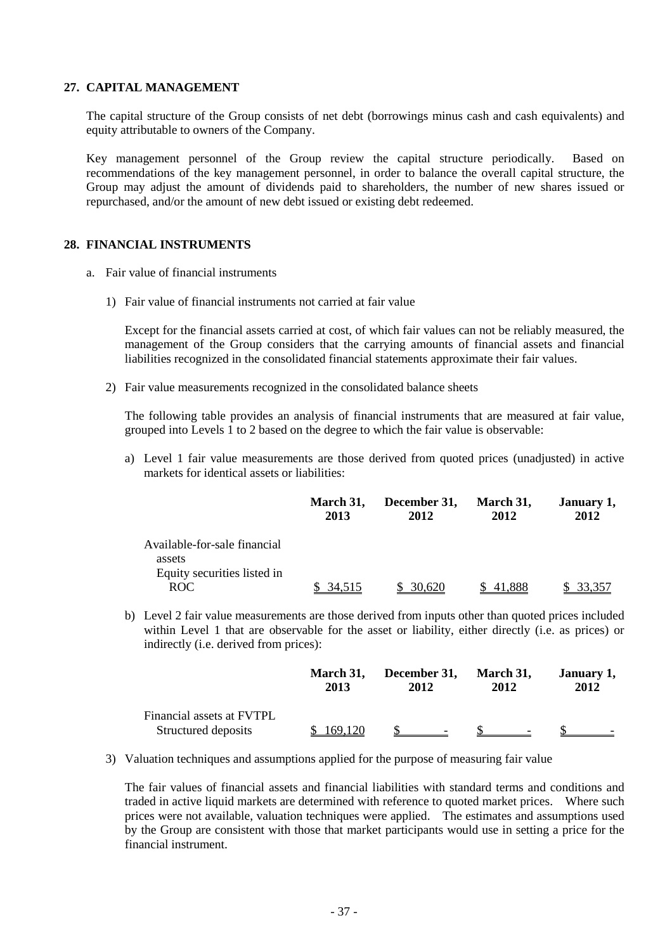#### **27. CAPITAL MANAGEMENT**

The capital structure of the Group consists of net debt (borrowings minus cash and cash equivalents) and equity attributable to owners of the Company.

Key management personnel of the Group review the capital structure periodically. Based on recommendations of the key management personnel, in order to balance the overall capital structure, the Group may adjust the amount of dividends paid to shareholders, the number of new shares issued or repurchased, and/or the amount of new debt issued or existing debt redeemed.

#### **28. FINANCIAL INSTRUMENTS**

- a. Fair value of financial instruments
	- 1) Fair value of financial instruments not carried at fair value

Except for the financial assets carried at cost, of which fair values can not be reliably measured, the management of the Group considers that the carrying amounts of financial assets and financial liabilities recognized in the consolidated financial statements approximate their fair values.

2) Fair value measurements recognized in the consolidated balance sheets

The following table provides an analysis of financial instruments that are measured at fair value, grouped into Levels 1 to 2 based on the degree to which the fair value is observable:

a) Level 1 fair value measurements are those derived from quoted prices (unadjusted) in active markets for identical assets or liabilities:

|                                        | March 31,<br>2013 | December 31,<br>2012 | March 31,<br>2012 | January 1,<br>2012 |
|----------------------------------------|-------------------|----------------------|-------------------|--------------------|
| Available-for-sale financial<br>assets |                   |                      |                   |                    |
| Equity securities listed in            |                   |                      |                   |                    |
| <b>ROC</b>                             | 34.515            | 30.620               |                   | 33.35              |

b) Level 2 fair value measurements are those derived from inputs other than quoted prices included within Level 1 that are observable for the asset or liability, either directly (i.e. as prices) or indirectly (i.e. derived from prices):

|                                                  | <b>March 31.</b> | December 31,             | March 31,                | January 1, |
|--------------------------------------------------|------------------|--------------------------|--------------------------|------------|
|                                                  | 2013             | 2012                     | 2012                     | 2012       |
| Financial assets at FVTPL<br>Structured deposits | 169.120          | $\overline{\phantom{0}}$ | $\overline{\phantom{0}}$ |            |

3) Valuation techniques and assumptions applied for the purpose of measuring fair value

The fair values of financial assets and financial liabilities with standard terms and conditions and traded in active liquid markets are determined with reference to quoted market prices. Where such prices were not available, valuation techniques were applied. The estimates and assumptions used by the Group are consistent with those that market participants would use in setting a price for the financial instrument.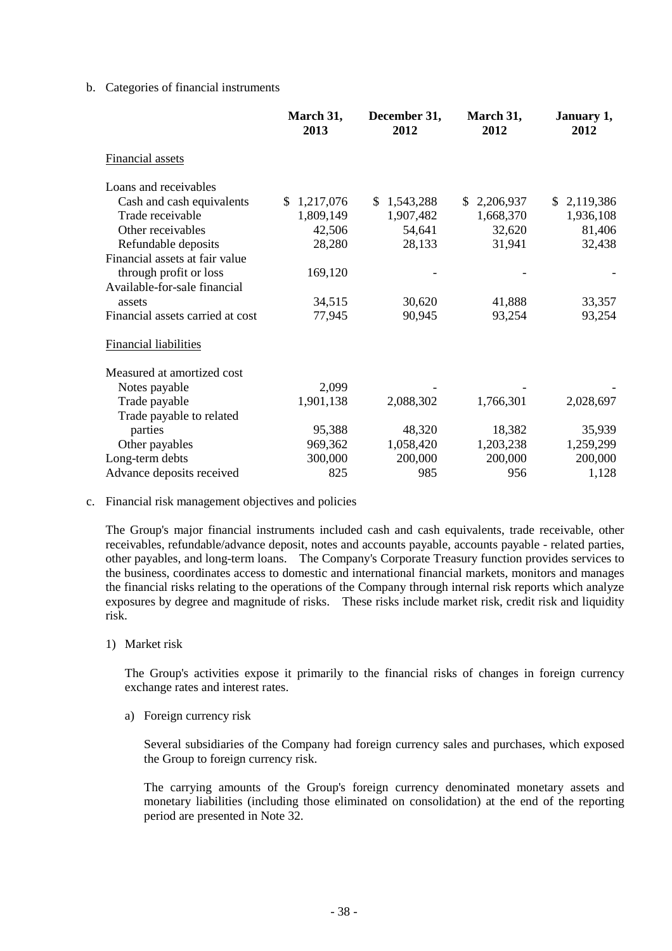#### b. Categories of financial instruments

|                                  | March 31,<br>2013 | December 31,<br>2012 | March 31,<br>2012 | January 1,<br>2012 |
|----------------------------------|-------------------|----------------------|-------------------|--------------------|
| <b>Financial assets</b>          |                   |                      |                   |                    |
| Loans and receivables            |                   |                      |                   |                    |
| Cash and cash equivalents        | 1,217,076<br>\$.  | \$<br>1,543,288      | 2,206,937<br>S.   | 2,119,386<br>S.    |
| Trade receivable                 | 1,809,149         | 1,907,482            | 1,668,370         | 1,936,108          |
| Other receivables                | 42,506            | 54,641               | 32,620            | 81,406             |
| Refundable deposits              | 28,280            | 28,133               | 31,941            | 32,438             |
| Financial assets at fair value   |                   |                      |                   |                    |
| through profit or loss           | 169,120           |                      |                   |                    |
| Available-for-sale financial     |                   |                      |                   |                    |
| assets                           | 34,515            | 30,620               | 41,888            | 33,357             |
| Financial assets carried at cost | 77,945            | 90,945               | 93,254            | 93,254             |
| Financial liabilities            |                   |                      |                   |                    |
| Measured at amortized cost       |                   |                      |                   |                    |
| Notes payable                    | 2,099             |                      |                   |                    |
| Trade payable                    | 1,901,138         | 2,088,302            | 1,766,301         | 2,028,697          |
| Trade payable to related         |                   |                      |                   |                    |
| parties                          | 95,388            | 48,320               | 18,382            | 35,939             |
| Other payables                   | 969,362           | 1,058,420            | 1,203,238         | 1,259,299          |
| Long-term debts                  | 300,000           | 200,000              | 200,000           | 200,000            |
| Advance deposits received        | 825               | 985                  | 956               | 1,128              |

#### c. Financial risk management objectives and policies

The Group's major financial instruments included cash and cash equivalents, trade receivable, other receivables, refundable/advance deposit, notes and accounts payable, accounts payable - related parties, other payables, and long-term loans. The Company's Corporate Treasury function provides services to the business, coordinates access to domestic and international financial markets, monitors and manages the financial risks relating to the operations of the Company through internal risk reports which analyze exposures by degree and magnitude of risks. These risks include market risk, credit risk and liquidity risk.

1) Market risk

The Group's activities expose it primarily to the financial risks of changes in foreign currency exchange rates and interest rates.

a) Foreign currency risk

Several subsidiaries of the Company had foreign currency sales and purchases, which exposed the Group to foreign currency risk.

The carrying amounts of the Group's foreign currency denominated monetary assets and monetary liabilities (including those eliminated on consolidation) at the end of the reporting period are presented in Note 32.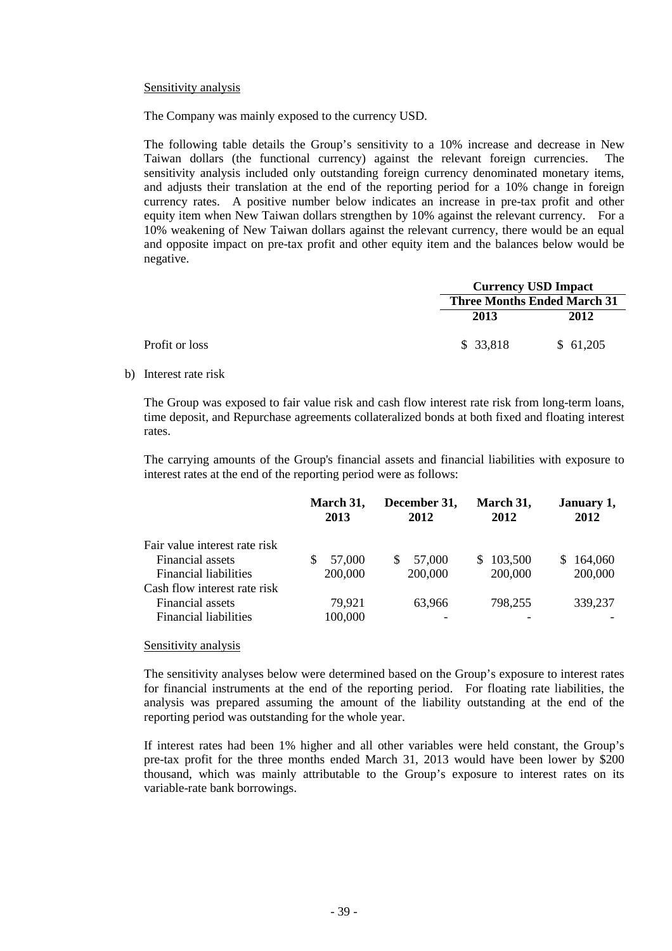#### Sensitivity analysis

The Company was mainly exposed to the currency USD.

The following table details the Group's sensitivity to a 10% increase and decrease in New Taiwan dollars (the functional currency) against the relevant foreign currencies. The sensitivity analysis included only outstanding foreign currency denominated monetary items, and adjusts their translation at the end of the reporting period for a 10% change in foreign currency rates. A positive number below indicates an increase in pre-tax profit and other equity item when New Taiwan dollars strengthen by 10% against the relevant currency. For a 10% weakening of New Taiwan dollars against the relevant currency, there would be an equal and opposite impact on pre-tax profit and other equity item and the balances below would be negative.

|                |           | <b>Currency USD Impact</b><br><b>Three Months Ended March 31</b> |  |  |
|----------------|-----------|------------------------------------------------------------------|--|--|
|                |           |                                                                  |  |  |
|                | 2013      | 2012                                                             |  |  |
| Profit or loss | \$ 33,818 | \$61,205                                                         |  |  |

b) Interest rate risk

The Group was exposed to fair value risk and cash flow interest rate risk from long-term loans, time deposit, and Repurchase agreements collateralized bonds at both fixed and floating interest rates.

The carrying amounts of the Group's financial assets and financial liabilities with exposure to interest rates at the end of the reporting period were as follows:

|                               | March 31,<br>2013 | December 31,<br>2012 | March 31,<br>2012 | January 1,<br>2012 |
|-------------------------------|-------------------|----------------------|-------------------|--------------------|
| Fair value interest rate risk |                   |                      |                   |                    |
| Financial assets              | 57,000            | 57,000<br>S.         | \$103,500         | 164,060<br>S.      |
| <b>Financial liabilities</b>  | 200,000           | 200,000              | 200,000           | 200,000            |
| Cash flow interest rate risk  |                   |                      |                   |                    |
| Financial assets              | 79,921            | 63.966               | 798,255           | 339,237            |
| <b>Financial liabilities</b>  | 100,000           |                      |                   |                    |

#### Sensitivity analysis

The sensitivity analyses below were determined based on the Group's exposure to interest rates for financial instruments at the end of the reporting period. For floating rate liabilities, the analysis was prepared assuming the amount of the liability outstanding at the end of the reporting period was outstanding for the whole year.

If interest rates had been 1% higher and all other variables were held constant, the Group's pre-tax profit for the three months ended March 31, 2013 would have been lower by \$200 thousand, which was mainly attributable to the Group's exposure to interest rates on its variable-rate bank borrowings.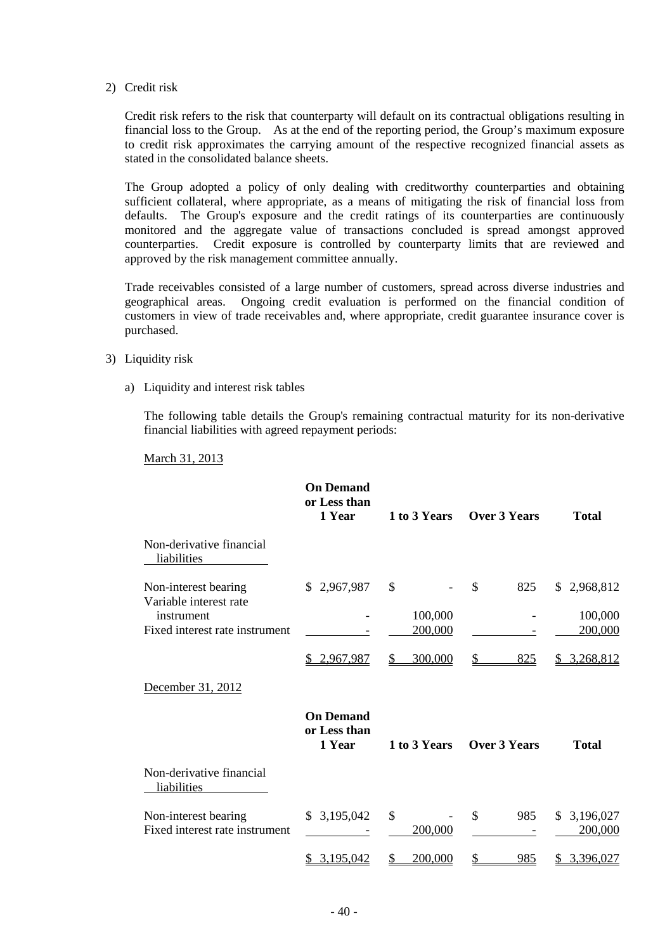2) Credit risk

Credit risk refers to the risk that counterparty will default on its contractual obligations resulting in financial loss to the Group. As at the end of the reporting period, the Group's maximum exposure to credit risk approximates the carrying amount of the respective recognized financial assets as stated in the consolidated balance sheets.

The Group adopted a policy of only dealing with creditworthy counterparties and obtaining sufficient collateral, where appropriate, as a means of mitigating the risk of financial loss from defaults. The Group's exposure and the credit ratings of its counterparties are continuously monitored and the aggregate value of transactions concluded is spread amongst approved counterparties. Credit exposure is controlled by counterparty limits that are reviewed and approved by the risk management committee annually.

Trade receivables consisted of a large number of customers, spread across diverse industries and geographical areas. Ongoing credit evaluation is performed on the financial condition of customers in view of trade receivables and, where appropriate, credit guarantee insurance cover is purchased.

- 3) Liquidity risk
	- a) Liquidity and interest risk tables

The following table details the Group's remaining contractual maturity for its non-derivative financial liabilities with agreed repayment periods:

March 31, 2013

|                                                              | <b>On Demand</b><br>or Less than<br>1 Year | 1 to 3 Years  | Over 3 Years         | <b>Total</b>               |
|--------------------------------------------------------------|--------------------------------------------|---------------|----------------------|----------------------------|
| Non-derivative financial<br>liabilities                      |                                            |               |                      |                            |
| Non-interest bearing<br>Variable interest rate<br>instrument | \$2,967,987                                | \$<br>100,000 | \$<br>825            | \$2,968,812<br>100,000     |
| Fixed interest rate instrument                               |                                            | 200,000       |                      | 200,000                    |
|                                                              | 2,967,987                                  | 300,000<br>S  | \$<br>825            | 3,268,812<br>S             |
| December 31, 2012                                            |                                            |               |                      |                            |
|                                                              | <b>On Demand</b><br>or Less than<br>1 Year | 1 to 3 Years  | Over 3 Years         | <b>Total</b>               |
| Non-derivative financial<br>liabilities                      |                                            |               |                      |                            |
| Non-interest bearing<br>Fixed interest rate instrument       | \$3,195,042                                | \$<br>200,000 | $\mathcal{S}$<br>985 | 3,196,027<br>S.<br>200,000 |
|                                                              | 3,195,042                                  | 200,000       | 985                  | 3,396,027                  |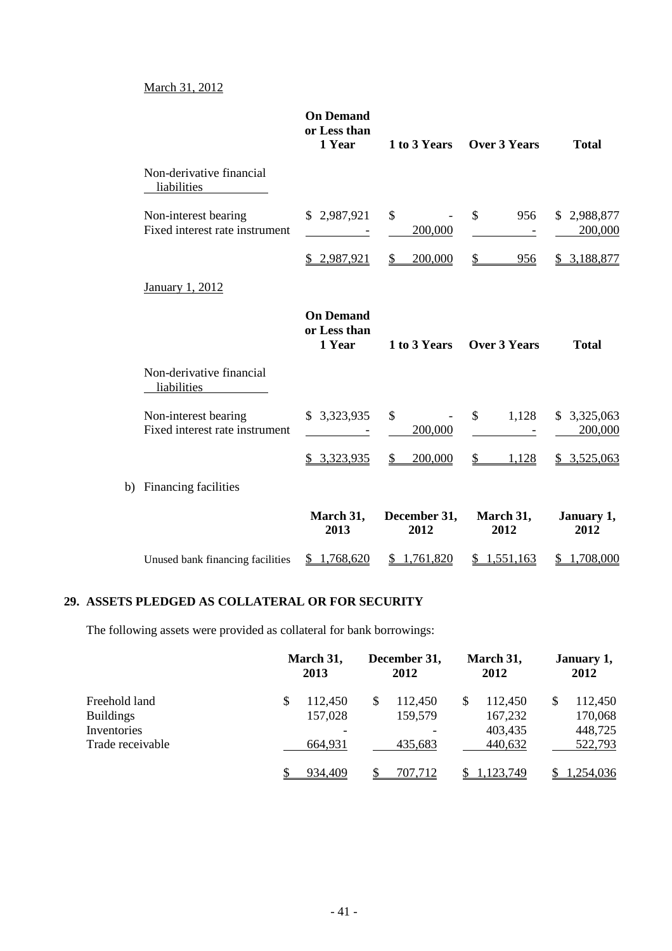#### March 31, 2012

|                                                        | <b>On Demand</b><br>or Less than<br>1 Year       | 1 to 3 Years            | <b>Over 3 Years</b>                 | <b>Total</b>           |
|--------------------------------------------------------|--------------------------------------------------|-------------------------|-------------------------------------|------------------------|
| Non-derivative financial<br>liabilities                |                                                  |                         |                                     |                        |
| Non-interest bearing<br>Fixed interest rate instrument | \$2,987,921<br><b>Contract Contract Contract</b> | $\mathbb{S}$<br>200,000 | $\mathbb{S}^-$<br>956<br>$\sim$ $-$ | \$2,988,877<br>200,000 |
|                                                        | \$2,987,921                                      | 200,000<br>$\mathbb{S}$ | \$<br>956                           | 3,188,877<br>S.        |
| <b>January 1, 2012</b>                                 |                                                  |                         |                                     |                        |
|                                                        | <b>On Demand</b><br>or Less than<br>1 Year       | 1 to 3 Years            | <b>Over 3 Years</b>                 | <b>Total</b>           |
| Non-derivative financial<br>liabilities                |                                                  |                         |                                     |                        |
| Non-interest bearing<br>Fixed interest rate instrument | \$3,323,935                                      | \$<br>200,000           | $\mathbb{S}$<br>1,128               | \$3,325,063<br>200,000 |
|                                                        | \$3,323,935                                      | $\mathbb{S}$<br>200,000 | $\mathcal{S}$<br>1,128              | \$3,525,063            |
| b) Financing facilities                                |                                                  |                         |                                     |                        |
|                                                        | March 31,<br>2013                                | December 31,<br>2012    | March 31,<br>2012                   | January 1,<br>2012     |
| Unused bank financing facilities                       | \$1,768,620                                      | \$1,761,820             | \$1,551,163                         | 1,708,000              |

# **29. ASSETS PLEDGED AS COLLATERAL OR FOR SECURITY**

The following assets were provided as collateral for bank borrowings:

|                  |   | March 31,<br>2013        |   | December 31,<br>2012 |   | March 31,<br>2012 |    | January 1,<br>2012 |  |
|------------------|---|--------------------------|---|----------------------|---|-------------------|----|--------------------|--|
| Freehold land    | S | 112,450                  | S | 112,450              | S | 112,450           | \$ | 112,450            |  |
| <b>Buildings</b> |   | 157,028                  |   | 159,579              |   | 167,232           |    | 170,068            |  |
| Inventories      |   | $\overline{\phantom{0}}$ |   |                      |   | 403,435           |    | 448,725            |  |
| Trade receivable |   | 664,931                  |   | 435,683              |   | 440,632           |    | 522,793            |  |
|                  |   | 934,409                  |   | 707,712              |   | 1.123.749         |    | 1,254,036          |  |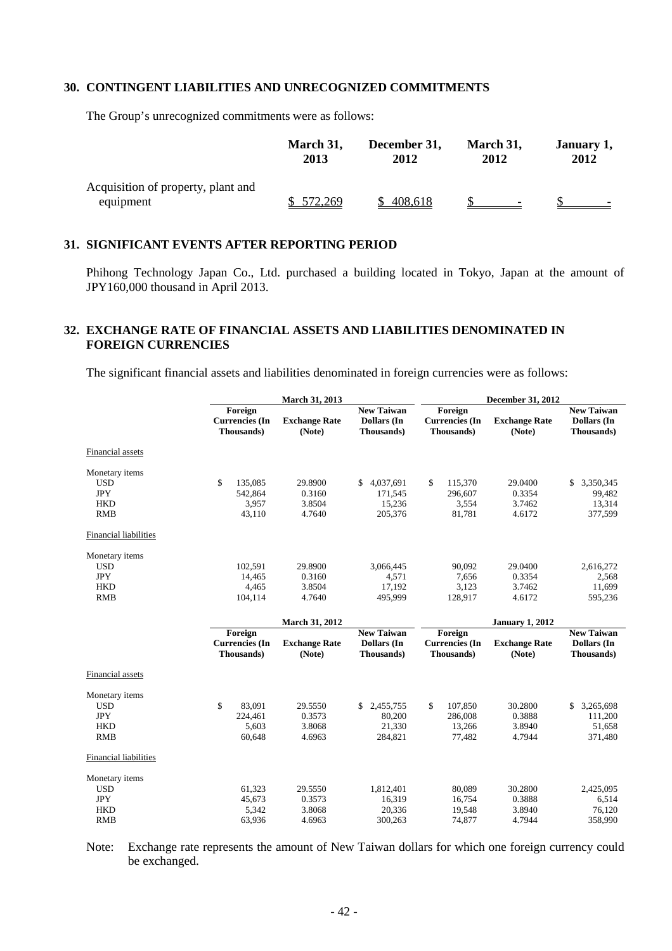#### **30. CONTINGENT LIABILITIES AND UNRECOGNIZED COMMITMENTS**

The Group's unrecognized commitments were as follows:

|                                                 | March 31, | December 31, | March 31, | January 1, |
|-------------------------------------------------|-----------|--------------|-----------|------------|
|                                                 | 2013      | 2012         | 2012      | 2012       |
| Acquisition of property, plant and<br>equipment | 572,269   | 408,618      | $\sim$    |            |

#### **31. SIGNIFICANT EVENTS AFTER REPORTING PERIOD**

Phihong Technology Japan Co., Ltd. purchased a building located in Tokyo, Japan at the amount of JPY160,000 thousand in April 2013.

#### **32. EXCHANGE RATE OF FINANCIAL ASSETS AND LIABILITIES DENOMINATED IN FOREIGN CURRENCIES**

The significant financial assets and liabilities denominated in foreign currencies were as follows:

|                              |                                                | March 31, 2013                 |                                                |                                                | December 31, 2012              |                                                |  |  |
|------------------------------|------------------------------------------------|--------------------------------|------------------------------------------------|------------------------------------------------|--------------------------------|------------------------------------------------|--|--|
|                              | Foreign<br><b>Currencies</b> (In<br>Thousands) | <b>Exchange Rate</b><br>(Note) | <b>New Taiwan</b><br>Dollars (In<br>Thousands) | Foreign<br><b>Currencies</b> (In<br>Thousands) | <b>Exchange Rate</b><br>(Note) | <b>New Taiwan</b><br>Dollars (In<br>Thousands) |  |  |
| Financial assets             |                                                |                                |                                                |                                                |                                |                                                |  |  |
| Monetary items               |                                                |                                |                                                |                                                |                                |                                                |  |  |
| <b>USD</b>                   | \$<br>135,085                                  | 29.8900                        | \$<br>4,037,691                                | \$<br>115,370                                  | 29.0400                        | \$<br>3,350,345                                |  |  |
| <b>JPY</b>                   | 542,864                                        | 0.3160                         | 171,545                                        | 296,607                                        | 0.3354                         | 99,482                                         |  |  |
| <b>HKD</b>                   | 3,957                                          | 3.8504                         | 15,236                                         | 3,554                                          | 3.7462                         | 13,314                                         |  |  |
| <b>RMB</b>                   | 43,110                                         | 4.7640                         | 205,376                                        | 81,781                                         | 4.6172                         | 377,599                                        |  |  |
| <b>Financial liabilities</b> |                                                |                                |                                                |                                                |                                |                                                |  |  |
| Monetary items               |                                                |                                |                                                |                                                |                                |                                                |  |  |
| <b>USD</b>                   | 102,591                                        | 29.8900                        | 3,066,445                                      | 90,092                                         | 29.0400                        | 2,616,272                                      |  |  |
| <b>JPY</b>                   | 14,465                                         | 0.3160                         | 4,571                                          | 7,656                                          | 0.3354                         | 2,568                                          |  |  |
| <b>HKD</b>                   | 4,465                                          | 3.8504                         | 17,192                                         | 3,123                                          | 3.7462                         | 11,699                                         |  |  |
| <b>RMB</b>                   | 104,114                                        | 4.7640                         | 495,999                                        | 128,917                                        | 4.6172                         | 595,236                                        |  |  |
|                              |                                                | March 31, 2012                 |                                                |                                                | <b>January 1, 2012</b>         |                                                |  |  |
|                              | Foreign                                        |                                | <b>New Taiwan</b>                              | Foreign                                        |                                | <b>New Taiwan</b>                              |  |  |
|                              |                                                |                                | Dollars (In                                    | <b>Currencies</b> (In                          | <b>Exchange Rate</b>           | <b>Dollars</b> (In                             |  |  |
|                              | <b>Currencies</b> (In                          | <b>Exchange Rate</b>           |                                                |                                                |                                |                                                |  |  |
|                              | Thousands)                                     | (Note)                         | Thousands)                                     | Thousands)                                     | (Note)                         | Thousands)                                     |  |  |
| Financial assets             |                                                |                                |                                                |                                                |                                |                                                |  |  |
| Monetary items               |                                                |                                |                                                |                                                |                                |                                                |  |  |
| <b>USD</b>                   | \$<br>83,091                                   | 29.5550                        | 2,455,755<br>\$                                | \$<br>107,850                                  | 30.2800                        | 3,265,698<br>\$                                |  |  |
| <b>JPY</b>                   | 224,461                                        | 0.3573                         | 80,200                                         | 286,008                                        | 0.3888                         | 111,200                                        |  |  |
| <b>HKD</b>                   | 5,603                                          | 3.8068                         | 21,330                                         | 13,266                                         | 3.8940                         | 51,658                                         |  |  |
| <b>RMB</b>                   | 60,648                                         | 4.6963                         | 284,821                                        | 77,482                                         | 4.7944                         | 371,480                                        |  |  |
| Financial liabilities        |                                                |                                |                                                |                                                |                                |                                                |  |  |
| Monetary items               |                                                |                                |                                                |                                                |                                |                                                |  |  |
| <b>USD</b>                   | 61,323                                         | 29.5550                        | 1,812,401                                      | 80,089                                         | 30.2800                        | 2,425,095                                      |  |  |
| <b>JPY</b>                   | 45,673                                         | 0.3573                         | 16,319                                         | 16,754                                         | 0.3888                         | 6,514                                          |  |  |
| <b>HKD</b><br><b>RMB</b>     | 5,342<br>63,936                                | 3.8068<br>4.6963               | 20,336<br>300,263                              | 19,548<br>74,877                               | 3.8940<br>4.7944               | 76,120<br>358,990                              |  |  |

Note: Exchange rate represents the amount of New Taiwan dollars for which one foreign currency could be exchanged.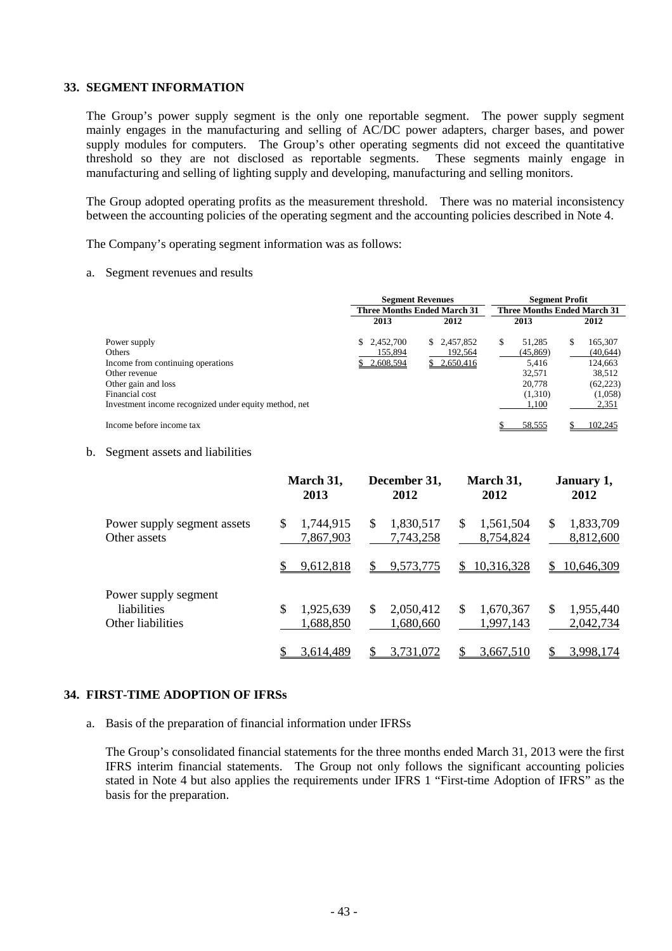#### **33. SEGMENT INFORMATION**

The Group's power supply segment is the only one reportable segment. The power supply segment mainly engages in the manufacturing and selling of AC/DC power adapters, charger bases, and power supply modules for computers. The Group's other operating segments did not exceed the quantitative threshold so they are not disclosed as reportable segments. These segments mainly engage in manufacturing and selling of lighting supply and developing, manufacturing and selling monitors.

The Group adopted operating profits as the measurement threshold. There was no material inconsistency between the accounting policies of the operating segment and the accounting policies described in Note 4.

The Company's operating segment information was as follows:

#### a. Segment revenues and results

|                                                       |                                                                          | <b>Segment Revenues</b> | <b>Segment Profit</b> |              |  |  |
|-------------------------------------------------------|--------------------------------------------------------------------------|-------------------------|-----------------------|--------------|--|--|
|                                                       | <b>Three Months Ended March 31</b><br><b>Three Months Ended March 31</b> |                         |                       |              |  |  |
|                                                       | 2013                                                                     | 2012                    | 2013                  | 2012         |  |  |
| Power supply                                          | \$2,452,700                                                              | \$ 2,457,852            | 51.285<br>S           | 165,307<br>S |  |  |
| <b>Others</b>                                         | 155,894                                                                  | 192,564                 | (45, 869)             | (40, 644)    |  |  |
| Income from continuing operations                     | 2,608,594                                                                | \$2,650,416             | 5.416                 | 124,663      |  |  |
| Other revenue                                         |                                                                          |                         | 32,571                | 38,512       |  |  |
| Other gain and loss                                   |                                                                          |                         | 20,778                | (62, 223)    |  |  |
| Financial cost                                        |                                                                          |                         | (1,310)               | (1,058)      |  |  |
| Investment income recognized under equity method, net |                                                                          |                         | 1,100                 | 2,351        |  |  |
| Income before income tax                              |                                                                          |                         | 58,555                | 102,245      |  |  |

#### b. Segment assets and liabilities

|                                                          | March 31,<br>2013             | December 31,<br>2012          | March 31,<br>2012                       | January 1,<br>2012           |
|----------------------------------------------------------|-------------------------------|-------------------------------|-----------------------------------------|------------------------------|
| Power supply segment assets<br>Other assets              | \$<br>1,744,915<br>7,867,903  | 1,830,517<br>S<br>7,743,258   | \$<br>1,561,504<br>8,754,824            | 1,833,709<br>\$<br>8,812,600 |
|                                                          | 9,612,818                     | 9,573,775<br>S.               | \$10,316,328                            | 10,646,309<br>$\mathbb{S}$   |
| Power supply segment<br>liabilities<br>Other liabilities | \$.<br>1,925,639<br>1,688,850 | 2,050,412<br>\$.<br>1,680,660 | <sup>\$</sup><br>1,670,367<br>1,997,143 | 1,955,440<br>S<br>2,042,734  |
|                                                          | 3,614,489                     | 3,731,072                     | 3,667,510                               | 3,998,174                    |

#### **34. FIRST-TIME ADOPTION OF IFRSs**

a. Basis of the preparation of financial information under IFRSs

The Group's consolidated financial statements for the three months ended March 31, 2013 were the first IFRS interim financial statements. The Group not only follows the significant accounting policies stated in Note 4 but also applies the requirements under IFRS 1 "First-time Adoption of IFRS" as the basis for the preparation.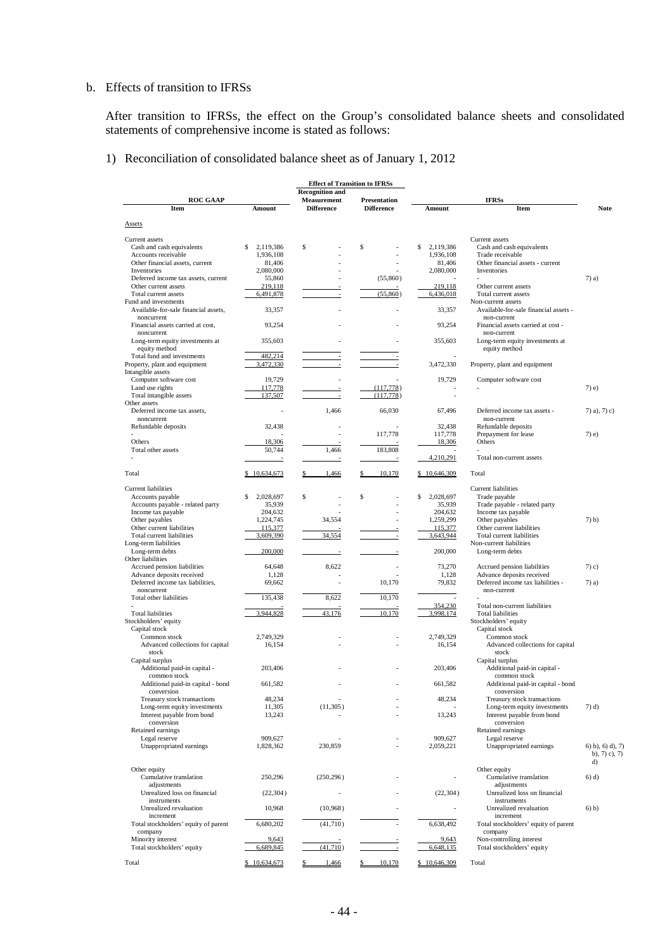#### b. Effects of transition to IFRSs

After transition to IFRSs, the effect on the Group's consolidated balance sheets and consolidated statements of comprehensive income is stated as follows:

1) Reconciliation of consolidated balance sheet as of January 1, 2012

|                                                    |                     | <b>Effect of Transition to IFRSs</b>    |                                   |                          |                                                      |                                                |
|----------------------------------------------------|---------------------|-----------------------------------------|-----------------------------------|--------------------------|------------------------------------------------------|------------------------------------------------|
|                                                    |                     | <b>Recognition and</b>                  |                                   |                          |                                                      |                                                |
| <b>ROC GAAP</b><br><b>Item</b>                     | Amount              | <b>Measurement</b><br><b>Difference</b> | Presentation<br><b>Difference</b> | Amount                   | <b>IFRSs</b><br>Item                                 | <b>Note</b>                                    |
|                                                    |                     |                                         |                                   |                          |                                                      |                                                |
| <b>Assets</b>                                      |                     |                                         |                                   |                          |                                                      |                                                |
| Current assets                                     |                     |                                         |                                   |                          | Current assets                                       |                                                |
| Cash and cash equivalents                          | S<br>2,119,386      | \$                                      | \$                                | 2,119,386<br>\$          | Cash and cash equivalents                            |                                                |
| Accounts receivable                                | 1,936,108           |                                         |                                   | 1,936,108                | Trade receivable                                     |                                                |
| Other financial assets, current                    | 81,406              |                                         |                                   | 81,406                   | Other financial assets - current                     |                                                |
| Inventories<br>Deferred income tax assets, current | 2,080,000<br>55,860 |                                         | (55,860)                          | 2,080,000                | Inventories                                          | $7)$ a)                                        |
| Other current assets                               | 219,118             |                                         |                                   | 219,118                  | Other current assets                                 |                                                |
| Total current assets                               | 6,491,878           | ÷                                       | (55,860)                          | 6,436,018                | Total current assets                                 |                                                |
| Fund and investments                               |                     |                                         |                                   |                          | Non-current assets                                   |                                                |
| Available-for-sale financial assets,               | 33,357              |                                         |                                   | 33,357                   | Available-for-sale financial assets -                |                                                |
| noncurrent                                         |                     |                                         |                                   |                          | non-current                                          |                                                |
| Financial assets carried at cost,<br>noncurrent    | 93,254              |                                         |                                   | 93,254                   | Financial assets carried at cost -<br>non-current    |                                                |
| Long-term equity investments at                    | 355,603             |                                         |                                   | 355,603                  | Long-term equity investments at                      |                                                |
| equity method                                      |                     |                                         |                                   |                          | equity method                                        |                                                |
| Total fund and investments                         | 482,214             |                                         |                                   |                          |                                                      |                                                |
| Property, plant and equipment                      | 3,472,330           |                                         |                                   | 3,472,330                | Property, plant and equipment                        |                                                |
| Intangible assets                                  |                     |                                         |                                   | 19,729                   |                                                      |                                                |
| Computer software cost<br>Land use rights          | 19,729<br>117,778   |                                         | (117,778)                         |                          | Computer software cost                               | $7)$ e)                                        |
| Total intangible assets                            | 137,507             | ÷                                       | (117,778)                         |                          |                                                      |                                                |
| Other assets                                       |                     |                                         |                                   |                          |                                                      |                                                |
| Deferred income tax assets,                        |                     | 1,466                                   | 66,030                            | 67,496                   | Deferred income tax assets -                         | 7) a), 7) c)                                   |
| noncurrent                                         |                     |                                         |                                   |                          | non-current                                          |                                                |
| Refundable deposits                                | 32,438              |                                         | 117,778                           | 32,438<br>117,778        | Refundable deposits                                  | $7)$ e)                                        |
| Others                                             | 18,306              |                                         |                                   | 18,306                   | Prepayment for lease<br>Others                       |                                                |
| Total other assets                                 | 50,744              | 1,466                                   | 183,808                           |                          |                                                      |                                                |
|                                                    | $\overline{a}$      |                                         |                                   | 4,210,291                | Total non-current assets                             |                                                |
|                                                    |                     |                                         |                                   |                          |                                                      |                                                |
| Total                                              | \$10,634,673        | 1,466                                   | 10,170                            | \$10,646,309             | Total                                                |                                                |
| Current liabilities                                |                     |                                         |                                   |                          | <b>Current liabilities</b>                           |                                                |
| Accounts payable                                   | S<br>2,028,697      | \$                                      | \$                                | 2,028,697<br>\$          | Trade payable                                        |                                                |
| Accounts payable - related party                   | 35,939              |                                         |                                   | 35,939                   | Trade payable - related party                        |                                                |
| Income tax payable                                 | 204,632             |                                         |                                   | 204,632                  | Income tax payable                                   |                                                |
| Other payables                                     | 1,224,745           | 34,554                                  |                                   | 1,259,299                | Other payables                                       | $7)$ b)                                        |
| Other current liabilities                          | 115,377             | 34,554                                  |                                   | 115,377<br>3,643,944     | Other current liabilities                            |                                                |
| Total current liabilities<br>Long-term liabilities | 3,609,390           |                                         |                                   |                          | Total current liabilities<br>Non-current liabilities |                                                |
| Long-term debts                                    | 200,000             |                                         |                                   | 200,000                  | Long-term debts                                      |                                                |
| Other liabilities                                  |                     |                                         |                                   |                          |                                                      |                                                |
| Accrued pension liabilities                        | 64,648              | 8,622                                   |                                   | 73,270                   | Accrued pension liabilities                          | $(7)$ c)                                       |
| Advance deposits received                          | 1,128               |                                         |                                   | 1,128                    | Advance deposits received                            |                                                |
| Deferred income tax liabilities,<br>noncurrent     | 69,662              | ٠                                       | 10,170                            | 79,832                   | Deferred income tax liabilities -<br>non-current     | $7)$ a)                                        |
| Total other liabilities                            | 135,438             | 8,622                                   | 10,170                            |                          |                                                      |                                                |
|                                                    |                     |                                         |                                   | 354,230                  | Total non-current liabilities                        |                                                |
| <b>Total liabilities</b>                           | 3,944,828           | 43,176                                  | 10,170                            | 3,998,174                | <b>Total liabilities</b>                             |                                                |
| Stockholders' equity                               |                     |                                         |                                   |                          | Stockholders' equity                                 |                                                |
| Capital stock                                      |                     |                                         |                                   | 2.749.329                | Capital stock                                        |                                                |
| Common stock<br>Advanced collections for capital   | 2,749,329<br>16,154 |                                         |                                   | 16,154                   | Common stock<br>Advanced collections for capital     |                                                |
| stock                                              |                     |                                         |                                   |                          | stock                                                |                                                |
| Capital surplus                                    |                     |                                         |                                   |                          | Capital surplus                                      |                                                |
| Additional paid-in capital -                       | 203,406             |                                         |                                   | 203,406                  | Additional paid-in capital -                         |                                                |
| common stock                                       |                     |                                         |                                   |                          | common stock                                         |                                                |
| Additional paid-in capital - bond                  | 661,582             |                                         |                                   | 661,582                  | Additional paid-in capital - bond                    |                                                |
| conversion<br>Treasury stock transactions          | 48,234              |                                         |                                   | 48,234                   | conversion<br>Treasury stock transactions            |                                                |
| Long-term equity investments                       | 11,305              | (11,305)                                |                                   |                          | Long-term equity investments                         | $(7)$ d)                                       |
| Interest payable from bond                         | 13,243              |                                         |                                   | 13,243                   | Interest payable from bond                           |                                                |
| conversion                                         |                     |                                         |                                   |                          | conversion                                           |                                                |
| Retained earnings                                  |                     |                                         |                                   |                          | Retained earnings                                    |                                                |
| Legal reserve                                      | 909,627             |                                         |                                   | 909,627                  | Legal reserve                                        |                                                |
| Unappropriated earnings                            | 1,828,362           | 230,859                                 |                                   | 2,059,221                | Unappropriated earnings                              | $(6)$ b), $(6)$ d), $(7)$<br>b), $7)$ c), $7)$ |
|                                                    |                     |                                         |                                   |                          |                                                      | d)                                             |
| Other equity                                       |                     |                                         |                                   |                          | Other equity                                         |                                                |
| Cumulative translation                             | 250,296             | (250, 296)                              |                                   |                          | Cumulative translation                               | $6)$ d)                                        |
| adjustments                                        |                     |                                         |                                   |                          | adjustments                                          |                                                |
| Unrealized loss on financial<br>instruments        | (22, 304)           |                                         |                                   | (22, 304)                | Unrealized loss on financial<br>instruments          |                                                |
| Unrealized revaluation                             | 10,968              | (10,968)                                |                                   | $\overline{\phantom{a}}$ | Unrealized revaluation                               | 6) b)                                          |
| increment                                          |                     |                                         |                                   |                          | increment                                            |                                                |
| Total stockholders' equity of parent               | 6,680,202           | (41,710)                                |                                   | 6,638,492                | Total stockholders' equity of parent                 |                                                |
| company                                            |                     |                                         |                                   |                          | company                                              |                                                |
| Minority interest                                  | 9,643               |                                         |                                   | 9,643                    | Non-controlling interest                             |                                                |
| Total stockholders' equity                         | 6,689,845           | (41,710)                                |                                   | 6,648,135                | Total stockholders' equity                           |                                                |
| Total                                              | \$10,634,673        | 1,466                                   | 10,170<br>\$                      | \$10,646,309             | Total                                                |                                                |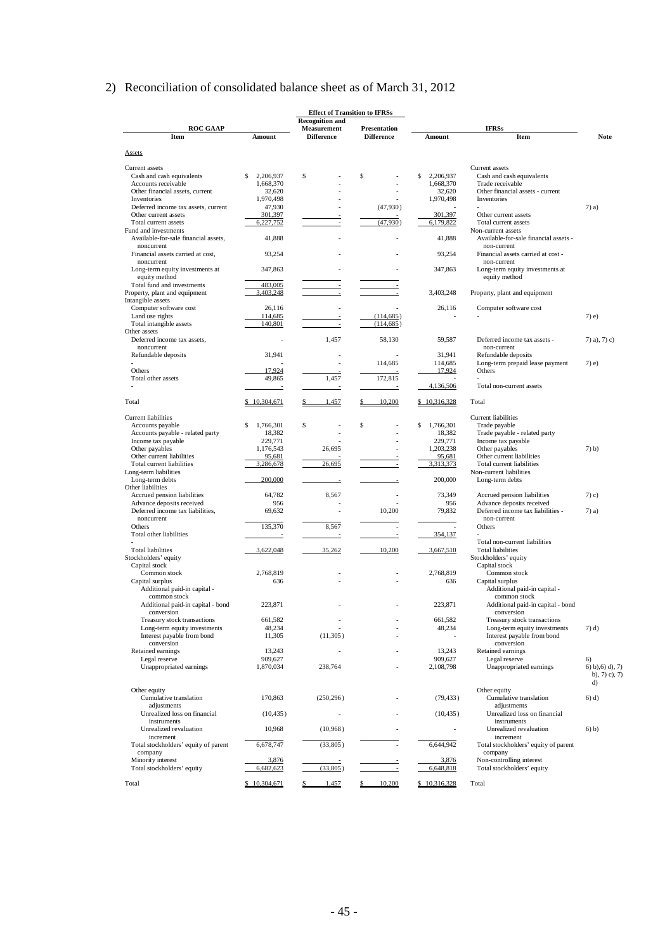# 2) Reconciliation of consolidated balance sheet as of March 31, 2012

| <b>Recognition and</b><br>Measurement<br><b>IFRSs</b><br><b>ROC GAAP</b><br>Presentation<br>Item<br><b>Difference</b><br><b>Difference</b><br><b>Note</b><br>Amount<br>Amount<br>Item<br><b>Assets</b><br>Current assets<br>Current assets<br>2,206,937<br>\$<br>\$<br>2,206,937<br>Cash and cash equivalents<br>Cash and cash equivalents<br>\$<br>\$<br>Accounts receivable<br>1,668,370<br>1,668,370<br>Trade receivable<br>32,620<br>Other financial assets, current<br>32,620<br>Other financial assets - current<br>1,970,498<br>1,970,498<br>Inventories<br>Inventories<br>(47,930)<br>Deferred income tax assets, current<br>47,930<br>$7)$ a)<br>301,397<br>301,397<br>Other current assets<br>Other current assets<br>(47,930)<br>Total current assets<br>6,227,752<br>6,179,822<br>Total current assets<br>Fund and investments<br>Non-current assets<br>41,888<br>Available-for-sale financial assets -<br>Available-for-sale financial assets.<br>41,888<br>noncurrent<br>non-current<br>Financial assets carried at cost,<br>93,254<br>93,254<br>Financial assets carried at cost -<br>noncurrent<br>non-current<br>Long-term equity investments at<br>347,863<br>347,863<br>Long-term equity investments at<br>equity method<br>equity method<br>Total fund and investments<br>483,005<br>3,403,248<br>3,403,248<br>Property, plant and equipment<br>Property, plant and equipment<br>$\overline{a}$<br>Intangible assets<br>Computer software cost<br>26,116<br>Computer software cost<br>26,116<br>Land use rights<br>114,685<br>(114, 685)<br>$7)$ e)<br>Total intangible assets<br>140,801<br>(114, 685)<br>Other assets<br>1,457<br>Deferred income tax assets,<br>58,130<br>59,587<br>Deferred income tax assets -<br>$(7)$ a), $(7)$ c)<br>noncurrent<br>non-current<br>31,941<br>31,941<br>Refundable deposits<br>Refundable deposits<br>114,685<br>114,685<br>Long-term prepaid lease payment<br>$7)$ e)<br>Others<br>17,924<br>17,924<br>Others<br>1,457<br>172,815<br>Total other assets<br>49,865<br>4,136,506<br>Total non-current assets<br>Total<br>\$10,304,671<br>1,457<br>10,200<br>\$10,316,328<br>Total<br>Current liabilities<br>Current liabilities<br>\$<br>\$<br>\$<br>\$<br>1,766,301<br>Trade payable<br>Accounts payable<br>1,766,301<br>18,382<br>18,382<br>Accounts payable - related party<br>Trade payable - related party<br>229,771<br>229,771<br>Income tax payable<br>Income tax payable<br>Other payables<br>26,695<br>1,203,238<br>Other payables<br>$7)$ b)<br>1,176,543<br>Other current liabilities<br>95,681<br>95,681<br>Other current liabilities<br>26,695<br>Total current liabilities<br>3,286,678<br>3,313,373<br>Total current liabilities<br>Long-term liabilities<br>Non-current liabilities<br>Long-term debts<br>200,000<br>200,000<br>Long-term debts<br>Other liabilities<br>Accrued pension liabilities<br>64,782<br>8,567<br>73,349<br>Accrued pension liabilities<br>$7)$ c)<br>Advance deposits received<br>956<br>956<br>Advance deposits received<br>10,200<br>79,832<br>Deferred income tax liabilities -<br>Deferred income tax liabilities,<br>69,632<br>$7)$ a)<br>noncurrent<br>non-current<br>135,370<br>8,567<br>Others<br>Others<br>$\overline{\phantom{a}}$<br>Total other liabilities<br>354,137<br>Total non-current liabilities<br>3,622,048<br>35,262<br><b>Total liabilities</b><br>10,200<br>3,667,510<br><b>Total liabilities</b><br>Stockholders' equity<br>Stockholders' equity<br>Capital stock<br>Capital stock<br>2,768,819<br>Common stock<br>Common stock<br>2,768,819<br>Capital surplus<br>636<br>636<br>Capital surplus<br>Additional paid-in capital -<br>Additional paid-in capital -<br>common stock<br>common stock<br>Additional paid-in capital - bond<br>223,871<br>223,871<br>Additional paid-in capital - bond<br>conversion<br>conversion<br>Treasury stock transactions<br>661,582<br>661,582<br>Treasury stock transactions<br>٠<br>Long-term equity investments<br>48,234<br>48,234<br>Long-term equity investments<br>$(7)$ d)<br>Interest payable from bond<br>Interest payable from bond<br>11,305<br>(11,305)<br>conversion<br>conversion<br>Retained earnings<br>13,243<br>Retained earnings<br>13,243<br>Legal reserve<br>909,627<br>909,627<br>Legal reserve<br>6)<br>Unappropriated earnings<br>Unappropriated earnings<br>1,870,034<br>238,764<br>2,108,798<br>$(6)$ b), $(6)$ d), 7)<br>b), $7)$ c), $7)$<br>d)<br>Other equity<br>Other equity<br>Cumulative translation<br>170,863<br>Cumulative translation<br>(250, 296)<br>(79, 433)<br>$(6)$ d)<br>adjustments<br>adjustments<br>Unrealized loss on financial<br>Unrealized loss on financial<br>(10, 435)<br>(10, 435)<br>instruments<br>instruments<br>Unrealized revaluation<br>10,968<br>(10,968)<br>Unrealized revaluation<br>$6)$ b)<br>÷.<br>increment<br>increment<br>6,644,942<br>Total stockholders' equity of parent<br>6,678,747<br>(33,805)<br>Total stockholders' equity of parent<br>company<br>company<br>Minority interest<br>3,876<br>3,876<br>Non-controlling interest<br>(33,805)<br>Total stockholders' equity<br>6,682,623<br>6,648,818<br>Total stockholders' equity<br>\$10,304,671<br>\$10,316,328<br>1,457<br>10,200<br>Total<br>Total<br>\$<br>\$ |  |  | <b>Effect of Transition to IFRSs</b> |  |  |
|----------------------------------------------------------------------------------------------------------------------------------------------------------------------------------------------------------------------------------------------------------------------------------------------------------------------------------------------------------------------------------------------------------------------------------------------------------------------------------------------------------------------------------------------------------------------------------------------------------------------------------------------------------------------------------------------------------------------------------------------------------------------------------------------------------------------------------------------------------------------------------------------------------------------------------------------------------------------------------------------------------------------------------------------------------------------------------------------------------------------------------------------------------------------------------------------------------------------------------------------------------------------------------------------------------------------------------------------------------------------------------------------------------------------------------------------------------------------------------------------------------------------------------------------------------------------------------------------------------------------------------------------------------------------------------------------------------------------------------------------------------------------------------------------------------------------------------------------------------------------------------------------------------------------------------------------------------------------------------------------------------------------------------------------------------------------------------------------------------------------------------------------------------------------------------------------------------------------------------------------------------------------------------------------------------------------------------------------------------------------------------------------------------------------------------------------------------------------------------------------------------------------------------------------------------------------------------------------------------------------------------------------------------------------------------------------------------------------------------------------------------------------------------------------------------------------------------------------------------------------------------------------------------------------------------------------------------------------------------------------------------------------------------------------------------------------------------------------------------------------------------------------------------------------------------------------------------------------------------------------------------------------------------------------------------------------------------------------------------------------------------------------------------------------------------------------------------------------------------------------------------------------------------------------------------------------------------------------------------------------------------------------------------------------------------------------------------------------------------------------------------------------------------------------------------------------------------------------------------------------------------------------------------------------------------------------------------------------------------------------------------------------------------------------------------------------------------------------------------------------------------------------------------------------------------------------------------------------------------------------------------------------------------------------------------------------------------------------------------------------------------------------------------------------------------------------------------------------------------------------------------------------------------------------------------------------------------------------------------------------------------------------------------------------------------------------------------------------------------------------------------------------------------------------------------------------------------------------------------------------------------------------------------------------------------------------------------------------------------------------------------------------------------------------------------------------------------------------------------------------------------------------------------------------------------------------------------------------------------------------------------------|--|--|--------------------------------------|--|--|
|                                                                                                                                                                                                                                                                                                                                                                                                                                                                                                                                                                                                                                                                                                                                                                                                                                                                                                                                                                                                                                                                                                                                                                                                                                                                                                                                                                                                                                                                                                                                                                                                                                                                                                                                                                                                                                                                                                                                                                                                                                                                                                                                                                                                                                                                                                                                                                                                                                                                                                                                                                                                                                                                                                                                                                                                                                                                                                                                                                                                                                                                                                                                                                                                                                                                                                                                                                                                                                                                                                                                                                                                                                                                                                                                                                                                                                                                                                                                                                                                                                                                                                                                                                                                                                                                                                                                                                                                                                                                                                                                                                                                                                                                                                                                                                                                                                                                                                                                                                                                                                                                                                                                                                                                                                                                |  |  |                                      |  |  |
|                                                                                                                                                                                                                                                                                                                                                                                                                                                                                                                                                                                                                                                                                                                                                                                                                                                                                                                                                                                                                                                                                                                                                                                                                                                                                                                                                                                                                                                                                                                                                                                                                                                                                                                                                                                                                                                                                                                                                                                                                                                                                                                                                                                                                                                                                                                                                                                                                                                                                                                                                                                                                                                                                                                                                                                                                                                                                                                                                                                                                                                                                                                                                                                                                                                                                                                                                                                                                                                                                                                                                                                                                                                                                                                                                                                                                                                                                                                                                                                                                                                                                                                                                                                                                                                                                                                                                                                                                                                                                                                                                                                                                                                                                                                                                                                                                                                                                                                                                                                                                                                                                                                                                                                                                                                                |  |  |                                      |  |  |
|                                                                                                                                                                                                                                                                                                                                                                                                                                                                                                                                                                                                                                                                                                                                                                                                                                                                                                                                                                                                                                                                                                                                                                                                                                                                                                                                                                                                                                                                                                                                                                                                                                                                                                                                                                                                                                                                                                                                                                                                                                                                                                                                                                                                                                                                                                                                                                                                                                                                                                                                                                                                                                                                                                                                                                                                                                                                                                                                                                                                                                                                                                                                                                                                                                                                                                                                                                                                                                                                                                                                                                                                                                                                                                                                                                                                                                                                                                                                                                                                                                                                                                                                                                                                                                                                                                                                                                                                                                                                                                                                                                                                                                                                                                                                                                                                                                                                                                                                                                                                                                                                                                                                                                                                                                                                |  |  |                                      |  |  |
|                                                                                                                                                                                                                                                                                                                                                                                                                                                                                                                                                                                                                                                                                                                                                                                                                                                                                                                                                                                                                                                                                                                                                                                                                                                                                                                                                                                                                                                                                                                                                                                                                                                                                                                                                                                                                                                                                                                                                                                                                                                                                                                                                                                                                                                                                                                                                                                                                                                                                                                                                                                                                                                                                                                                                                                                                                                                                                                                                                                                                                                                                                                                                                                                                                                                                                                                                                                                                                                                                                                                                                                                                                                                                                                                                                                                                                                                                                                                                                                                                                                                                                                                                                                                                                                                                                                                                                                                                                                                                                                                                                                                                                                                                                                                                                                                                                                                                                                                                                                                                                                                                                                                                                                                                                                                |  |  |                                      |  |  |
|                                                                                                                                                                                                                                                                                                                                                                                                                                                                                                                                                                                                                                                                                                                                                                                                                                                                                                                                                                                                                                                                                                                                                                                                                                                                                                                                                                                                                                                                                                                                                                                                                                                                                                                                                                                                                                                                                                                                                                                                                                                                                                                                                                                                                                                                                                                                                                                                                                                                                                                                                                                                                                                                                                                                                                                                                                                                                                                                                                                                                                                                                                                                                                                                                                                                                                                                                                                                                                                                                                                                                                                                                                                                                                                                                                                                                                                                                                                                                                                                                                                                                                                                                                                                                                                                                                                                                                                                                                                                                                                                                                                                                                                                                                                                                                                                                                                                                                                                                                                                                                                                                                                                                                                                                                                                |  |  |                                      |  |  |
|                                                                                                                                                                                                                                                                                                                                                                                                                                                                                                                                                                                                                                                                                                                                                                                                                                                                                                                                                                                                                                                                                                                                                                                                                                                                                                                                                                                                                                                                                                                                                                                                                                                                                                                                                                                                                                                                                                                                                                                                                                                                                                                                                                                                                                                                                                                                                                                                                                                                                                                                                                                                                                                                                                                                                                                                                                                                                                                                                                                                                                                                                                                                                                                                                                                                                                                                                                                                                                                                                                                                                                                                                                                                                                                                                                                                                                                                                                                                                                                                                                                                                                                                                                                                                                                                                                                                                                                                                                                                                                                                                                                                                                                                                                                                                                                                                                                                                                                                                                                                                                                                                                                                                                                                                                                                |  |  |                                      |  |  |
|                                                                                                                                                                                                                                                                                                                                                                                                                                                                                                                                                                                                                                                                                                                                                                                                                                                                                                                                                                                                                                                                                                                                                                                                                                                                                                                                                                                                                                                                                                                                                                                                                                                                                                                                                                                                                                                                                                                                                                                                                                                                                                                                                                                                                                                                                                                                                                                                                                                                                                                                                                                                                                                                                                                                                                                                                                                                                                                                                                                                                                                                                                                                                                                                                                                                                                                                                                                                                                                                                                                                                                                                                                                                                                                                                                                                                                                                                                                                                                                                                                                                                                                                                                                                                                                                                                                                                                                                                                                                                                                                                                                                                                                                                                                                                                                                                                                                                                                                                                                                                                                                                                                                                                                                                                                                |  |  |                                      |  |  |
|                                                                                                                                                                                                                                                                                                                                                                                                                                                                                                                                                                                                                                                                                                                                                                                                                                                                                                                                                                                                                                                                                                                                                                                                                                                                                                                                                                                                                                                                                                                                                                                                                                                                                                                                                                                                                                                                                                                                                                                                                                                                                                                                                                                                                                                                                                                                                                                                                                                                                                                                                                                                                                                                                                                                                                                                                                                                                                                                                                                                                                                                                                                                                                                                                                                                                                                                                                                                                                                                                                                                                                                                                                                                                                                                                                                                                                                                                                                                                                                                                                                                                                                                                                                                                                                                                                                                                                                                                                                                                                                                                                                                                                                                                                                                                                                                                                                                                                                                                                                                                                                                                                                                                                                                                                                                |  |  |                                      |  |  |
|                                                                                                                                                                                                                                                                                                                                                                                                                                                                                                                                                                                                                                                                                                                                                                                                                                                                                                                                                                                                                                                                                                                                                                                                                                                                                                                                                                                                                                                                                                                                                                                                                                                                                                                                                                                                                                                                                                                                                                                                                                                                                                                                                                                                                                                                                                                                                                                                                                                                                                                                                                                                                                                                                                                                                                                                                                                                                                                                                                                                                                                                                                                                                                                                                                                                                                                                                                                                                                                                                                                                                                                                                                                                                                                                                                                                                                                                                                                                                                                                                                                                                                                                                                                                                                                                                                                                                                                                                                                                                                                                                                                                                                                                                                                                                                                                                                                                                                                                                                                                                                                                                                                                                                                                                                                                |  |  |                                      |  |  |
|                                                                                                                                                                                                                                                                                                                                                                                                                                                                                                                                                                                                                                                                                                                                                                                                                                                                                                                                                                                                                                                                                                                                                                                                                                                                                                                                                                                                                                                                                                                                                                                                                                                                                                                                                                                                                                                                                                                                                                                                                                                                                                                                                                                                                                                                                                                                                                                                                                                                                                                                                                                                                                                                                                                                                                                                                                                                                                                                                                                                                                                                                                                                                                                                                                                                                                                                                                                                                                                                                                                                                                                                                                                                                                                                                                                                                                                                                                                                                                                                                                                                                                                                                                                                                                                                                                                                                                                                                                                                                                                                                                                                                                                                                                                                                                                                                                                                                                                                                                                                                                                                                                                                                                                                                                                                |  |  |                                      |  |  |
|                                                                                                                                                                                                                                                                                                                                                                                                                                                                                                                                                                                                                                                                                                                                                                                                                                                                                                                                                                                                                                                                                                                                                                                                                                                                                                                                                                                                                                                                                                                                                                                                                                                                                                                                                                                                                                                                                                                                                                                                                                                                                                                                                                                                                                                                                                                                                                                                                                                                                                                                                                                                                                                                                                                                                                                                                                                                                                                                                                                                                                                                                                                                                                                                                                                                                                                                                                                                                                                                                                                                                                                                                                                                                                                                                                                                                                                                                                                                                                                                                                                                                                                                                                                                                                                                                                                                                                                                                                                                                                                                                                                                                                                                                                                                                                                                                                                                                                                                                                                                                                                                                                                                                                                                                                                                |  |  |                                      |  |  |
|                                                                                                                                                                                                                                                                                                                                                                                                                                                                                                                                                                                                                                                                                                                                                                                                                                                                                                                                                                                                                                                                                                                                                                                                                                                                                                                                                                                                                                                                                                                                                                                                                                                                                                                                                                                                                                                                                                                                                                                                                                                                                                                                                                                                                                                                                                                                                                                                                                                                                                                                                                                                                                                                                                                                                                                                                                                                                                                                                                                                                                                                                                                                                                                                                                                                                                                                                                                                                                                                                                                                                                                                                                                                                                                                                                                                                                                                                                                                                                                                                                                                                                                                                                                                                                                                                                                                                                                                                                                                                                                                                                                                                                                                                                                                                                                                                                                                                                                                                                                                                                                                                                                                                                                                                                                                |  |  |                                      |  |  |
|                                                                                                                                                                                                                                                                                                                                                                                                                                                                                                                                                                                                                                                                                                                                                                                                                                                                                                                                                                                                                                                                                                                                                                                                                                                                                                                                                                                                                                                                                                                                                                                                                                                                                                                                                                                                                                                                                                                                                                                                                                                                                                                                                                                                                                                                                                                                                                                                                                                                                                                                                                                                                                                                                                                                                                                                                                                                                                                                                                                                                                                                                                                                                                                                                                                                                                                                                                                                                                                                                                                                                                                                                                                                                                                                                                                                                                                                                                                                                                                                                                                                                                                                                                                                                                                                                                                                                                                                                                                                                                                                                                                                                                                                                                                                                                                                                                                                                                                                                                                                                                                                                                                                                                                                                                                                |  |  |                                      |  |  |
|                                                                                                                                                                                                                                                                                                                                                                                                                                                                                                                                                                                                                                                                                                                                                                                                                                                                                                                                                                                                                                                                                                                                                                                                                                                                                                                                                                                                                                                                                                                                                                                                                                                                                                                                                                                                                                                                                                                                                                                                                                                                                                                                                                                                                                                                                                                                                                                                                                                                                                                                                                                                                                                                                                                                                                                                                                                                                                                                                                                                                                                                                                                                                                                                                                                                                                                                                                                                                                                                                                                                                                                                                                                                                                                                                                                                                                                                                                                                                                                                                                                                                                                                                                                                                                                                                                                                                                                                                                                                                                                                                                                                                                                                                                                                                                                                                                                                                                                                                                                                                                                                                                                                                                                                                                                                |  |  |                                      |  |  |
|                                                                                                                                                                                                                                                                                                                                                                                                                                                                                                                                                                                                                                                                                                                                                                                                                                                                                                                                                                                                                                                                                                                                                                                                                                                                                                                                                                                                                                                                                                                                                                                                                                                                                                                                                                                                                                                                                                                                                                                                                                                                                                                                                                                                                                                                                                                                                                                                                                                                                                                                                                                                                                                                                                                                                                                                                                                                                                                                                                                                                                                                                                                                                                                                                                                                                                                                                                                                                                                                                                                                                                                                                                                                                                                                                                                                                                                                                                                                                                                                                                                                                                                                                                                                                                                                                                                                                                                                                                                                                                                                                                                                                                                                                                                                                                                                                                                                                                                                                                                                                                                                                                                                                                                                                                                                |  |  |                                      |  |  |
|                                                                                                                                                                                                                                                                                                                                                                                                                                                                                                                                                                                                                                                                                                                                                                                                                                                                                                                                                                                                                                                                                                                                                                                                                                                                                                                                                                                                                                                                                                                                                                                                                                                                                                                                                                                                                                                                                                                                                                                                                                                                                                                                                                                                                                                                                                                                                                                                                                                                                                                                                                                                                                                                                                                                                                                                                                                                                                                                                                                                                                                                                                                                                                                                                                                                                                                                                                                                                                                                                                                                                                                                                                                                                                                                                                                                                                                                                                                                                                                                                                                                                                                                                                                                                                                                                                                                                                                                                                                                                                                                                                                                                                                                                                                                                                                                                                                                                                                                                                                                                                                                                                                                                                                                                                                                |  |  |                                      |  |  |
|                                                                                                                                                                                                                                                                                                                                                                                                                                                                                                                                                                                                                                                                                                                                                                                                                                                                                                                                                                                                                                                                                                                                                                                                                                                                                                                                                                                                                                                                                                                                                                                                                                                                                                                                                                                                                                                                                                                                                                                                                                                                                                                                                                                                                                                                                                                                                                                                                                                                                                                                                                                                                                                                                                                                                                                                                                                                                                                                                                                                                                                                                                                                                                                                                                                                                                                                                                                                                                                                                                                                                                                                                                                                                                                                                                                                                                                                                                                                                                                                                                                                                                                                                                                                                                                                                                                                                                                                                                                                                                                                                                                                                                                                                                                                                                                                                                                                                                                                                                                                                                                                                                                                                                                                                                                                |  |  |                                      |  |  |
|                                                                                                                                                                                                                                                                                                                                                                                                                                                                                                                                                                                                                                                                                                                                                                                                                                                                                                                                                                                                                                                                                                                                                                                                                                                                                                                                                                                                                                                                                                                                                                                                                                                                                                                                                                                                                                                                                                                                                                                                                                                                                                                                                                                                                                                                                                                                                                                                                                                                                                                                                                                                                                                                                                                                                                                                                                                                                                                                                                                                                                                                                                                                                                                                                                                                                                                                                                                                                                                                                                                                                                                                                                                                                                                                                                                                                                                                                                                                                                                                                                                                                                                                                                                                                                                                                                                                                                                                                                                                                                                                                                                                                                                                                                                                                                                                                                                                                                                                                                                                                                                                                                                                                                                                                                                                |  |  |                                      |  |  |
|                                                                                                                                                                                                                                                                                                                                                                                                                                                                                                                                                                                                                                                                                                                                                                                                                                                                                                                                                                                                                                                                                                                                                                                                                                                                                                                                                                                                                                                                                                                                                                                                                                                                                                                                                                                                                                                                                                                                                                                                                                                                                                                                                                                                                                                                                                                                                                                                                                                                                                                                                                                                                                                                                                                                                                                                                                                                                                                                                                                                                                                                                                                                                                                                                                                                                                                                                                                                                                                                                                                                                                                                                                                                                                                                                                                                                                                                                                                                                                                                                                                                                                                                                                                                                                                                                                                                                                                                                                                                                                                                                                                                                                                                                                                                                                                                                                                                                                                                                                                                                                                                                                                                                                                                                                                                |  |  |                                      |  |  |
|                                                                                                                                                                                                                                                                                                                                                                                                                                                                                                                                                                                                                                                                                                                                                                                                                                                                                                                                                                                                                                                                                                                                                                                                                                                                                                                                                                                                                                                                                                                                                                                                                                                                                                                                                                                                                                                                                                                                                                                                                                                                                                                                                                                                                                                                                                                                                                                                                                                                                                                                                                                                                                                                                                                                                                                                                                                                                                                                                                                                                                                                                                                                                                                                                                                                                                                                                                                                                                                                                                                                                                                                                                                                                                                                                                                                                                                                                                                                                                                                                                                                                                                                                                                                                                                                                                                                                                                                                                                                                                                                                                                                                                                                                                                                                                                                                                                                                                                                                                                                                                                                                                                                                                                                                                                                |  |  |                                      |  |  |
|                                                                                                                                                                                                                                                                                                                                                                                                                                                                                                                                                                                                                                                                                                                                                                                                                                                                                                                                                                                                                                                                                                                                                                                                                                                                                                                                                                                                                                                                                                                                                                                                                                                                                                                                                                                                                                                                                                                                                                                                                                                                                                                                                                                                                                                                                                                                                                                                                                                                                                                                                                                                                                                                                                                                                                                                                                                                                                                                                                                                                                                                                                                                                                                                                                                                                                                                                                                                                                                                                                                                                                                                                                                                                                                                                                                                                                                                                                                                                                                                                                                                                                                                                                                                                                                                                                                                                                                                                                                                                                                                                                                                                                                                                                                                                                                                                                                                                                                                                                                                                                                                                                                                                                                                                                                                |  |  |                                      |  |  |
|                                                                                                                                                                                                                                                                                                                                                                                                                                                                                                                                                                                                                                                                                                                                                                                                                                                                                                                                                                                                                                                                                                                                                                                                                                                                                                                                                                                                                                                                                                                                                                                                                                                                                                                                                                                                                                                                                                                                                                                                                                                                                                                                                                                                                                                                                                                                                                                                                                                                                                                                                                                                                                                                                                                                                                                                                                                                                                                                                                                                                                                                                                                                                                                                                                                                                                                                                                                                                                                                                                                                                                                                                                                                                                                                                                                                                                                                                                                                                                                                                                                                                                                                                                                                                                                                                                                                                                                                                                                                                                                                                                                                                                                                                                                                                                                                                                                                                                                                                                                                                                                                                                                                                                                                                                                                |  |  |                                      |  |  |
|                                                                                                                                                                                                                                                                                                                                                                                                                                                                                                                                                                                                                                                                                                                                                                                                                                                                                                                                                                                                                                                                                                                                                                                                                                                                                                                                                                                                                                                                                                                                                                                                                                                                                                                                                                                                                                                                                                                                                                                                                                                                                                                                                                                                                                                                                                                                                                                                                                                                                                                                                                                                                                                                                                                                                                                                                                                                                                                                                                                                                                                                                                                                                                                                                                                                                                                                                                                                                                                                                                                                                                                                                                                                                                                                                                                                                                                                                                                                                                                                                                                                                                                                                                                                                                                                                                                                                                                                                                                                                                                                                                                                                                                                                                                                                                                                                                                                                                                                                                                                                                                                                                                                                                                                                                                                |  |  |                                      |  |  |
|                                                                                                                                                                                                                                                                                                                                                                                                                                                                                                                                                                                                                                                                                                                                                                                                                                                                                                                                                                                                                                                                                                                                                                                                                                                                                                                                                                                                                                                                                                                                                                                                                                                                                                                                                                                                                                                                                                                                                                                                                                                                                                                                                                                                                                                                                                                                                                                                                                                                                                                                                                                                                                                                                                                                                                                                                                                                                                                                                                                                                                                                                                                                                                                                                                                                                                                                                                                                                                                                                                                                                                                                                                                                                                                                                                                                                                                                                                                                                                                                                                                                                                                                                                                                                                                                                                                                                                                                                                                                                                                                                                                                                                                                                                                                                                                                                                                                                                                                                                                                                                                                                                                                                                                                                                                                |  |  |                                      |  |  |
|                                                                                                                                                                                                                                                                                                                                                                                                                                                                                                                                                                                                                                                                                                                                                                                                                                                                                                                                                                                                                                                                                                                                                                                                                                                                                                                                                                                                                                                                                                                                                                                                                                                                                                                                                                                                                                                                                                                                                                                                                                                                                                                                                                                                                                                                                                                                                                                                                                                                                                                                                                                                                                                                                                                                                                                                                                                                                                                                                                                                                                                                                                                                                                                                                                                                                                                                                                                                                                                                                                                                                                                                                                                                                                                                                                                                                                                                                                                                                                                                                                                                                                                                                                                                                                                                                                                                                                                                                                                                                                                                                                                                                                                                                                                                                                                                                                                                                                                                                                                                                                                                                                                                                                                                                                                                |  |  |                                      |  |  |
|                                                                                                                                                                                                                                                                                                                                                                                                                                                                                                                                                                                                                                                                                                                                                                                                                                                                                                                                                                                                                                                                                                                                                                                                                                                                                                                                                                                                                                                                                                                                                                                                                                                                                                                                                                                                                                                                                                                                                                                                                                                                                                                                                                                                                                                                                                                                                                                                                                                                                                                                                                                                                                                                                                                                                                                                                                                                                                                                                                                                                                                                                                                                                                                                                                                                                                                                                                                                                                                                                                                                                                                                                                                                                                                                                                                                                                                                                                                                                                                                                                                                                                                                                                                                                                                                                                                                                                                                                                                                                                                                                                                                                                                                                                                                                                                                                                                                                                                                                                                                                                                                                                                                                                                                                                                                |  |  |                                      |  |  |
|                                                                                                                                                                                                                                                                                                                                                                                                                                                                                                                                                                                                                                                                                                                                                                                                                                                                                                                                                                                                                                                                                                                                                                                                                                                                                                                                                                                                                                                                                                                                                                                                                                                                                                                                                                                                                                                                                                                                                                                                                                                                                                                                                                                                                                                                                                                                                                                                                                                                                                                                                                                                                                                                                                                                                                                                                                                                                                                                                                                                                                                                                                                                                                                                                                                                                                                                                                                                                                                                                                                                                                                                                                                                                                                                                                                                                                                                                                                                                                                                                                                                                                                                                                                                                                                                                                                                                                                                                                                                                                                                                                                                                                                                                                                                                                                                                                                                                                                                                                                                                                                                                                                                                                                                                                                                |  |  |                                      |  |  |
|                                                                                                                                                                                                                                                                                                                                                                                                                                                                                                                                                                                                                                                                                                                                                                                                                                                                                                                                                                                                                                                                                                                                                                                                                                                                                                                                                                                                                                                                                                                                                                                                                                                                                                                                                                                                                                                                                                                                                                                                                                                                                                                                                                                                                                                                                                                                                                                                                                                                                                                                                                                                                                                                                                                                                                                                                                                                                                                                                                                                                                                                                                                                                                                                                                                                                                                                                                                                                                                                                                                                                                                                                                                                                                                                                                                                                                                                                                                                                                                                                                                                                                                                                                                                                                                                                                                                                                                                                                                                                                                                                                                                                                                                                                                                                                                                                                                                                                                                                                                                                                                                                                                                                                                                                                                                |  |  |                                      |  |  |
|                                                                                                                                                                                                                                                                                                                                                                                                                                                                                                                                                                                                                                                                                                                                                                                                                                                                                                                                                                                                                                                                                                                                                                                                                                                                                                                                                                                                                                                                                                                                                                                                                                                                                                                                                                                                                                                                                                                                                                                                                                                                                                                                                                                                                                                                                                                                                                                                                                                                                                                                                                                                                                                                                                                                                                                                                                                                                                                                                                                                                                                                                                                                                                                                                                                                                                                                                                                                                                                                                                                                                                                                                                                                                                                                                                                                                                                                                                                                                                                                                                                                                                                                                                                                                                                                                                                                                                                                                                                                                                                                                                                                                                                                                                                                                                                                                                                                                                                                                                                                                                                                                                                                                                                                                                                                |  |  |                                      |  |  |
|                                                                                                                                                                                                                                                                                                                                                                                                                                                                                                                                                                                                                                                                                                                                                                                                                                                                                                                                                                                                                                                                                                                                                                                                                                                                                                                                                                                                                                                                                                                                                                                                                                                                                                                                                                                                                                                                                                                                                                                                                                                                                                                                                                                                                                                                                                                                                                                                                                                                                                                                                                                                                                                                                                                                                                                                                                                                                                                                                                                                                                                                                                                                                                                                                                                                                                                                                                                                                                                                                                                                                                                                                                                                                                                                                                                                                                                                                                                                                                                                                                                                                                                                                                                                                                                                                                                                                                                                                                                                                                                                                                                                                                                                                                                                                                                                                                                                                                                                                                                                                                                                                                                                                                                                                                                                |  |  |                                      |  |  |
|                                                                                                                                                                                                                                                                                                                                                                                                                                                                                                                                                                                                                                                                                                                                                                                                                                                                                                                                                                                                                                                                                                                                                                                                                                                                                                                                                                                                                                                                                                                                                                                                                                                                                                                                                                                                                                                                                                                                                                                                                                                                                                                                                                                                                                                                                                                                                                                                                                                                                                                                                                                                                                                                                                                                                                                                                                                                                                                                                                                                                                                                                                                                                                                                                                                                                                                                                                                                                                                                                                                                                                                                                                                                                                                                                                                                                                                                                                                                                                                                                                                                                                                                                                                                                                                                                                                                                                                                                                                                                                                                                                                                                                                                                                                                                                                                                                                                                                                                                                                                                                                                                                                                                                                                                                                                |  |  |                                      |  |  |
|                                                                                                                                                                                                                                                                                                                                                                                                                                                                                                                                                                                                                                                                                                                                                                                                                                                                                                                                                                                                                                                                                                                                                                                                                                                                                                                                                                                                                                                                                                                                                                                                                                                                                                                                                                                                                                                                                                                                                                                                                                                                                                                                                                                                                                                                                                                                                                                                                                                                                                                                                                                                                                                                                                                                                                                                                                                                                                                                                                                                                                                                                                                                                                                                                                                                                                                                                                                                                                                                                                                                                                                                                                                                                                                                                                                                                                                                                                                                                                                                                                                                                                                                                                                                                                                                                                                                                                                                                                                                                                                                                                                                                                                                                                                                                                                                                                                                                                                                                                                                                                                                                                                                                                                                                                                                |  |  |                                      |  |  |
|                                                                                                                                                                                                                                                                                                                                                                                                                                                                                                                                                                                                                                                                                                                                                                                                                                                                                                                                                                                                                                                                                                                                                                                                                                                                                                                                                                                                                                                                                                                                                                                                                                                                                                                                                                                                                                                                                                                                                                                                                                                                                                                                                                                                                                                                                                                                                                                                                                                                                                                                                                                                                                                                                                                                                                                                                                                                                                                                                                                                                                                                                                                                                                                                                                                                                                                                                                                                                                                                                                                                                                                                                                                                                                                                                                                                                                                                                                                                                                                                                                                                                                                                                                                                                                                                                                                                                                                                                                                                                                                                                                                                                                                                                                                                                                                                                                                                                                                                                                                                                                                                                                                                                                                                                                                                |  |  |                                      |  |  |
|                                                                                                                                                                                                                                                                                                                                                                                                                                                                                                                                                                                                                                                                                                                                                                                                                                                                                                                                                                                                                                                                                                                                                                                                                                                                                                                                                                                                                                                                                                                                                                                                                                                                                                                                                                                                                                                                                                                                                                                                                                                                                                                                                                                                                                                                                                                                                                                                                                                                                                                                                                                                                                                                                                                                                                                                                                                                                                                                                                                                                                                                                                                                                                                                                                                                                                                                                                                                                                                                                                                                                                                                                                                                                                                                                                                                                                                                                                                                                                                                                                                                                                                                                                                                                                                                                                                                                                                                                                                                                                                                                                                                                                                                                                                                                                                                                                                                                                                                                                                                                                                                                                                                                                                                                                                                |  |  |                                      |  |  |
|                                                                                                                                                                                                                                                                                                                                                                                                                                                                                                                                                                                                                                                                                                                                                                                                                                                                                                                                                                                                                                                                                                                                                                                                                                                                                                                                                                                                                                                                                                                                                                                                                                                                                                                                                                                                                                                                                                                                                                                                                                                                                                                                                                                                                                                                                                                                                                                                                                                                                                                                                                                                                                                                                                                                                                                                                                                                                                                                                                                                                                                                                                                                                                                                                                                                                                                                                                                                                                                                                                                                                                                                                                                                                                                                                                                                                                                                                                                                                                                                                                                                                                                                                                                                                                                                                                                                                                                                                                                                                                                                                                                                                                                                                                                                                                                                                                                                                                                                                                                                                                                                                                                                                                                                                                                                |  |  |                                      |  |  |
|                                                                                                                                                                                                                                                                                                                                                                                                                                                                                                                                                                                                                                                                                                                                                                                                                                                                                                                                                                                                                                                                                                                                                                                                                                                                                                                                                                                                                                                                                                                                                                                                                                                                                                                                                                                                                                                                                                                                                                                                                                                                                                                                                                                                                                                                                                                                                                                                                                                                                                                                                                                                                                                                                                                                                                                                                                                                                                                                                                                                                                                                                                                                                                                                                                                                                                                                                                                                                                                                                                                                                                                                                                                                                                                                                                                                                                                                                                                                                                                                                                                                                                                                                                                                                                                                                                                                                                                                                                                                                                                                                                                                                                                                                                                                                                                                                                                                                                                                                                                                                                                                                                                                                                                                                                                                |  |  |                                      |  |  |
|                                                                                                                                                                                                                                                                                                                                                                                                                                                                                                                                                                                                                                                                                                                                                                                                                                                                                                                                                                                                                                                                                                                                                                                                                                                                                                                                                                                                                                                                                                                                                                                                                                                                                                                                                                                                                                                                                                                                                                                                                                                                                                                                                                                                                                                                                                                                                                                                                                                                                                                                                                                                                                                                                                                                                                                                                                                                                                                                                                                                                                                                                                                                                                                                                                                                                                                                                                                                                                                                                                                                                                                                                                                                                                                                                                                                                                                                                                                                                                                                                                                                                                                                                                                                                                                                                                                                                                                                                                                                                                                                                                                                                                                                                                                                                                                                                                                                                                                                                                                                                                                                                                                                                                                                                                                                |  |  |                                      |  |  |
|                                                                                                                                                                                                                                                                                                                                                                                                                                                                                                                                                                                                                                                                                                                                                                                                                                                                                                                                                                                                                                                                                                                                                                                                                                                                                                                                                                                                                                                                                                                                                                                                                                                                                                                                                                                                                                                                                                                                                                                                                                                                                                                                                                                                                                                                                                                                                                                                                                                                                                                                                                                                                                                                                                                                                                                                                                                                                                                                                                                                                                                                                                                                                                                                                                                                                                                                                                                                                                                                                                                                                                                                                                                                                                                                                                                                                                                                                                                                                                                                                                                                                                                                                                                                                                                                                                                                                                                                                                                                                                                                                                                                                                                                                                                                                                                                                                                                                                                                                                                                                                                                                                                                                                                                                                                                |  |  |                                      |  |  |
|                                                                                                                                                                                                                                                                                                                                                                                                                                                                                                                                                                                                                                                                                                                                                                                                                                                                                                                                                                                                                                                                                                                                                                                                                                                                                                                                                                                                                                                                                                                                                                                                                                                                                                                                                                                                                                                                                                                                                                                                                                                                                                                                                                                                                                                                                                                                                                                                                                                                                                                                                                                                                                                                                                                                                                                                                                                                                                                                                                                                                                                                                                                                                                                                                                                                                                                                                                                                                                                                                                                                                                                                                                                                                                                                                                                                                                                                                                                                                                                                                                                                                                                                                                                                                                                                                                                                                                                                                                                                                                                                                                                                                                                                                                                                                                                                                                                                                                                                                                                                                                                                                                                                                                                                                                                                |  |  |                                      |  |  |
|                                                                                                                                                                                                                                                                                                                                                                                                                                                                                                                                                                                                                                                                                                                                                                                                                                                                                                                                                                                                                                                                                                                                                                                                                                                                                                                                                                                                                                                                                                                                                                                                                                                                                                                                                                                                                                                                                                                                                                                                                                                                                                                                                                                                                                                                                                                                                                                                                                                                                                                                                                                                                                                                                                                                                                                                                                                                                                                                                                                                                                                                                                                                                                                                                                                                                                                                                                                                                                                                                                                                                                                                                                                                                                                                                                                                                                                                                                                                                                                                                                                                                                                                                                                                                                                                                                                                                                                                                                                                                                                                                                                                                                                                                                                                                                                                                                                                                                                                                                                                                                                                                                                                                                                                                                                                |  |  |                                      |  |  |
|                                                                                                                                                                                                                                                                                                                                                                                                                                                                                                                                                                                                                                                                                                                                                                                                                                                                                                                                                                                                                                                                                                                                                                                                                                                                                                                                                                                                                                                                                                                                                                                                                                                                                                                                                                                                                                                                                                                                                                                                                                                                                                                                                                                                                                                                                                                                                                                                                                                                                                                                                                                                                                                                                                                                                                                                                                                                                                                                                                                                                                                                                                                                                                                                                                                                                                                                                                                                                                                                                                                                                                                                                                                                                                                                                                                                                                                                                                                                                                                                                                                                                                                                                                                                                                                                                                                                                                                                                                                                                                                                                                                                                                                                                                                                                                                                                                                                                                                                                                                                                                                                                                                                                                                                                                                                |  |  |                                      |  |  |
|                                                                                                                                                                                                                                                                                                                                                                                                                                                                                                                                                                                                                                                                                                                                                                                                                                                                                                                                                                                                                                                                                                                                                                                                                                                                                                                                                                                                                                                                                                                                                                                                                                                                                                                                                                                                                                                                                                                                                                                                                                                                                                                                                                                                                                                                                                                                                                                                                                                                                                                                                                                                                                                                                                                                                                                                                                                                                                                                                                                                                                                                                                                                                                                                                                                                                                                                                                                                                                                                                                                                                                                                                                                                                                                                                                                                                                                                                                                                                                                                                                                                                                                                                                                                                                                                                                                                                                                                                                                                                                                                                                                                                                                                                                                                                                                                                                                                                                                                                                                                                                                                                                                                                                                                                                                                |  |  |                                      |  |  |
|                                                                                                                                                                                                                                                                                                                                                                                                                                                                                                                                                                                                                                                                                                                                                                                                                                                                                                                                                                                                                                                                                                                                                                                                                                                                                                                                                                                                                                                                                                                                                                                                                                                                                                                                                                                                                                                                                                                                                                                                                                                                                                                                                                                                                                                                                                                                                                                                                                                                                                                                                                                                                                                                                                                                                                                                                                                                                                                                                                                                                                                                                                                                                                                                                                                                                                                                                                                                                                                                                                                                                                                                                                                                                                                                                                                                                                                                                                                                                                                                                                                                                                                                                                                                                                                                                                                                                                                                                                                                                                                                                                                                                                                                                                                                                                                                                                                                                                                                                                                                                                                                                                                                                                                                                                                                |  |  |                                      |  |  |
|                                                                                                                                                                                                                                                                                                                                                                                                                                                                                                                                                                                                                                                                                                                                                                                                                                                                                                                                                                                                                                                                                                                                                                                                                                                                                                                                                                                                                                                                                                                                                                                                                                                                                                                                                                                                                                                                                                                                                                                                                                                                                                                                                                                                                                                                                                                                                                                                                                                                                                                                                                                                                                                                                                                                                                                                                                                                                                                                                                                                                                                                                                                                                                                                                                                                                                                                                                                                                                                                                                                                                                                                                                                                                                                                                                                                                                                                                                                                                                                                                                                                                                                                                                                                                                                                                                                                                                                                                                                                                                                                                                                                                                                                                                                                                                                                                                                                                                                                                                                                                                                                                                                                                                                                                                                                |  |  |                                      |  |  |
|                                                                                                                                                                                                                                                                                                                                                                                                                                                                                                                                                                                                                                                                                                                                                                                                                                                                                                                                                                                                                                                                                                                                                                                                                                                                                                                                                                                                                                                                                                                                                                                                                                                                                                                                                                                                                                                                                                                                                                                                                                                                                                                                                                                                                                                                                                                                                                                                                                                                                                                                                                                                                                                                                                                                                                                                                                                                                                                                                                                                                                                                                                                                                                                                                                                                                                                                                                                                                                                                                                                                                                                                                                                                                                                                                                                                                                                                                                                                                                                                                                                                                                                                                                                                                                                                                                                                                                                                                                                                                                                                                                                                                                                                                                                                                                                                                                                                                                                                                                                                                                                                                                                                                                                                                                                                |  |  |                                      |  |  |
|                                                                                                                                                                                                                                                                                                                                                                                                                                                                                                                                                                                                                                                                                                                                                                                                                                                                                                                                                                                                                                                                                                                                                                                                                                                                                                                                                                                                                                                                                                                                                                                                                                                                                                                                                                                                                                                                                                                                                                                                                                                                                                                                                                                                                                                                                                                                                                                                                                                                                                                                                                                                                                                                                                                                                                                                                                                                                                                                                                                                                                                                                                                                                                                                                                                                                                                                                                                                                                                                                                                                                                                                                                                                                                                                                                                                                                                                                                                                                                                                                                                                                                                                                                                                                                                                                                                                                                                                                                                                                                                                                                                                                                                                                                                                                                                                                                                                                                                                                                                                                                                                                                                                                                                                                                                                |  |  |                                      |  |  |
|                                                                                                                                                                                                                                                                                                                                                                                                                                                                                                                                                                                                                                                                                                                                                                                                                                                                                                                                                                                                                                                                                                                                                                                                                                                                                                                                                                                                                                                                                                                                                                                                                                                                                                                                                                                                                                                                                                                                                                                                                                                                                                                                                                                                                                                                                                                                                                                                                                                                                                                                                                                                                                                                                                                                                                                                                                                                                                                                                                                                                                                                                                                                                                                                                                                                                                                                                                                                                                                                                                                                                                                                                                                                                                                                                                                                                                                                                                                                                                                                                                                                                                                                                                                                                                                                                                                                                                                                                                                                                                                                                                                                                                                                                                                                                                                                                                                                                                                                                                                                                                                                                                                                                                                                                                                                |  |  |                                      |  |  |
|                                                                                                                                                                                                                                                                                                                                                                                                                                                                                                                                                                                                                                                                                                                                                                                                                                                                                                                                                                                                                                                                                                                                                                                                                                                                                                                                                                                                                                                                                                                                                                                                                                                                                                                                                                                                                                                                                                                                                                                                                                                                                                                                                                                                                                                                                                                                                                                                                                                                                                                                                                                                                                                                                                                                                                                                                                                                                                                                                                                                                                                                                                                                                                                                                                                                                                                                                                                                                                                                                                                                                                                                                                                                                                                                                                                                                                                                                                                                                                                                                                                                                                                                                                                                                                                                                                                                                                                                                                                                                                                                                                                                                                                                                                                                                                                                                                                                                                                                                                                                                                                                                                                                                                                                                                                                |  |  |                                      |  |  |
|                                                                                                                                                                                                                                                                                                                                                                                                                                                                                                                                                                                                                                                                                                                                                                                                                                                                                                                                                                                                                                                                                                                                                                                                                                                                                                                                                                                                                                                                                                                                                                                                                                                                                                                                                                                                                                                                                                                                                                                                                                                                                                                                                                                                                                                                                                                                                                                                                                                                                                                                                                                                                                                                                                                                                                                                                                                                                                                                                                                                                                                                                                                                                                                                                                                                                                                                                                                                                                                                                                                                                                                                                                                                                                                                                                                                                                                                                                                                                                                                                                                                                                                                                                                                                                                                                                                                                                                                                                                                                                                                                                                                                                                                                                                                                                                                                                                                                                                                                                                                                                                                                                                                                                                                                                                                |  |  |                                      |  |  |
|                                                                                                                                                                                                                                                                                                                                                                                                                                                                                                                                                                                                                                                                                                                                                                                                                                                                                                                                                                                                                                                                                                                                                                                                                                                                                                                                                                                                                                                                                                                                                                                                                                                                                                                                                                                                                                                                                                                                                                                                                                                                                                                                                                                                                                                                                                                                                                                                                                                                                                                                                                                                                                                                                                                                                                                                                                                                                                                                                                                                                                                                                                                                                                                                                                                                                                                                                                                                                                                                                                                                                                                                                                                                                                                                                                                                                                                                                                                                                                                                                                                                                                                                                                                                                                                                                                                                                                                                                                                                                                                                                                                                                                                                                                                                                                                                                                                                                                                                                                                                                                                                                                                                                                                                                                                                |  |  |                                      |  |  |
|                                                                                                                                                                                                                                                                                                                                                                                                                                                                                                                                                                                                                                                                                                                                                                                                                                                                                                                                                                                                                                                                                                                                                                                                                                                                                                                                                                                                                                                                                                                                                                                                                                                                                                                                                                                                                                                                                                                                                                                                                                                                                                                                                                                                                                                                                                                                                                                                                                                                                                                                                                                                                                                                                                                                                                                                                                                                                                                                                                                                                                                                                                                                                                                                                                                                                                                                                                                                                                                                                                                                                                                                                                                                                                                                                                                                                                                                                                                                                                                                                                                                                                                                                                                                                                                                                                                                                                                                                                                                                                                                                                                                                                                                                                                                                                                                                                                                                                                                                                                                                                                                                                                                                                                                                                                                |  |  |                                      |  |  |
|                                                                                                                                                                                                                                                                                                                                                                                                                                                                                                                                                                                                                                                                                                                                                                                                                                                                                                                                                                                                                                                                                                                                                                                                                                                                                                                                                                                                                                                                                                                                                                                                                                                                                                                                                                                                                                                                                                                                                                                                                                                                                                                                                                                                                                                                                                                                                                                                                                                                                                                                                                                                                                                                                                                                                                                                                                                                                                                                                                                                                                                                                                                                                                                                                                                                                                                                                                                                                                                                                                                                                                                                                                                                                                                                                                                                                                                                                                                                                                                                                                                                                                                                                                                                                                                                                                                                                                                                                                                                                                                                                                                                                                                                                                                                                                                                                                                                                                                                                                                                                                                                                                                                                                                                                                                                |  |  |                                      |  |  |
|                                                                                                                                                                                                                                                                                                                                                                                                                                                                                                                                                                                                                                                                                                                                                                                                                                                                                                                                                                                                                                                                                                                                                                                                                                                                                                                                                                                                                                                                                                                                                                                                                                                                                                                                                                                                                                                                                                                                                                                                                                                                                                                                                                                                                                                                                                                                                                                                                                                                                                                                                                                                                                                                                                                                                                                                                                                                                                                                                                                                                                                                                                                                                                                                                                                                                                                                                                                                                                                                                                                                                                                                                                                                                                                                                                                                                                                                                                                                                                                                                                                                                                                                                                                                                                                                                                                                                                                                                                                                                                                                                                                                                                                                                                                                                                                                                                                                                                                                                                                                                                                                                                                                                                                                                                                                |  |  |                                      |  |  |
|                                                                                                                                                                                                                                                                                                                                                                                                                                                                                                                                                                                                                                                                                                                                                                                                                                                                                                                                                                                                                                                                                                                                                                                                                                                                                                                                                                                                                                                                                                                                                                                                                                                                                                                                                                                                                                                                                                                                                                                                                                                                                                                                                                                                                                                                                                                                                                                                                                                                                                                                                                                                                                                                                                                                                                                                                                                                                                                                                                                                                                                                                                                                                                                                                                                                                                                                                                                                                                                                                                                                                                                                                                                                                                                                                                                                                                                                                                                                                                                                                                                                                                                                                                                                                                                                                                                                                                                                                                                                                                                                                                                                                                                                                                                                                                                                                                                                                                                                                                                                                                                                                                                                                                                                                                                                |  |  |                                      |  |  |
|                                                                                                                                                                                                                                                                                                                                                                                                                                                                                                                                                                                                                                                                                                                                                                                                                                                                                                                                                                                                                                                                                                                                                                                                                                                                                                                                                                                                                                                                                                                                                                                                                                                                                                                                                                                                                                                                                                                                                                                                                                                                                                                                                                                                                                                                                                                                                                                                                                                                                                                                                                                                                                                                                                                                                                                                                                                                                                                                                                                                                                                                                                                                                                                                                                                                                                                                                                                                                                                                                                                                                                                                                                                                                                                                                                                                                                                                                                                                                                                                                                                                                                                                                                                                                                                                                                                                                                                                                                                                                                                                                                                                                                                                                                                                                                                                                                                                                                                                                                                                                                                                                                                                                                                                                                                                |  |  |                                      |  |  |
|                                                                                                                                                                                                                                                                                                                                                                                                                                                                                                                                                                                                                                                                                                                                                                                                                                                                                                                                                                                                                                                                                                                                                                                                                                                                                                                                                                                                                                                                                                                                                                                                                                                                                                                                                                                                                                                                                                                                                                                                                                                                                                                                                                                                                                                                                                                                                                                                                                                                                                                                                                                                                                                                                                                                                                                                                                                                                                                                                                                                                                                                                                                                                                                                                                                                                                                                                                                                                                                                                                                                                                                                                                                                                                                                                                                                                                                                                                                                                                                                                                                                                                                                                                                                                                                                                                                                                                                                                                                                                                                                                                                                                                                                                                                                                                                                                                                                                                                                                                                                                                                                                                                                                                                                                                                                |  |  |                                      |  |  |
|                                                                                                                                                                                                                                                                                                                                                                                                                                                                                                                                                                                                                                                                                                                                                                                                                                                                                                                                                                                                                                                                                                                                                                                                                                                                                                                                                                                                                                                                                                                                                                                                                                                                                                                                                                                                                                                                                                                                                                                                                                                                                                                                                                                                                                                                                                                                                                                                                                                                                                                                                                                                                                                                                                                                                                                                                                                                                                                                                                                                                                                                                                                                                                                                                                                                                                                                                                                                                                                                                                                                                                                                                                                                                                                                                                                                                                                                                                                                                                                                                                                                                                                                                                                                                                                                                                                                                                                                                                                                                                                                                                                                                                                                                                                                                                                                                                                                                                                                                                                                                                                                                                                                                                                                                                                                |  |  |                                      |  |  |
|                                                                                                                                                                                                                                                                                                                                                                                                                                                                                                                                                                                                                                                                                                                                                                                                                                                                                                                                                                                                                                                                                                                                                                                                                                                                                                                                                                                                                                                                                                                                                                                                                                                                                                                                                                                                                                                                                                                                                                                                                                                                                                                                                                                                                                                                                                                                                                                                                                                                                                                                                                                                                                                                                                                                                                                                                                                                                                                                                                                                                                                                                                                                                                                                                                                                                                                                                                                                                                                                                                                                                                                                                                                                                                                                                                                                                                                                                                                                                                                                                                                                                                                                                                                                                                                                                                                                                                                                                                                                                                                                                                                                                                                                                                                                                                                                                                                                                                                                                                                                                                                                                                                                                                                                                                                                |  |  |                                      |  |  |
|                                                                                                                                                                                                                                                                                                                                                                                                                                                                                                                                                                                                                                                                                                                                                                                                                                                                                                                                                                                                                                                                                                                                                                                                                                                                                                                                                                                                                                                                                                                                                                                                                                                                                                                                                                                                                                                                                                                                                                                                                                                                                                                                                                                                                                                                                                                                                                                                                                                                                                                                                                                                                                                                                                                                                                                                                                                                                                                                                                                                                                                                                                                                                                                                                                                                                                                                                                                                                                                                                                                                                                                                                                                                                                                                                                                                                                                                                                                                                                                                                                                                                                                                                                                                                                                                                                                                                                                                                                                                                                                                                                                                                                                                                                                                                                                                                                                                                                                                                                                                                                                                                                                                                                                                                                                                |  |  |                                      |  |  |
|                                                                                                                                                                                                                                                                                                                                                                                                                                                                                                                                                                                                                                                                                                                                                                                                                                                                                                                                                                                                                                                                                                                                                                                                                                                                                                                                                                                                                                                                                                                                                                                                                                                                                                                                                                                                                                                                                                                                                                                                                                                                                                                                                                                                                                                                                                                                                                                                                                                                                                                                                                                                                                                                                                                                                                                                                                                                                                                                                                                                                                                                                                                                                                                                                                                                                                                                                                                                                                                                                                                                                                                                                                                                                                                                                                                                                                                                                                                                                                                                                                                                                                                                                                                                                                                                                                                                                                                                                                                                                                                                                                                                                                                                                                                                                                                                                                                                                                                                                                                                                                                                                                                                                                                                                                                                |  |  |                                      |  |  |
|                                                                                                                                                                                                                                                                                                                                                                                                                                                                                                                                                                                                                                                                                                                                                                                                                                                                                                                                                                                                                                                                                                                                                                                                                                                                                                                                                                                                                                                                                                                                                                                                                                                                                                                                                                                                                                                                                                                                                                                                                                                                                                                                                                                                                                                                                                                                                                                                                                                                                                                                                                                                                                                                                                                                                                                                                                                                                                                                                                                                                                                                                                                                                                                                                                                                                                                                                                                                                                                                                                                                                                                                                                                                                                                                                                                                                                                                                                                                                                                                                                                                                                                                                                                                                                                                                                                                                                                                                                                                                                                                                                                                                                                                                                                                                                                                                                                                                                                                                                                                                                                                                                                                                                                                                                                                |  |  |                                      |  |  |
|                                                                                                                                                                                                                                                                                                                                                                                                                                                                                                                                                                                                                                                                                                                                                                                                                                                                                                                                                                                                                                                                                                                                                                                                                                                                                                                                                                                                                                                                                                                                                                                                                                                                                                                                                                                                                                                                                                                                                                                                                                                                                                                                                                                                                                                                                                                                                                                                                                                                                                                                                                                                                                                                                                                                                                                                                                                                                                                                                                                                                                                                                                                                                                                                                                                                                                                                                                                                                                                                                                                                                                                                                                                                                                                                                                                                                                                                                                                                                                                                                                                                                                                                                                                                                                                                                                                                                                                                                                                                                                                                                                                                                                                                                                                                                                                                                                                                                                                                                                                                                                                                                                                                                                                                                                                                |  |  |                                      |  |  |
|                                                                                                                                                                                                                                                                                                                                                                                                                                                                                                                                                                                                                                                                                                                                                                                                                                                                                                                                                                                                                                                                                                                                                                                                                                                                                                                                                                                                                                                                                                                                                                                                                                                                                                                                                                                                                                                                                                                                                                                                                                                                                                                                                                                                                                                                                                                                                                                                                                                                                                                                                                                                                                                                                                                                                                                                                                                                                                                                                                                                                                                                                                                                                                                                                                                                                                                                                                                                                                                                                                                                                                                                                                                                                                                                                                                                                                                                                                                                                                                                                                                                                                                                                                                                                                                                                                                                                                                                                                                                                                                                                                                                                                                                                                                                                                                                                                                                                                                                                                                                                                                                                                                                                                                                                                                                |  |  |                                      |  |  |
|                                                                                                                                                                                                                                                                                                                                                                                                                                                                                                                                                                                                                                                                                                                                                                                                                                                                                                                                                                                                                                                                                                                                                                                                                                                                                                                                                                                                                                                                                                                                                                                                                                                                                                                                                                                                                                                                                                                                                                                                                                                                                                                                                                                                                                                                                                                                                                                                                                                                                                                                                                                                                                                                                                                                                                                                                                                                                                                                                                                                                                                                                                                                                                                                                                                                                                                                                                                                                                                                                                                                                                                                                                                                                                                                                                                                                                                                                                                                                                                                                                                                                                                                                                                                                                                                                                                                                                                                                                                                                                                                                                                                                                                                                                                                                                                                                                                                                                                                                                                                                                                                                                                                                                                                                                                                |  |  |                                      |  |  |
|                                                                                                                                                                                                                                                                                                                                                                                                                                                                                                                                                                                                                                                                                                                                                                                                                                                                                                                                                                                                                                                                                                                                                                                                                                                                                                                                                                                                                                                                                                                                                                                                                                                                                                                                                                                                                                                                                                                                                                                                                                                                                                                                                                                                                                                                                                                                                                                                                                                                                                                                                                                                                                                                                                                                                                                                                                                                                                                                                                                                                                                                                                                                                                                                                                                                                                                                                                                                                                                                                                                                                                                                                                                                                                                                                                                                                                                                                                                                                                                                                                                                                                                                                                                                                                                                                                                                                                                                                                                                                                                                                                                                                                                                                                                                                                                                                                                                                                                                                                                                                                                                                                                                                                                                                                                                |  |  |                                      |  |  |
|                                                                                                                                                                                                                                                                                                                                                                                                                                                                                                                                                                                                                                                                                                                                                                                                                                                                                                                                                                                                                                                                                                                                                                                                                                                                                                                                                                                                                                                                                                                                                                                                                                                                                                                                                                                                                                                                                                                                                                                                                                                                                                                                                                                                                                                                                                                                                                                                                                                                                                                                                                                                                                                                                                                                                                                                                                                                                                                                                                                                                                                                                                                                                                                                                                                                                                                                                                                                                                                                                                                                                                                                                                                                                                                                                                                                                                                                                                                                                                                                                                                                                                                                                                                                                                                                                                                                                                                                                                                                                                                                                                                                                                                                                                                                                                                                                                                                                                                                                                                                                                                                                                                                                                                                                                                                |  |  |                                      |  |  |
|                                                                                                                                                                                                                                                                                                                                                                                                                                                                                                                                                                                                                                                                                                                                                                                                                                                                                                                                                                                                                                                                                                                                                                                                                                                                                                                                                                                                                                                                                                                                                                                                                                                                                                                                                                                                                                                                                                                                                                                                                                                                                                                                                                                                                                                                                                                                                                                                                                                                                                                                                                                                                                                                                                                                                                                                                                                                                                                                                                                                                                                                                                                                                                                                                                                                                                                                                                                                                                                                                                                                                                                                                                                                                                                                                                                                                                                                                                                                                                                                                                                                                                                                                                                                                                                                                                                                                                                                                                                                                                                                                                                                                                                                                                                                                                                                                                                                                                                                                                                                                                                                                                                                                                                                                                                                |  |  |                                      |  |  |
|                                                                                                                                                                                                                                                                                                                                                                                                                                                                                                                                                                                                                                                                                                                                                                                                                                                                                                                                                                                                                                                                                                                                                                                                                                                                                                                                                                                                                                                                                                                                                                                                                                                                                                                                                                                                                                                                                                                                                                                                                                                                                                                                                                                                                                                                                                                                                                                                                                                                                                                                                                                                                                                                                                                                                                                                                                                                                                                                                                                                                                                                                                                                                                                                                                                                                                                                                                                                                                                                                                                                                                                                                                                                                                                                                                                                                                                                                                                                                                                                                                                                                                                                                                                                                                                                                                                                                                                                                                                                                                                                                                                                                                                                                                                                                                                                                                                                                                                                                                                                                                                                                                                                                                                                                                                                |  |  |                                      |  |  |
|                                                                                                                                                                                                                                                                                                                                                                                                                                                                                                                                                                                                                                                                                                                                                                                                                                                                                                                                                                                                                                                                                                                                                                                                                                                                                                                                                                                                                                                                                                                                                                                                                                                                                                                                                                                                                                                                                                                                                                                                                                                                                                                                                                                                                                                                                                                                                                                                                                                                                                                                                                                                                                                                                                                                                                                                                                                                                                                                                                                                                                                                                                                                                                                                                                                                                                                                                                                                                                                                                                                                                                                                                                                                                                                                                                                                                                                                                                                                                                                                                                                                                                                                                                                                                                                                                                                                                                                                                                                                                                                                                                                                                                                                                                                                                                                                                                                                                                                                                                                                                                                                                                                                                                                                                                                                |  |  |                                      |  |  |
|                                                                                                                                                                                                                                                                                                                                                                                                                                                                                                                                                                                                                                                                                                                                                                                                                                                                                                                                                                                                                                                                                                                                                                                                                                                                                                                                                                                                                                                                                                                                                                                                                                                                                                                                                                                                                                                                                                                                                                                                                                                                                                                                                                                                                                                                                                                                                                                                                                                                                                                                                                                                                                                                                                                                                                                                                                                                                                                                                                                                                                                                                                                                                                                                                                                                                                                                                                                                                                                                                                                                                                                                                                                                                                                                                                                                                                                                                                                                                                                                                                                                                                                                                                                                                                                                                                                                                                                                                                                                                                                                                                                                                                                                                                                                                                                                                                                                                                                                                                                                                                                                                                                                                                                                                                                                |  |  |                                      |  |  |
|                                                                                                                                                                                                                                                                                                                                                                                                                                                                                                                                                                                                                                                                                                                                                                                                                                                                                                                                                                                                                                                                                                                                                                                                                                                                                                                                                                                                                                                                                                                                                                                                                                                                                                                                                                                                                                                                                                                                                                                                                                                                                                                                                                                                                                                                                                                                                                                                                                                                                                                                                                                                                                                                                                                                                                                                                                                                                                                                                                                                                                                                                                                                                                                                                                                                                                                                                                                                                                                                                                                                                                                                                                                                                                                                                                                                                                                                                                                                                                                                                                                                                                                                                                                                                                                                                                                                                                                                                                                                                                                                                                                                                                                                                                                                                                                                                                                                                                                                                                                                                                                                                                                                                                                                                                                                |  |  |                                      |  |  |
|                                                                                                                                                                                                                                                                                                                                                                                                                                                                                                                                                                                                                                                                                                                                                                                                                                                                                                                                                                                                                                                                                                                                                                                                                                                                                                                                                                                                                                                                                                                                                                                                                                                                                                                                                                                                                                                                                                                                                                                                                                                                                                                                                                                                                                                                                                                                                                                                                                                                                                                                                                                                                                                                                                                                                                                                                                                                                                                                                                                                                                                                                                                                                                                                                                                                                                                                                                                                                                                                                                                                                                                                                                                                                                                                                                                                                                                                                                                                                                                                                                                                                                                                                                                                                                                                                                                                                                                                                                                                                                                                                                                                                                                                                                                                                                                                                                                                                                                                                                                                                                                                                                                                                                                                                                                                |  |  |                                      |  |  |
|                                                                                                                                                                                                                                                                                                                                                                                                                                                                                                                                                                                                                                                                                                                                                                                                                                                                                                                                                                                                                                                                                                                                                                                                                                                                                                                                                                                                                                                                                                                                                                                                                                                                                                                                                                                                                                                                                                                                                                                                                                                                                                                                                                                                                                                                                                                                                                                                                                                                                                                                                                                                                                                                                                                                                                                                                                                                                                                                                                                                                                                                                                                                                                                                                                                                                                                                                                                                                                                                                                                                                                                                                                                                                                                                                                                                                                                                                                                                                                                                                                                                                                                                                                                                                                                                                                                                                                                                                                                                                                                                                                                                                                                                                                                                                                                                                                                                                                                                                                                                                                                                                                                                                                                                                                                                |  |  |                                      |  |  |
|                                                                                                                                                                                                                                                                                                                                                                                                                                                                                                                                                                                                                                                                                                                                                                                                                                                                                                                                                                                                                                                                                                                                                                                                                                                                                                                                                                                                                                                                                                                                                                                                                                                                                                                                                                                                                                                                                                                                                                                                                                                                                                                                                                                                                                                                                                                                                                                                                                                                                                                                                                                                                                                                                                                                                                                                                                                                                                                                                                                                                                                                                                                                                                                                                                                                                                                                                                                                                                                                                                                                                                                                                                                                                                                                                                                                                                                                                                                                                                                                                                                                                                                                                                                                                                                                                                                                                                                                                                                                                                                                                                                                                                                                                                                                                                                                                                                                                                                                                                                                                                                                                                                                                                                                                                                                |  |  |                                      |  |  |
|                                                                                                                                                                                                                                                                                                                                                                                                                                                                                                                                                                                                                                                                                                                                                                                                                                                                                                                                                                                                                                                                                                                                                                                                                                                                                                                                                                                                                                                                                                                                                                                                                                                                                                                                                                                                                                                                                                                                                                                                                                                                                                                                                                                                                                                                                                                                                                                                                                                                                                                                                                                                                                                                                                                                                                                                                                                                                                                                                                                                                                                                                                                                                                                                                                                                                                                                                                                                                                                                                                                                                                                                                                                                                                                                                                                                                                                                                                                                                                                                                                                                                                                                                                                                                                                                                                                                                                                                                                                                                                                                                                                                                                                                                                                                                                                                                                                                                                                                                                                                                                                                                                                                                                                                                                                                |  |  |                                      |  |  |
|                                                                                                                                                                                                                                                                                                                                                                                                                                                                                                                                                                                                                                                                                                                                                                                                                                                                                                                                                                                                                                                                                                                                                                                                                                                                                                                                                                                                                                                                                                                                                                                                                                                                                                                                                                                                                                                                                                                                                                                                                                                                                                                                                                                                                                                                                                                                                                                                                                                                                                                                                                                                                                                                                                                                                                                                                                                                                                                                                                                                                                                                                                                                                                                                                                                                                                                                                                                                                                                                                                                                                                                                                                                                                                                                                                                                                                                                                                                                                                                                                                                                                                                                                                                                                                                                                                                                                                                                                                                                                                                                                                                                                                                                                                                                                                                                                                                                                                                                                                                                                                                                                                                                                                                                                                                                |  |  |                                      |  |  |
|                                                                                                                                                                                                                                                                                                                                                                                                                                                                                                                                                                                                                                                                                                                                                                                                                                                                                                                                                                                                                                                                                                                                                                                                                                                                                                                                                                                                                                                                                                                                                                                                                                                                                                                                                                                                                                                                                                                                                                                                                                                                                                                                                                                                                                                                                                                                                                                                                                                                                                                                                                                                                                                                                                                                                                                                                                                                                                                                                                                                                                                                                                                                                                                                                                                                                                                                                                                                                                                                                                                                                                                                                                                                                                                                                                                                                                                                                                                                                                                                                                                                                                                                                                                                                                                                                                                                                                                                                                                                                                                                                                                                                                                                                                                                                                                                                                                                                                                                                                                                                                                                                                                                                                                                                                                                |  |  |                                      |  |  |
|                                                                                                                                                                                                                                                                                                                                                                                                                                                                                                                                                                                                                                                                                                                                                                                                                                                                                                                                                                                                                                                                                                                                                                                                                                                                                                                                                                                                                                                                                                                                                                                                                                                                                                                                                                                                                                                                                                                                                                                                                                                                                                                                                                                                                                                                                                                                                                                                                                                                                                                                                                                                                                                                                                                                                                                                                                                                                                                                                                                                                                                                                                                                                                                                                                                                                                                                                                                                                                                                                                                                                                                                                                                                                                                                                                                                                                                                                                                                                                                                                                                                                                                                                                                                                                                                                                                                                                                                                                                                                                                                                                                                                                                                                                                                                                                                                                                                                                                                                                                                                                                                                                                                                                                                                                                                |  |  |                                      |  |  |
|                                                                                                                                                                                                                                                                                                                                                                                                                                                                                                                                                                                                                                                                                                                                                                                                                                                                                                                                                                                                                                                                                                                                                                                                                                                                                                                                                                                                                                                                                                                                                                                                                                                                                                                                                                                                                                                                                                                                                                                                                                                                                                                                                                                                                                                                                                                                                                                                                                                                                                                                                                                                                                                                                                                                                                                                                                                                                                                                                                                                                                                                                                                                                                                                                                                                                                                                                                                                                                                                                                                                                                                                                                                                                                                                                                                                                                                                                                                                                                                                                                                                                                                                                                                                                                                                                                                                                                                                                                                                                                                                                                                                                                                                                                                                                                                                                                                                                                                                                                                                                                                                                                                                                                                                                                                                |  |  |                                      |  |  |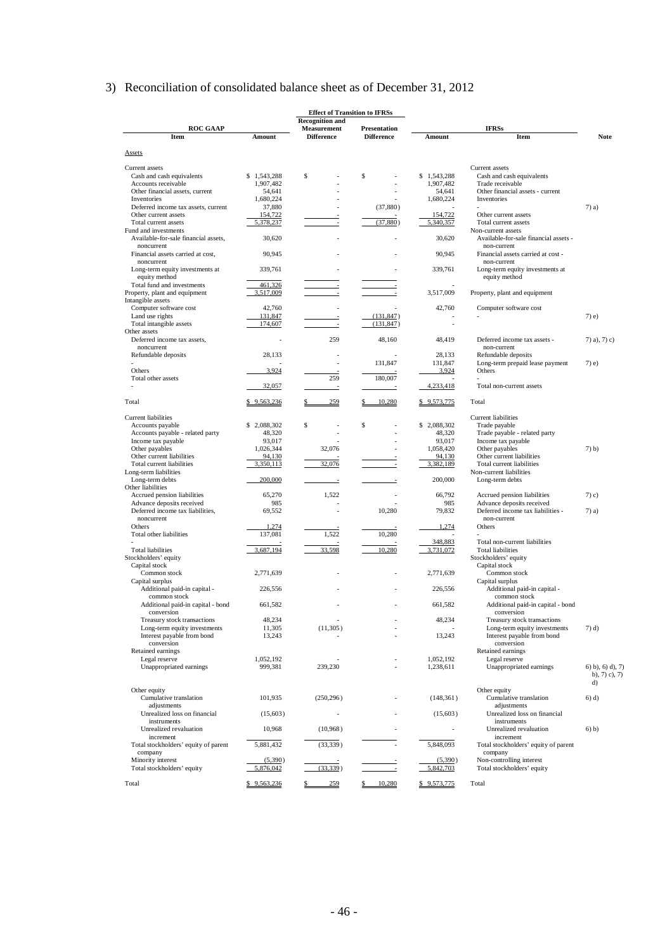# 3) Reconciliation of consolidated balance sheet as of December 31, 2012

|                                                              |                      | <b>Effect of Transition to IFRSs</b> |                                          |                          |                                                             |                           |
|--------------------------------------------------------------|----------------------|--------------------------------------|------------------------------------------|--------------------------|-------------------------------------------------------------|---------------------------|
|                                                              |                      | <b>Recognition and</b>               |                                          |                          |                                                             |                           |
| <b>ROC GAAP</b><br><b>Item</b>                               | Amount               | Measurement<br><b>Difference</b>     | <b>Presentation</b><br><b>Difference</b> | Amount                   | <b>IFRSs</b><br>Item                                        | <b>Note</b>               |
|                                                              |                      |                                      |                                          |                          |                                                             |                           |
| <b>Assets</b>                                                |                      |                                      |                                          |                          |                                                             |                           |
| Current assets                                               |                      |                                      |                                          |                          | Current assets                                              |                           |
| Cash and cash equivalents                                    | \$1,543,288          | \$                                   | \$                                       | \$1,543,288              | Cash and cash equivalents                                   |                           |
| Accounts receivable                                          | 1,907,482            |                                      |                                          | 1,907,482                | Trade receivable                                            |                           |
| Other financial assets, current                              | 54,641               |                                      |                                          | 54,641                   | Other financial assets - current                            |                           |
| Inventories                                                  | 1,680,224            |                                      |                                          | 1,680,224                | Inventories                                                 |                           |
| Deferred income tax assets, current                          | 37,880               |                                      | (37, 880)                                |                          |                                                             | $7)$ a)                   |
| Other current assets                                         | 154,722              |                                      |                                          | 154,722                  | Other current assets                                        |                           |
| Total current assets                                         | 5,378,237            |                                      | (37, 880)                                | 5,340,357                | Total current assets                                        |                           |
| Fund and investments<br>Available-for-sale financial assets, | 30,620               |                                      |                                          | 30.620                   | Non-current assets<br>Available-for-sale financial assets - |                           |
| noncurrent<br>Financial assets carried at cost,              | 90,945               |                                      |                                          | 90,945                   | non-current<br>Financial assets carried at cost -           |                           |
| noncurrent<br>Long-term equity investments at                | 339,761              |                                      |                                          | 339,761                  | non-current<br>Long-term equity investments at              |                           |
| equity method<br>Total fund and investments                  | 461,326              | $\overline{\phantom{a}}$             |                                          |                          | equity method                                               |                           |
| Property, plant and equipment                                | 3,517,009            |                                      |                                          | 3,517,009                | Property, plant and equipment                               |                           |
| Intangible assets                                            |                      |                                      |                                          |                          |                                                             |                           |
| Computer software cost                                       | 42,760               |                                      |                                          | 42,760                   | Computer software cost                                      |                           |
| Land use rights                                              | 131,847              |                                      | (131, 847)                               |                          |                                                             | $7)$ e)                   |
| Total intangible assets                                      | 174,607              |                                      | (131, 847)                               | $\overline{a}$           |                                                             |                           |
| Other assets                                                 |                      |                                      |                                          |                          |                                                             |                           |
| Deferred income tax assets,                                  | ÷                    | 259                                  | 48,160                                   | 48,419                   | Deferred income tax assets -                                | $7)$ a), $7)$ c)          |
| noncurrent                                                   |                      |                                      |                                          |                          | non-current                                                 |                           |
| Refundable deposits                                          | 28,133               |                                      |                                          | 28,133                   | Refundable deposits                                         |                           |
|                                                              |                      | ÷,                                   | 131,847                                  | 131,847                  | Long-term prepaid lease payment                             | $7)$ e)                   |
| Others                                                       | 3,924                |                                      |                                          | 3,924                    | Others                                                      |                           |
| Total other assets                                           |                      | 259                                  | 180,007                                  |                          |                                                             |                           |
|                                                              | 32,057               | $\overline{a}$                       | $\overline{\phantom{a}}$                 | 4,233,418                | Total non-current assets                                    |                           |
| Total                                                        | \$9,563,236          | 259                                  | 10,280                                   | \$9,573,775              | Total                                                       |                           |
|                                                              |                      |                                      |                                          |                          |                                                             |                           |
| Current liabilities                                          |                      |                                      |                                          |                          | Current liabilities                                         |                           |
| Accounts payable                                             | \$2,088,302          | \$                                   | \$                                       | \$2.088,302              | Trade payable                                               |                           |
| Accounts payable - related party                             | 48,320               |                                      |                                          | 48,320                   | Trade payable - related party                               |                           |
| Income tax payable                                           | 93,017               |                                      |                                          | 93,017                   | Income tax payable                                          |                           |
| Other payables                                               | 1,026,344            | 32,076                               |                                          | 1,058,420                | Other payables                                              | $7)$ b)                   |
| Other current liabilities<br>Total current liabilities       | 94,130               | 32,076                               |                                          | 94,130                   | Other current liabilities<br>Total current liabilities      |                           |
| Long-term liabilities                                        | 3,350,113            |                                      | $\overline{\phantom{a}}$                 | 3,382,189                | Non-current liabilities                                     |                           |
| Long-term debts                                              | 200,000              |                                      |                                          | 200,000                  | Long-term debts                                             |                           |
| Other liabilities                                            |                      |                                      |                                          |                          |                                                             |                           |
| Accrued pension liabilities                                  | 65,270               | 1,522                                |                                          | 66,792                   | Accrued pension liabilities                                 | $(7)$ c)                  |
| Advance deposits received                                    | 985                  |                                      |                                          | 985                      | Advance deposits received                                   |                           |
| Deferred income tax liabilities,                             | 69,552               |                                      | 10,280                                   | 79,832                   | Deferred income tax liabilities -                           | $7)$ a)                   |
| noncurrent                                                   |                      |                                      |                                          |                          | non-current                                                 |                           |
| Others                                                       | 1,274                |                                      |                                          | 1,274                    | Others                                                      |                           |
| Total other liabilities                                      | 137,081              | 1,522                                | 10,280                                   |                          |                                                             |                           |
|                                                              |                      |                                      |                                          | 348,883                  | Total non-current liabilities                               |                           |
| <b>Total liabilities</b>                                     | 3,687,194            | 33,598                               | 10,280                                   | 3,731,072                | <b>Total liabilities</b>                                    |                           |
| Stockholders' equity                                         |                      |                                      |                                          |                          | Stockholders' equity                                        |                           |
| Capital stock                                                |                      |                                      |                                          |                          | Capital stock                                               |                           |
| Common stock                                                 | 2,771,639            |                                      |                                          | 2,771,639                | Common stock                                                |                           |
| Capital surplus                                              |                      |                                      |                                          |                          | Capital surplus                                             |                           |
| Additional paid-in capital -                                 | 226,556              |                                      |                                          | 226,556                  | Additional paid-in capital -                                |                           |
| common stock                                                 |                      |                                      |                                          |                          | common stock                                                |                           |
| Additional paid-in capital - bond                            | 661,582              |                                      |                                          | 661,582                  | Additional paid-in capital - bond                           |                           |
| conversion                                                   |                      |                                      |                                          |                          | conversion                                                  |                           |
| Treasury stock transactions                                  | 48,234               |                                      |                                          | 48,234                   | Treasury stock transactions                                 |                           |
| Long-term equity investments                                 | 11,305               | (11,305)                             |                                          |                          | Long-term equity investments                                | $(7)$ d)                  |
| Interest payable from bond                                   | 13,243               |                                      |                                          | 13,243                   | Interest payable from bond                                  |                           |
| conversion                                                   |                      |                                      |                                          |                          | conversion                                                  |                           |
| Retained earnings                                            |                      |                                      |                                          |                          | Retained earnings                                           |                           |
| Legal reserve                                                | 1,052,192            |                                      |                                          | 1,052,192                | Legal reserve                                               |                           |
| Unappropriated earnings                                      | 999,381              | 239,230                              |                                          | 1,238,611                | Unappropriated earnings                                     | $(6)$ b), $(6)$ d), $(7)$ |
|                                                              |                      |                                      |                                          |                          |                                                             | b), $7)$ c), $7)$         |
|                                                              |                      |                                      |                                          |                          |                                                             | d)                        |
| Other equity                                                 |                      |                                      |                                          |                          | Other equity                                                |                           |
| Cumulative translation                                       | 101,935              | (250, 296)                           |                                          | (148, 361)               | Cumulative translation                                      | $6)$ d)                   |
| adjustments                                                  |                      |                                      |                                          |                          | adjustments                                                 |                           |
| Unrealized loss on financial                                 | (15,603)             |                                      |                                          | (15,603)                 | Unrealized loss on financial                                |                           |
| instruments                                                  |                      |                                      |                                          |                          | instruments                                                 |                           |
| Unrealized revaluation                                       | 10,968               | (10,968)                             |                                          | $\overline{\phantom{a}}$ | Unrealized revaluation                                      | 6) b)                     |
| increment                                                    |                      |                                      |                                          | 5,848,093                | increment                                                   |                           |
| Total stockholders' equity of parent                         | 5,881,432            | (33, 339)                            |                                          |                          | Total stockholders' equity of parent                        |                           |
| company                                                      |                      |                                      |                                          |                          | company                                                     |                           |
| Minority interest                                            | (5,390)<br>5,876,042 | (33, 339)                            |                                          | (5,390)<br>5,842,703     | Non-controlling interest                                    |                           |
| Total stockholders' equity                                   |                      |                                      |                                          |                          | Total stockholders' equity                                  |                           |
| Total                                                        | \$9,563,236          | 259                                  | 10.280                                   | \$9,573,775              | Total                                                       |                           |
|                                                              |                      |                                      |                                          |                          |                                                             |                           |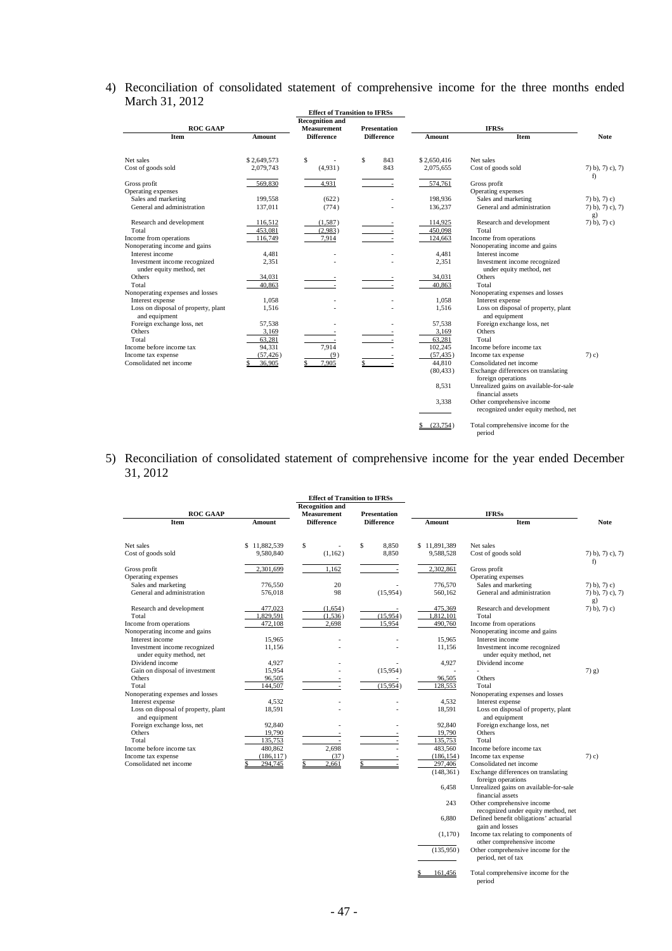#### 4) Reconciliation of consolidated statement of comprehensive income for the three months ended March 31, 2012

|                                                          |             | <b>Effect of Transition to IFRSs</b> |                     |             |                                                            |                              |
|----------------------------------------------------------|-------------|--------------------------------------|---------------------|-------------|------------------------------------------------------------|------------------------------|
|                                                          |             | <b>Recognition and</b>               |                     |             |                                                            |                              |
| <b>ROC GAAP</b>                                          |             | <b>Measurement</b>                   | <b>Presentation</b> |             | <b>IFRSs</b>                                               |                              |
| Item                                                     | Amount      | <b>Difference</b>                    | <b>Difference</b>   | Amount      | Item                                                       | <b>Note</b>                  |
| Net sales                                                | \$2,649,573 | S<br>$\overline{a}$                  | Ŝ<br>843            | \$2,650,416 | Net sales                                                  |                              |
| Cost of goods sold                                       | 2,079,743   | (4,931)                              | 843                 | 2,075,655   | Cost of goods sold                                         | $7)$ b), $7)$ c), $7)$<br>f) |
| Gross profit                                             | 569,830     | 4,931                                |                     | 574,761     | Gross profit                                               |                              |
| Operating expenses                                       |             |                                      |                     |             | Operating expenses                                         |                              |
| Sales and marketing                                      | 199,558     | (622)                                |                     | 198,936     | Sales and marketing                                        | $(7)$ b), $(7)$ c)           |
| General and administration                               | 137,011     | (774)                                |                     | 136,237     | General and administration                                 | 7) b), 7) c), 7)<br>g)       |
| Research and development                                 | 116,512     | (1,587)                              |                     | 114,925     | Research and development                                   | $(7)$ b), $(7)$ c)           |
| Total                                                    | 453,081     | (2,983)                              | $\sim$              | 450,098     | Total                                                      |                              |
| Income from operations                                   | 116,749     | 7,914                                |                     | 124,663     | Income from operations                                     |                              |
| Nonoperating income and gains                            |             |                                      |                     |             | Nonoperating income and gains                              |                              |
| Interest income                                          | 4,481       | ٠                                    |                     | 4,481       | Interest income                                            |                              |
| Investment income recognized<br>under equity method, net | 2,351       |                                      |                     | 2,351       | Investment income recognized<br>under equity method, net   |                              |
| Others                                                   | 34,031      |                                      |                     | 34,031      | Others                                                     |                              |
| Total                                                    | 40.863      |                                      |                     | 40.863      | Total                                                      |                              |
| Nonoperating expenses and losses                         |             |                                      |                     |             | Nonoperating expenses and losses                           |                              |
| Interest expense                                         | 1,058       |                                      |                     | 1,058       | Interest expense                                           |                              |
| Loss on disposal of property, plant<br>and equipment     | 1.516       |                                      |                     | 1,516       | Loss on disposal of property, plant<br>and equipment       |                              |
| Foreign exchange loss, net                               | 57,538      |                                      |                     | 57,538      | Foreign exchange loss, net                                 |                              |
| Others                                                   | 3.169       |                                      |                     | 3.169       | Others                                                     |                              |
| Total                                                    | 63,281      |                                      |                     | 63,281      | Total                                                      |                              |
| Income before income tax                                 | 94,331      | 7.914                                |                     | 102,245     | Income before income tax                                   |                              |
| Income tax expense                                       | (57, 426)   | (9)                                  |                     | (57, 435)   | Income tax expense                                         | $(7)$ c)                     |
| Consolidated net income                                  | 36,905      | 7,905                                |                     | 44,810      | Consolidated net income                                    |                              |
|                                                          |             |                                      |                     | (80, 433)   | Exchange differences on translating<br>foreign operations  |                              |
|                                                          |             |                                      |                     | 8,531       | Unrealized gains on available-for-sale<br>financial assets |                              |
|                                                          |             |                                      |                     | 3,338       | Other comprehensive income                                 |                              |
|                                                          |             |                                      |                     |             | recognized under equity method, net                        |                              |
|                                                          |             |                                      |                     | (23.754)    | Total comprehensive income for the<br>period               |                              |

#### 5) Reconciliation of consolidated statement of comprehensive income for the year ended December 31, 2012

|                                                          |                    |                                              | <b>Effect of Transition to IFRSs</b> |                    |                                                                   |                                                    |  |
|----------------------------------------------------------|--------------------|----------------------------------------------|--------------------------------------|--------------------|-------------------------------------------------------------------|----------------------------------------------------|--|
| <b>ROC GAAP</b>                                          |                    | <b>Recognition and</b><br><b>Measurement</b> | <b>Presentation</b>                  | <b>IFRSs</b>       |                                                                   |                                                    |  |
| <b>Item</b>                                              | Amount             | <b>Difference</b>                            | <b>Difference</b>                    | Amount             | Item                                                              | <b>Note</b>                                        |  |
| Net sales                                                | \$11,882,539       | \$                                           | \$<br>8,850                          | \$11,891,389       | Net sales                                                         |                                                    |  |
| Cost of goods sold                                       | 9,580,840          | (1,162)                                      | 8,850                                | 9,588,528          | Cost of goods sold                                                | $(7)$ b), $(7)$ c), $(7)$<br>f)                    |  |
| Gross profit                                             | 2.301.699          | 1.162                                        |                                      | 2.302.861          | Gross profit                                                      |                                                    |  |
| Operating expenses                                       |                    | 20                                           |                                      |                    | Operating expenses                                                |                                                    |  |
| Sales and marketing<br>General and administration        | 776,550<br>576,018 | 98                                           | (15,954)                             | 776,570<br>560,162 | Sales and marketing<br>General and administration                 | $(7)$ b), $(7)$ c)<br>$7)$ b), $7)$ c), $7)$<br>g) |  |
| Research and development                                 | 477.023            | (1.654)                                      |                                      | 475.369            | Research and development                                          | $(7)$ b), $(7)$ c)                                 |  |
| Total                                                    | 1,829,591          | (1,536)                                      | (15,954)                             | 1,812,101          | Total                                                             |                                                    |  |
| Income from operations                                   | 472,108            | 2,698                                        | 15,954                               | 490,760            | Income from operations                                            |                                                    |  |
| Nonoperating income and gains                            |                    |                                              |                                      |                    | Nonoperating income and gains                                     |                                                    |  |
| Interest income                                          | 15,965             |                                              |                                      | 15,965             | Interest income                                                   |                                                    |  |
| Investment income recognized<br>under equity method, net | 11,156             |                                              |                                      | 11,156             | Investment income recognized<br>under equity method, net          |                                                    |  |
| Dividend income                                          | 4,927              |                                              |                                      | 4,927              | Dividend income                                                   |                                                    |  |
| Gain on disposal of investment                           | 15,954             |                                              | (15,954)                             | ٠                  |                                                                   | $(7)$ g)                                           |  |
| Others                                                   | 96,505             |                                              |                                      | 96.505             | Others                                                            |                                                    |  |
| Total                                                    | 144,507            |                                              | (15.954)                             | 128,553            | Total                                                             |                                                    |  |
| Nonoperating expenses and losses                         |                    |                                              |                                      |                    | Nonoperating expenses and losses                                  |                                                    |  |
| Interest expense                                         | 4,532              |                                              |                                      | 4,532              | Interest expense                                                  |                                                    |  |
| Loss on disposal of property, plant<br>and equipment     | 18,591             |                                              |                                      | 18,591             | Loss on disposal of property, plant<br>and equipment              |                                                    |  |
| Foreign exchange loss, net                               | 92,840             |                                              |                                      | 92,840             | Foreign exchange loss, net                                        |                                                    |  |
| Others                                                   | 19,790             |                                              |                                      | 19.790             | Others                                                            |                                                    |  |
| Total                                                    | 135,753            | $\overline{\phantom{a}}$                     | $\overline{\phantom{a}}$             | 135,753            | Total                                                             |                                                    |  |
| Income before income tax                                 | 480,862            | 2,698                                        |                                      | 483,560            | Income before income tax                                          |                                                    |  |
| Income tax expense                                       | (186, 117)         | (37)                                         |                                      | (186, 154)         | Income tax expense                                                | $(7)$ c)                                           |  |
| Consolidated net income                                  | 294,745            | 2,661                                        |                                      | 297,406            | Consolidated net income                                           |                                                    |  |
|                                                          |                    |                                              |                                      | (148, 361)         | Exchange differences on translating<br>foreign operations         |                                                    |  |
|                                                          |                    |                                              |                                      | 6,458              | Unrealized gains on available-for-sale<br>financial assets        |                                                    |  |
|                                                          |                    |                                              |                                      | 243                | Other comprehensive income<br>recognized under equity method, net |                                                    |  |
|                                                          |                    |                                              |                                      | 6.880              | Defined benefit obligations' actuarial                            |                                                    |  |

gain and losses Income tax relating to components of other comprehensive income Other comprehensive income for the period, net of tax  $(1,170)$  $(135,950)$ 

\$ 161,456 Total comprehensive income for the period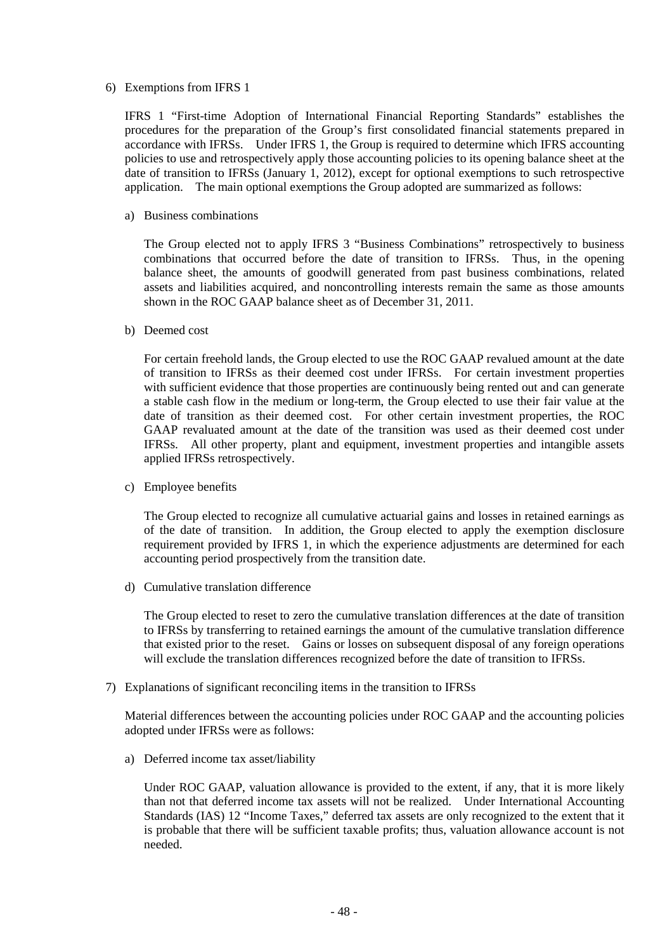#### 6) Exemptions from IFRS 1

IFRS 1 "First-time Adoption of International Financial Reporting Standards" establishes the procedures for the preparation of the Group's first consolidated financial statements prepared in accordance with IFRSs. Under IFRS 1, the Group is required to determine which IFRS accounting policies to use and retrospectively apply those accounting policies to its opening balance sheet at the date of transition to IFRSs (January 1, 2012), except for optional exemptions to such retrospective application. The main optional exemptions the Group adopted are summarized as follows:

#### a) Business combinations

The Group elected not to apply IFRS 3 "Business Combinations" retrospectively to business combinations that occurred before the date of transition to IFRSs. Thus, in the opening balance sheet, the amounts of goodwill generated from past business combinations, related assets and liabilities acquired, and noncontrolling interests remain the same as those amounts shown in the ROC GAAP balance sheet as of December 31, 2011.

#### b) Deemed cost

For certain freehold lands, the Group elected to use the ROC GAAP revalued amount at the date of transition to IFRSs as their deemed cost under IFRSs. For certain investment properties with sufficient evidence that those properties are continuously being rented out and can generate a stable cash flow in the medium or long-term, the Group elected to use their fair value at the date of transition as their deemed cost. For other certain investment properties, the ROC GAAP revaluated amount at the date of the transition was used as their deemed cost under IFRSs. All other property, plant and equipment, investment properties and intangible assets applied IFRSs retrospectively.

c) Employee benefits

The Group elected to recognize all cumulative actuarial gains and losses in retained earnings as of the date of transition. In addition, the Group elected to apply the exemption disclosure requirement provided by IFRS 1, in which the experience adjustments are determined for each accounting period prospectively from the transition date.

d) Cumulative translation difference

The Group elected to reset to zero the cumulative translation differences at the date of transition to IFRSs by transferring to retained earnings the amount of the cumulative translation difference that existed prior to the reset. Gains or losses on subsequent disposal of any foreign operations will exclude the translation differences recognized before the date of transition to IFRSs.

7) Explanations of significant reconciling items in the transition to IFRSs

Material differences between the accounting policies under ROC GAAP and the accounting policies adopted under IFRSs were as follows:

a) Deferred income tax asset/liability

Under ROC GAAP, valuation allowance is provided to the extent, if any, that it is more likely than not that deferred income tax assets will not be realized. Under International Accounting Standards (IAS) 12 "Income Taxes," deferred tax assets are only recognized to the extent that it is probable that there will be sufficient taxable profits; thus, valuation allowance account is not needed.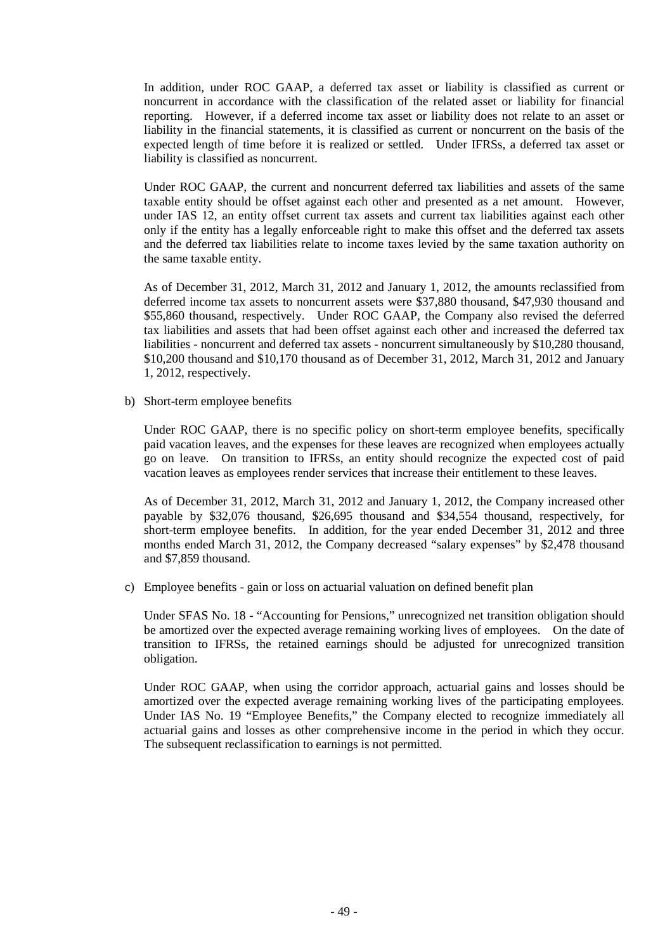In addition, under ROC GAAP, a deferred tax asset or liability is classified as current or noncurrent in accordance with the classification of the related asset or liability for financial reporting. However, if a deferred income tax asset or liability does not relate to an asset or liability in the financial statements, it is classified as current or noncurrent on the basis of the expected length of time before it is realized or settled. Under IFRSs, a deferred tax asset or liability is classified as noncurrent.

Under ROC GAAP, the current and noncurrent deferred tax liabilities and assets of the same taxable entity should be offset against each other and presented as a net amount. However, under IAS 12, an entity offset current tax assets and current tax liabilities against each other only if the entity has a legally enforceable right to make this offset and the deferred tax assets and the deferred tax liabilities relate to income taxes levied by the same taxation authority on the same taxable entity.

As of December 31, 2012, March 31, 2012 and January 1, 2012, the amounts reclassified from deferred income tax assets to noncurrent assets were \$37,880 thousand, \$47,930 thousand and \$55,860 thousand, respectively. Under ROC GAAP, the Company also revised the deferred tax liabilities and assets that had been offset against each other and increased the deferred tax liabilities - noncurrent and deferred tax assets - noncurrent simultaneously by \$10,280 thousand, \$10,200 thousand and \$10,170 thousand as of December 31, 2012, March 31, 2012 and January 1, 2012, respectively.

b) Short-term employee benefits

Under ROC GAAP, there is no specific policy on short-term employee benefits, specifically paid vacation leaves, and the expenses for these leaves are recognized when employees actually go on leave. On transition to IFRSs, an entity should recognize the expected cost of paid vacation leaves as employees render services that increase their entitlement to these leaves.

As of December 31, 2012, March 31, 2012 and January 1, 2012, the Company increased other payable by \$32,076 thousand, \$26,695 thousand and \$34,554 thousand, respectively, for short-term employee benefits. In addition, for the year ended December 31, 2012 and three months ended March 31, 2012, the Company decreased "salary expenses" by \$2,478 thousand and \$7,859 thousand.

c) Employee benefits - gain or loss on actuarial valuation on defined benefit plan

Under SFAS No. 18 - "Accounting for Pensions," unrecognized net transition obligation should be amortized over the expected average remaining working lives of employees. On the date of transition to IFRSs, the retained earnings should be adjusted for unrecognized transition obligation.

Under ROC GAAP, when using the corridor approach, actuarial gains and losses should be amortized over the expected average remaining working lives of the participating employees. Under IAS No. 19 "Employee Benefits," the Company elected to recognize immediately all actuarial gains and losses as other comprehensive income in the period in which they occur. The subsequent reclassification to earnings is not permitted.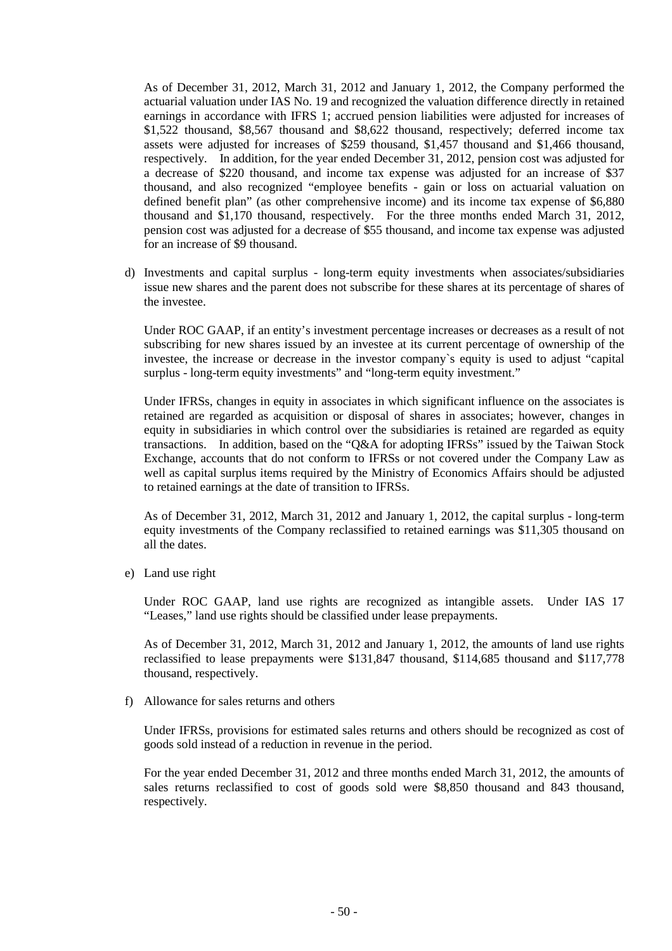As of December 31, 2012, March 31, 2012 and January 1, 2012, the Company performed the actuarial valuation under IAS No. 19 and recognized the valuation difference directly in retained earnings in accordance with IFRS 1; accrued pension liabilities were adjusted for increases of \$1,522 thousand, \$8,567 thousand and \$8,622 thousand, respectively; deferred income tax assets were adjusted for increases of \$259 thousand, \$1,457 thousand and \$1,466 thousand, respectively. In addition, for the year ended December 31, 2012, pension cost was adjusted for a decrease of \$220 thousand, and income tax expense was adjusted for an increase of \$37 thousand, and also recognized "employee benefits - gain or loss on actuarial valuation on defined benefit plan" (as other comprehensive income) and its income tax expense of \$6,880 thousand and \$1,170 thousand, respectively. For the three months ended March 31, 2012, pension cost was adjusted for a decrease of \$55 thousand, and income tax expense was adjusted for an increase of \$9 thousand.

d) Investments and capital surplus - long-term equity investments when associates/subsidiaries issue new shares and the parent does not subscribe for these shares at its percentage of shares of the investee.

Under ROC GAAP, if an entity's investment percentage increases or decreases as a result of not subscribing for new shares issued by an investee at its current percentage of ownership of the investee, the increase or decrease in the investor company`s equity is used to adjust "capital surplus - long-term equity investments" and "long-term equity investment."

Under IFRSs, changes in equity in associates in which significant influence on the associates is retained are regarded as acquisition or disposal of shares in associates; however, changes in equity in subsidiaries in which control over the subsidiaries is retained are regarded as equity transactions. In addition, based on the "Q&A for adopting IFRSs" issued by the Taiwan Stock Exchange, accounts that do not conform to IFRSs or not covered under the Company Law as well as capital surplus items required by the Ministry of Economics Affairs should be adjusted to retained earnings at the date of transition to IFRSs.

As of December 31, 2012, March 31, 2012 and January 1, 2012, the capital surplus - long-term equity investments of the Company reclassified to retained earnings was \$11,305 thousand on all the dates.

e) Land use right

Under ROC GAAP, land use rights are recognized as intangible assets. Under IAS 17 "Leases," land use rights should be classified under lease prepayments.

As of December 31, 2012, March 31, 2012 and January 1, 2012, the amounts of land use rights reclassified to lease prepayments were \$131,847 thousand, \$114,685 thousand and \$117,778 thousand, respectively.

f) Allowance for sales returns and others

Under IFRSs, provisions for estimated sales returns and others should be recognized as cost of goods sold instead of a reduction in revenue in the period.

For the year ended December 31, 2012 and three months ended March 31, 2012, the amounts of sales returns reclassified to cost of goods sold were \$8,850 thousand and 843 thousand, respectively.